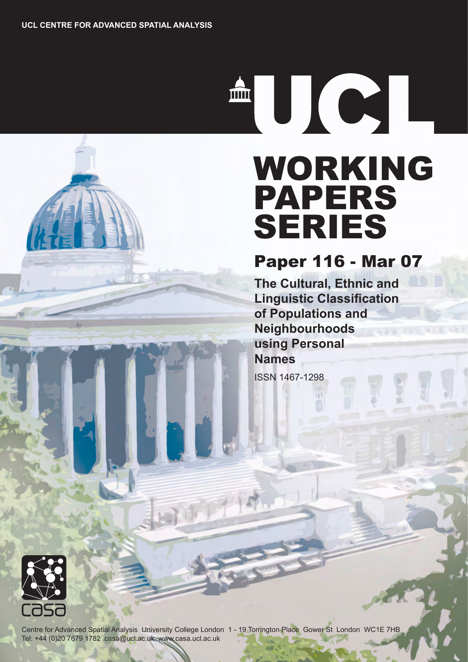THE RESEARCH

# WORKING PAPERS SERIES

Paper 116 - Mar 07

**The Cultural, Ethnic and Linguistic Classification of Populations and Neighbourhoods using Personal Names**

ISSN 1467-1298



Centre for Advanced Spatial Analysis University College London 1 - 19 Torrington Place Gower St London WC1E 7HB Tel: +44 (0)20 7679 1782 casa@ucl.ac.uk www.casa.ucl.ac.uk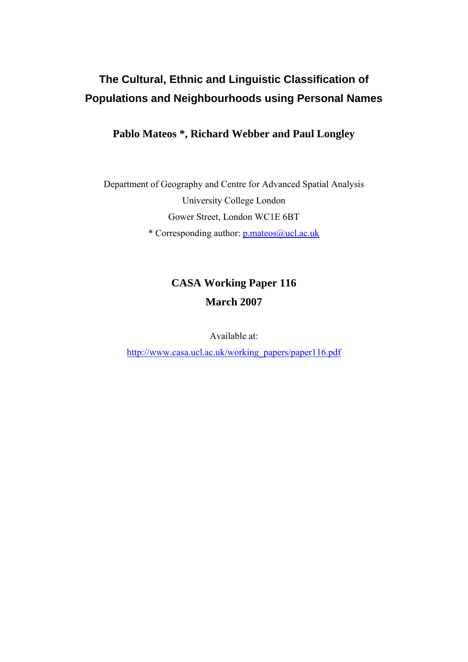# **The Cultural, Ethnic and Linguistic Classification of Populations and Neighbourhoods using Personal Names**

# **Pablo Mateos \*, Richard Webber and Paul Longley**

Department of Geography and Centre for Advanced Spatial Analysis University College London Gower Street, London WC1E 6BT

\* Corresponding author: p.mateos@ucl.ac.uk

# **CASA Working Paper 116 March 2007**

Available at:

http://www.casa.ucl.ac.uk/working\_papers/paper116.pdf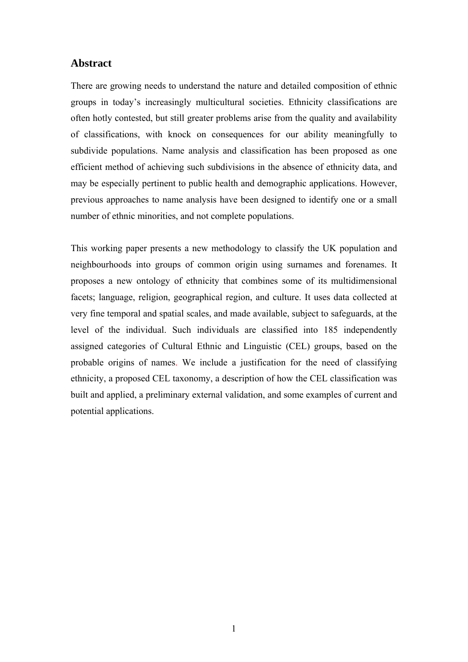# **Abstract**

There are growing needs to understand the nature and detailed composition of ethnic groups in today's increasingly multicultural societies. Ethnicity classifications are often hotly contested, but still greater problems arise from the quality and availability of classifications, with knock on consequences for our ability meaningfully to subdivide populations. Name analysis and classification has been proposed as one efficient method of achieving such subdivisions in the absence of ethnicity data, and may be especially pertinent to public health and demographic applications. However, previous approaches to name analysis have been designed to identify one or a small number of ethnic minorities, and not complete populations.

This working paper presents a new methodology to classify the UK population and neighbourhoods into groups of common origin using surnames and forenames. It proposes a new ontology of ethnicity that combines some of its multidimensional facets; language, religion, geographical region, and culture. It uses data collected at very fine temporal and spatial scales, and made available, subject to safeguards, at the level of the individual. Such individuals are classified into 185 independently assigned categories of Cultural Ethnic and Linguistic (CEL) groups, based on the probable origins of names. We include a justification for the need of classifying ethnicity, a proposed CEL taxonomy, a description of how the CEL classification was built and applied, a preliminary external validation, and some examples of current and potential applications.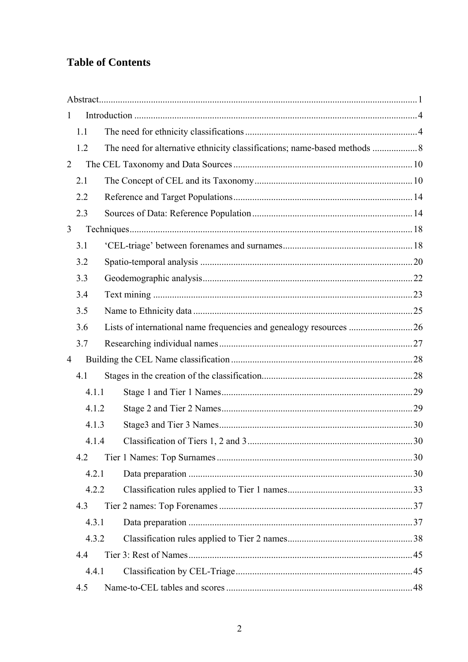# **Table of Contents**

| $\mathbf{1}$   |       |  |  |  |
|----------------|-------|--|--|--|
|                | 1.1   |  |  |  |
|                | 1.2   |  |  |  |
| $\overline{2}$ |       |  |  |  |
|                | 2.1   |  |  |  |
|                | 2.2   |  |  |  |
|                | 2.3   |  |  |  |
| 3              |       |  |  |  |
|                | 3.1   |  |  |  |
|                | 3.2   |  |  |  |
|                | 3.3   |  |  |  |
|                | 3.4   |  |  |  |
|                | 3.5   |  |  |  |
|                | 3.6   |  |  |  |
|                | 3.7   |  |  |  |
| $\overline{4}$ |       |  |  |  |
|                | 4.1   |  |  |  |
|                | 4.1.1 |  |  |  |
|                | 4.1.2 |  |  |  |
|                | 4.1.3 |  |  |  |
|                | 4.1.4 |  |  |  |
|                | 4.2   |  |  |  |
|                | 4.2.1 |  |  |  |
|                | 4.2.2 |  |  |  |
|                | 4.3   |  |  |  |
|                | 4.3.1 |  |  |  |
|                | 4.3.2 |  |  |  |
|                | 4.4   |  |  |  |
|                | 4.4.1 |  |  |  |
|                | 4.5   |  |  |  |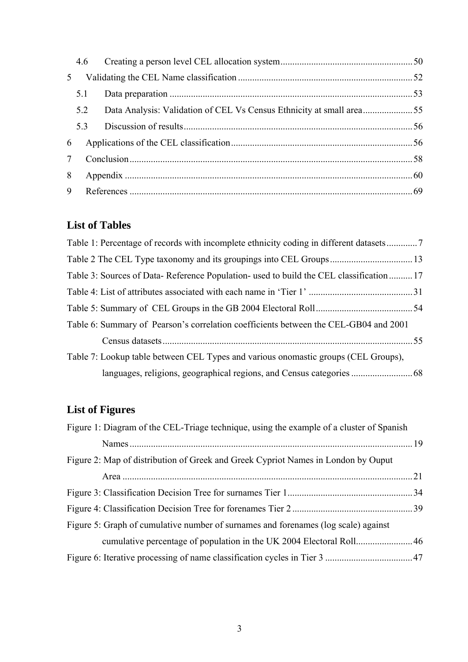|                 | 4.6 |                                                                      |  |  |  |
|-----------------|-----|----------------------------------------------------------------------|--|--|--|
| 5               |     |                                                                      |  |  |  |
|                 | 5.1 |                                                                      |  |  |  |
|                 | 5.2 | Data Analysis: Validation of CEL Vs Census Ethnicity at small area55 |  |  |  |
|                 | 5.3 |                                                                      |  |  |  |
| 6               |     |                                                                      |  |  |  |
| $7\overline{ }$ |     |                                                                      |  |  |  |
| 8               |     |                                                                      |  |  |  |
| 9               |     |                                                                      |  |  |  |

# **List of Tables**

| Table 3: Sources of Data-Reference Population- used to build the CEL classification 17 |  |
|----------------------------------------------------------------------------------------|--|
|                                                                                        |  |
|                                                                                        |  |
| Table 6: Summary of Pearson's correlation coefficients between the CEL-GB04 and 2001   |  |
|                                                                                        |  |
| Table 7: Lookup table between CEL Types and various onomastic groups (CEL Groups),     |  |
|                                                                                        |  |

# **List of Figures**

| Figure 1: Diagram of the CEL-Triage technique, using the example of a cluster of Spanish |  |
|------------------------------------------------------------------------------------------|--|
|                                                                                          |  |
| Figure 2: Map of distribution of Greek and Greek Cypriot Names in London by Ouput        |  |
|                                                                                          |  |
|                                                                                          |  |
|                                                                                          |  |
| Figure 5: Graph of cumulative number of surnames and forenames (log scale) against       |  |
|                                                                                          |  |
|                                                                                          |  |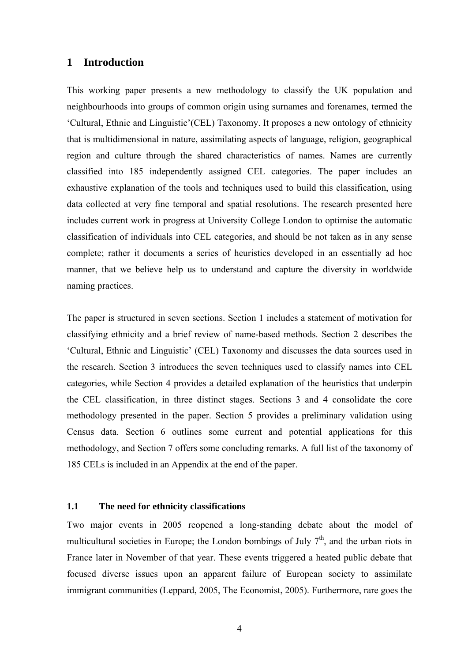# **1 Introduction**

This working paper presents a new methodology to classify the UK population and neighbourhoods into groups of common origin using surnames and forenames, termed the 'Cultural, Ethnic and Linguistic'(CEL) Taxonomy. It proposes a new ontology of ethnicity that is multidimensional in nature, assimilating aspects of language, religion, geographical region and culture through the shared characteristics of names. Names are currently classified into 185 independently assigned CEL categories. The paper includes an exhaustive explanation of the tools and techniques used to build this classification, using data collected at very fine temporal and spatial resolutions. The research presented here includes current work in progress at University College London to optimise the automatic classification of individuals into CEL categories, and should be not taken as in any sense complete; rather it documents a series of heuristics developed in an essentially ad hoc manner, that we believe help us to understand and capture the diversity in worldwide naming practices.

The paper is structured in seven sections. Section 1 includes a statement of motivation for classifying ethnicity and a brief review of name-based methods. Section 2 describes the 'Cultural, Ethnic and Linguistic' (CEL) Taxonomy and discusses the data sources used in the research. Section 3 introduces the seven techniques used to classify names into CEL categories, while Section 4 provides a detailed explanation of the heuristics that underpin the CEL classification, in three distinct stages. Sections 3 and 4 consolidate the core methodology presented in the paper. Section 5 provides a preliminary validation using Census data. Section 6 outlines some current and potential applications for this methodology, and Section 7 offers some concluding remarks. A full list of the taxonomy of 185 CELs is included in an Appendix at the end of the paper.

## **1.1 The need for ethnicity classifications**

Two major events in 2005 reopened a long-standing debate about the model of multicultural societies in Europe; the London bombings of July  $7<sup>th</sup>$ , and the urban riots in France later in November of that year. These events triggered a heated public debate that focused diverse issues upon an apparent failure of European society to assimilate immigrant communities (Leppard, 2005, The Economist, 2005). Furthermore, rare goes the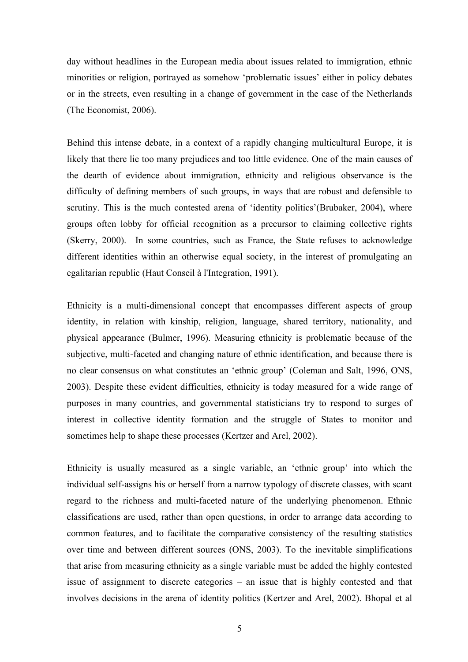day without headlines in the European media about issues related to immigration, ethnic minorities or religion, portrayed as somehow 'problematic issues' either in policy debates or in the streets, even resulting in a change of government in the case of the Netherlands (The Economist, 2006).

Behind this intense debate, in a context of a rapidly changing multicultural Europe, it is likely that there lie too many prejudices and too little evidence. One of the main causes of the dearth of evidence about immigration, ethnicity and religious observance is the difficulty of defining members of such groups, in ways that are robust and defensible to scrutiny. This is the much contested arena of 'identity politics'(Brubaker, 2004), where groups often lobby for official recognition as a precursor to claiming collective rights (Skerry, 2000). In some countries, such as France, the State refuses to acknowledge different identities within an otherwise equal society, in the interest of promulgating an egalitarian republic (Haut Conseil à l'Integration, 1991).

Ethnicity is a multi-dimensional concept that encompasses different aspects of group identity, in relation with kinship, religion, language, shared territory, nationality, and physical appearance (Bulmer, 1996). Measuring ethnicity is problematic because of the subjective, multi-faceted and changing nature of ethnic identification, and because there is no clear consensus on what constitutes an 'ethnic group' (Coleman and Salt, 1996, ONS, 2003). Despite these evident difficulties, ethnicity is today measured for a wide range of purposes in many countries, and governmental statisticians try to respond to surges of interest in collective identity formation and the struggle of States to monitor and sometimes help to shape these processes (Kertzer and Arel, 2002).

Ethnicity is usually measured as a single variable, an 'ethnic group' into which the individual self-assigns his or herself from a narrow typology of discrete classes, with scant regard to the richness and multi-faceted nature of the underlying phenomenon. Ethnic classifications are used, rather than open questions, in order to arrange data according to common features, and to facilitate the comparative consistency of the resulting statistics over time and between different sources (ONS, 2003). To the inevitable simplifications that arise from measuring ethnicity as a single variable must be added the highly contested issue of assignment to discrete categories – an issue that is highly contested and that involves decisions in the arena of identity politics (Kertzer and Arel, 2002). Bhopal et al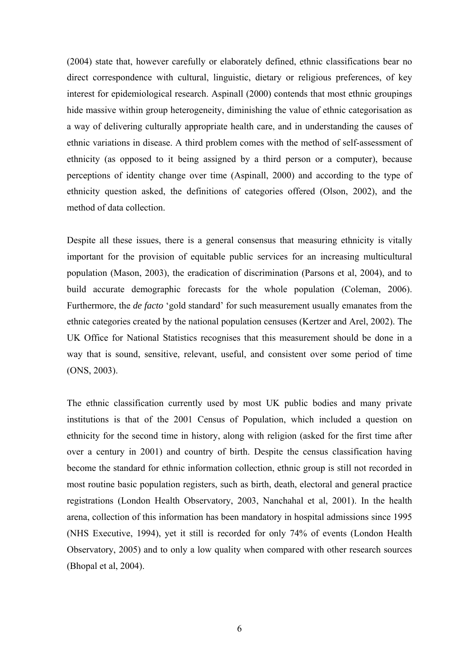(2004) state that, however carefully or elaborately defined, ethnic classifications bear no direct correspondence with cultural, linguistic, dietary or religious preferences, of key interest for epidemiological research. Aspinall (2000) contends that most ethnic groupings hide massive within group heterogeneity, diminishing the value of ethnic categorisation as a way of delivering culturally appropriate health care, and in understanding the causes of ethnic variations in disease. A third problem comes with the method of self-assessment of ethnicity (as opposed to it being assigned by a third person or a computer), because perceptions of identity change over time (Aspinall, 2000) and according to the type of ethnicity question asked, the definitions of categories offered (Olson, 2002), and the method of data collection.

Despite all these issues, there is a general consensus that measuring ethnicity is vitally important for the provision of equitable public services for an increasing multicultural population (Mason, 2003), the eradication of discrimination (Parsons et al, 2004), and to build accurate demographic forecasts for the whole population (Coleman, 2006). Furthermore, the *de facto* 'gold standard' for such measurement usually emanates from the ethnic categories created by the national population censuses (Kertzer and Arel, 2002). The UK Office for National Statistics recognises that this measurement should be done in a way that is sound, sensitive, relevant, useful, and consistent over some period of time (ONS, 2003).

The ethnic classification currently used by most UK public bodies and many private institutions is that of the 2001 Census of Population, which included a question on ethnicity for the second time in history, along with religion (asked for the first time after over a century in 2001) and country of birth. Despite the census classification having become the standard for ethnic information collection, ethnic group is still not recorded in most routine basic population registers, such as birth, death, electoral and general practice registrations (London Health Observatory, 2003, Nanchahal et al, 2001). In the health arena, collection of this information has been mandatory in hospital admissions since 1995 (NHS Executive, 1994), yet it still is recorded for only 74% of events (London Health Observatory, 2005) and to only a low quality when compared with other research sources (Bhopal et al, 2004).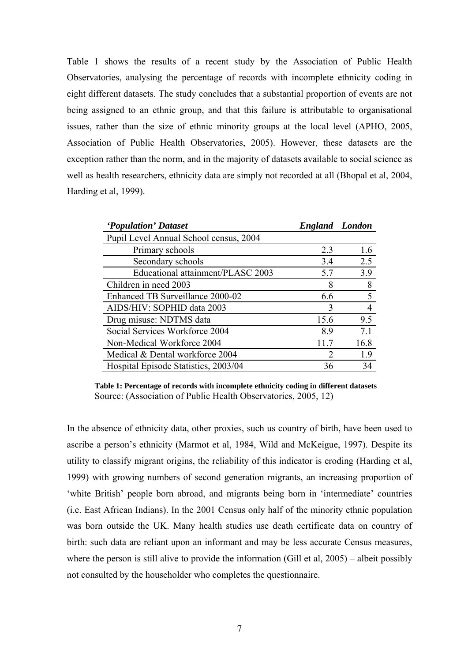Table 1 shows the results of a recent study by the Association of Public Health Observatories, analysing the percentage of records with incomplete ethnicity coding in eight different datasets. The study concludes that a substantial proportion of events are not being assigned to an ethnic group, and that this failure is attributable to organisational issues, rather than the size of ethnic minority groups at the local level (APHO, 2005, Association of Public Health Observatories, 2005). However, these datasets are the exception rather than the norm, and in the majority of datasets available to social science as well as health researchers, ethnicity data are simply not recorded at all (Bhopal et al, 2004, Harding et al, 1999).

| 'Population' Dataset                   | <b>England</b> London |      |
|----------------------------------------|-----------------------|------|
| Pupil Level Annual School census, 2004 |                       |      |
| Primary schools                        | 2.3                   | 1.6  |
| Secondary schools                      | 3.4                   | 2.5  |
| Educational attainment/PLASC 2003      | 5.7                   | 3.9  |
| Children in need 2003                  | 8                     | 8    |
| Enhanced TB Surveillance 2000-02       | 6.6                   | 5    |
| AIDS/HIV: SOPHID data 2003             | 3                     | 4    |
| Drug misuse: NDTMS data                | 15.6                  | 9.5  |
| Social Services Workforce 2004         | 8.9                   | 7.1  |
| Non-Medical Workforce 2004             | 11.7                  | 16.8 |
| Medical & Dental workforce 2004        | 2                     | 1.9  |
| Hospital Episode Statistics, 2003/04   | 36                    | 34   |

**Table 1: Percentage of records with incomplete ethnicity coding in different datasets**  Source: (Association of Public Health Observatories, 2005, 12)

In the absence of ethnicity data, other proxies, such us country of birth, have been used to ascribe a person's ethnicity (Marmot et al, 1984, Wild and McKeigue, 1997). Despite its utility to classify migrant origins, the reliability of this indicator is eroding (Harding et al, 1999) with growing numbers of second generation migrants, an increasing proportion of 'white British' people born abroad, and migrants being born in 'intermediate' countries (i.e. East African Indians). In the 2001 Census only half of the minority ethnic population was born outside the UK. Many health studies use death certificate data on country of birth: such data are reliant upon an informant and may be less accurate Census measures, where the person is still alive to provide the information (Gill et al, 2005) – albeit possibly not consulted by the householder who completes the questionnaire.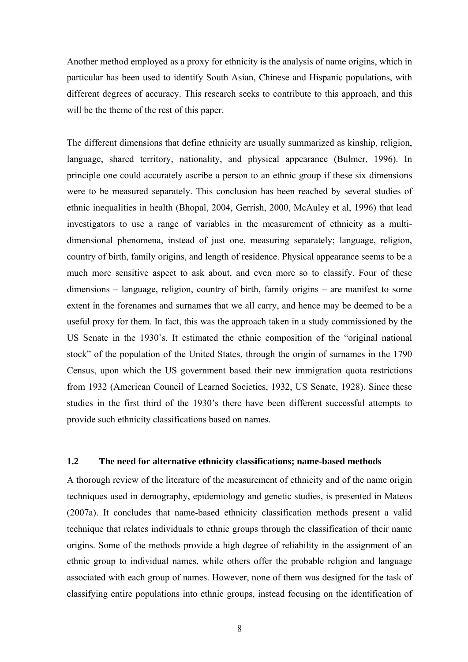Another method employed as a proxy for ethnicity is the analysis of name origins, which in particular has been used to identify South Asian, Chinese and Hispanic populations, with different degrees of accuracy. This research seeks to contribute to this approach, and this will be the theme of the rest of this paper.

The different dimensions that define ethnicity are usually summarized as kinship, religion, language, shared territory, nationality, and physical appearance (Bulmer, 1996). In principle one could accurately ascribe a person to an ethnic group if these six dimensions were to be measured separately. This conclusion has been reached by several studies of ethnic inequalities in health (Bhopal, 2004, Gerrish, 2000, McAuley et al, 1996) that lead investigators to use a range of variables in the measurement of ethnicity as a multidimensional phenomena, instead of just one, measuring separately; language, religion, country of birth, family origins, and length of residence. Physical appearance seems to be a much more sensitive aspect to ask about, and even more so to classify. Four of these dimensions – language, religion, country of birth, family origins – are manifest to some extent in the forenames and surnames that we all carry, and hence may be deemed to be a useful proxy for them. In fact, this was the approach taken in a study commissioned by the US Senate in the 1930's. It estimated the ethnic composition of the "original national stock" of the population of the United States, through the origin of surnames in the 1790 Census, upon which the US government based their new immigration quota restrictions from 1932 (American Council of Learned Societies, 1932, US Senate, 1928). Since these studies in the first third of the 1930's there have been different successful attempts to provide such ethnicity classifications based on names.

## **1.2 The need for alternative ethnicity classifications; name-based methods**

A thorough review of the literature of the measurement of ethnicity and of the name origin techniques used in demography, epidemiology and genetic studies, is presented in Mateos (2007a). It concludes that name-based ethnicity classification methods present a valid technique that relates individuals to ethnic groups through the classification of their name origins. Some of the methods provide a high degree of reliability in the assignment of an ethnic group to individual names, while others offer the probable religion and language associated with each group of names. However, none of them was designed for the task of classifying entire populations into ethnic groups, instead focusing on the identification of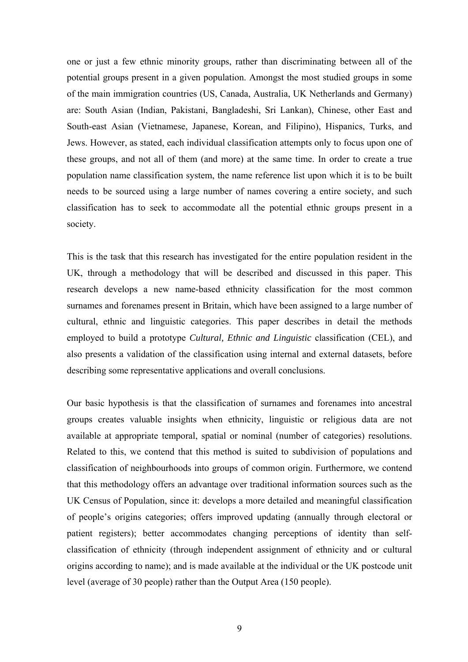one or just a few ethnic minority groups, rather than discriminating between all of the potential groups present in a given population. Amongst the most studied groups in some of the main immigration countries (US, Canada, Australia, UK Netherlands and Germany) are: South Asian (Indian, Pakistani, Bangladeshi, Sri Lankan), Chinese, other East and South-east Asian (Vietnamese, Japanese, Korean, and Filipino), Hispanics, Turks, and Jews. However, as stated, each individual classification attempts only to focus upon one of these groups, and not all of them (and more) at the same time. In order to create a true population name classification system, the name reference list upon which it is to be built needs to be sourced using a large number of names covering a entire society, and such classification has to seek to accommodate all the potential ethnic groups present in a society.

This is the task that this research has investigated for the entire population resident in the UK, through a methodology that will be described and discussed in this paper. This research develops a new name-based ethnicity classification for the most common surnames and forenames present in Britain, which have been assigned to a large number of cultural, ethnic and linguistic categories. This paper describes in detail the methods employed to build a prototype *Cultural, Ethnic and Linguistic* classification (CEL), and also presents a validation of the classification using internal and external datasets, before describing some representative applications and overall conclusions.

Our basic hypothesis is that the classification of surnames and forenames into ancestral groups creates valuable insights when ethnicity, linguistic or religious data are not available at appropriate temporal, spatial or nominal (number of categories) resolutions. Related to this, we contend that this method is suited to subdivision of populations and classification of neighbourhoods into groups of common origin. Furthermore, we contend that this methodology offers an advantage over traditional information sources such as the UK Census of Population, since it: develops a more detailed and meaningful classification of people's origins categories; offers improved updating (annually through electoral or patient registers); better accommodates changing perceptions of identity than selfclassification of ethnicity (through independent assignment of ethnicity and or cultural origins according to name); and is made available at the individual or the UK postcode unit level (average of 30 people) rather than the Output Area (150 people).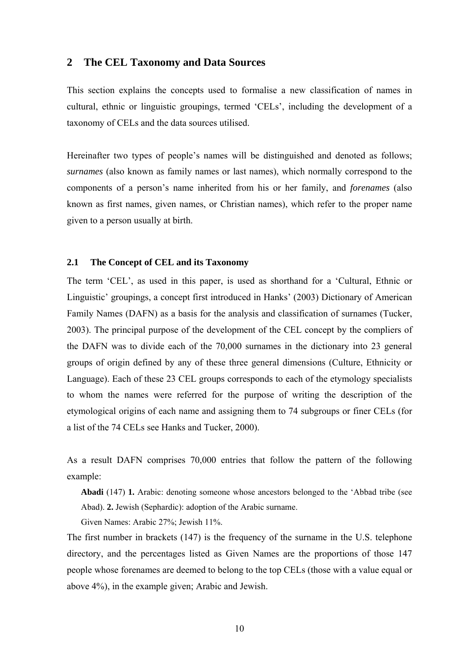# **2 The CEL Taxonomy and Data Sources**

This section explains the concepts used to formalise a new classification of names in cultural, ethnic or linguistic groupings, termed 'CELs', including the development of a taxonomy of CELs and the data sources utilised.

Hereinafter two types of people's names will be distinguished and denoted as follows; *surnames* (also known as family names or last names), which normally correspond to the components of a person's name inherited from his or her family, and *forenames* (also known as first names, given names, or Christian names), which refer to the proper name given to a person usually at birth.

#### **2.1 The Concept of CEL and its Taxonomy**

The term 'CEL', as used in this paper, is used as shorthand for a 'Cultural, Ethnic or Linguistic' groupings, a concept first introduced in Hanks' (2003) Dictionary of American Family Names (DAFN) as a basis for the analysis and classification of surnames (Tucker, 2003). The principal purpose of the development of the CEL concept by the compliers of the DAFN was to divide each of the 70,000 surnames in the dictionary into 23 general groups of origin defined by any of these three general dimensions (Culture, Ethnicity or Language). Each of these 23 CEL groups corresponds to each of the etymology specialists to whom the names were referred for the purpose of writing the description of the etymological origins of each name and assigning them to 74 subgroups or finer CELs (for a list of the 74 CELs see Hanks and Tucker, 2000).

As a result DAFN comprises 70,000 entries that follow the pattern of the following example:

**Abadi** (147) **1.** Arabic: denoting someone whose ancestors belonged to the 'Abbad tribe (see Abad). **2.** Jewish (Sephardic): adoption of the Arabic surname.

Given Names: Arabic 27%; Jewish 11%.

The first number in brackets (147) is the frequency of the surname in the U.S. telephone directory, and the percentages listed as Given Names are the proportions of those 147 people whose forenames are deemed to belong to the top CELs (those with a value equal or above 4%), in the example given; Arabic and Jewish.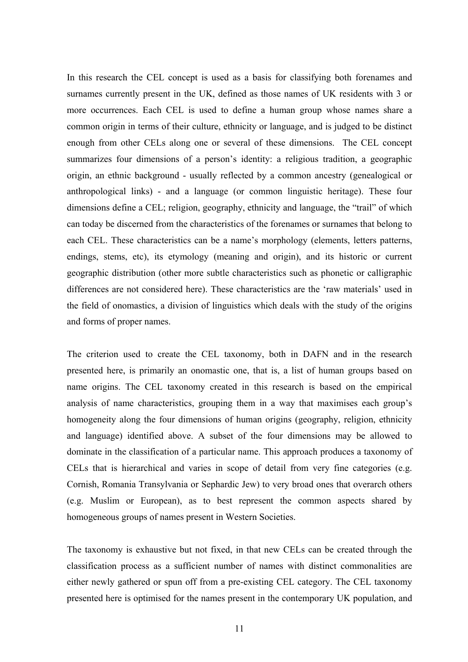In this research the CEL concept is used as a basis for classifying both forenames and surnames currently present in the UK, defined as those names of UK residents with 3 or more occurrences. Each CEL is used to define a human group whose names share a common origin in terms of their culture, ethnicity or language, and is judged to be distinct enough from other CELs along one or several of these dimensions. The CEL concept summarizes four dimensions of a person's identity: a religious tradition, a geographic origin, an ethnic background - usually reflected by a common ancestry (genealogical or anthropological links) - and a language (or common linguistic heritage). These four dimensions define a CEL; religion, geography, ethnicity and language, the "trail" of which can today be discerned from the characteristics of the forenames or surnames that belong to each CEL. These characteristics can be a name's morphology (elements, letters patterns, endings, stems, etc), its etymology (meaning and origin), and its historic or current geographic distribution (other more subtle characteristics such as phonetic or calligraphic differences are not considered here). These characteristics are the 'raw materials' used in the field of onomastics, a division of linguistics which deals with the study of the origins and forms of proper names.

The criterion used to create the CEL taxonomy, both in DAFN and in the research presented here, is primarily an onomastic one, that is, a list of human groups based on name origins. The CEL taxonomy created in this research is based on the empirical analysis of name characteristics, grouping them in a way that maximises each group's homogeneity along the four dimensions of human origins (geography, religion, ethnicity and language) identified above. A subset of the four dimensions may be allowed to dominate in the classification of a particular name. This approach produces a taxonomy of CELs that is hierarchical and varies in scope of detail from very fine categories (e.g. Cornish, Romania Transylvania or Sephardic Jew) to very broad ones that overarch others (e.g. Muslim or European), as to best represent the common aspects shared by homogeneous groups of names present in Western Societies.

The taxonomy is exhaustive but not fixed, in that new CELs can be created through the classification process as a sufficient number of names with distinct commonalities are either newly gathered or spun off from a pre-existing CEL category. The CEL taxonomy presented here is optimised for the names present in the contemporary UK population, and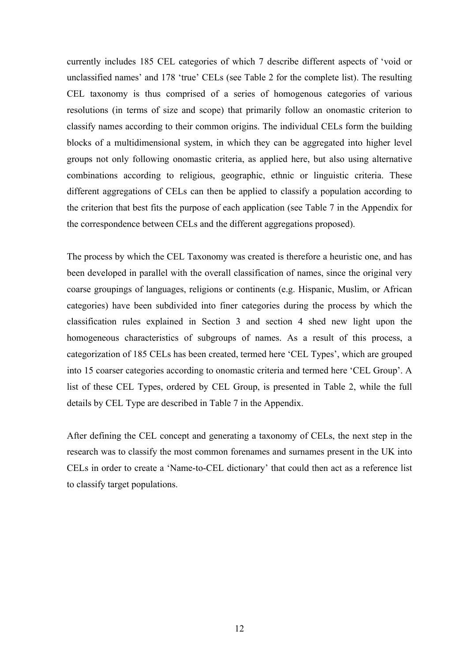currently includes 185 CEL categories of which 7 describe different aspects of 'void or unclassified names' and 178 'true' CELs (see Table 2 for the complete list). The resulting CEL taxonomy is thus comprised of a series of homogenous categories of various resolutions (in terms of size and scope) that primarily follow an onomastic criterion to classify names according to their common origins. The individual CELs form the building blocks of a multidimensional system, in which they can be aggregated into higher level groups not only following onomastic criteria, as applied here, but also using alternative combinations according to religious, geographic, ethnic or linguistic criteria. These different aggregations of CELs can then be applied to classify a population according to the criterion that best fits the purpose of each application (see Table 7 in the Appendix for the correspondence between CELs and the different aggregations proposed).

The process by which the CEL Taxonomy was created is therefore a heuristic one, and has been developed in parallel with the overall classification of names, since the original very coarse groupings of languages, religions or continents (e.g. Hispanic, Muslim, or African categories) have been subdivided into finer categories during the process by which the classification rules explained in Section 3 and section 4 shed new light upon the homogeneous characteristics of subgroups of names. As a result of this process, a categorization of 185 CELs has been created, termed here 'CEL Types', which are grouped into 15 coarser categories according to onomastic criteria and termed here 'CEL Group'. A list of these CEL Types, ordered by CEL Group, is presented in Table 2, while the full details by CEL Type are described in Table 7 in the Appendix.

After defining the CEL concept and generating a taxonomy of CELs, the next step in the research was to classify the most common forenames and surnames present in the UK into CELs in order to create a 'Name-to-CEL dictionary' that could then act as a reference list to classify target populations.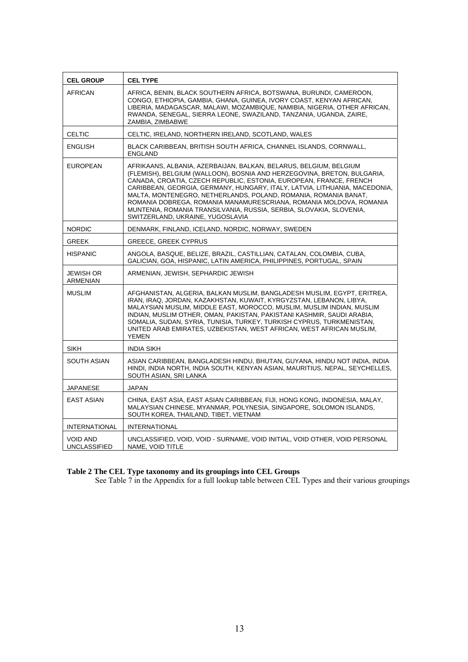| <b>CEL GROUP</b>                       | <b>CEL TYPE</b>                                                                                                                                                                                                                                                                                                                                                                                                                                                                                                                                      |  |  |  |  |  |
|----------------------------------------|------------------------------------------------------------------------------------------------------------------------------------------------------------------------------------------------------------------------------------------------------------------------------------------------------------------------------------------------------------------------------------------------------------------------------------------------------------------------------------------------------------------------------------------------------|--|--|--|--|--|
| <b>AFRICAN</b>                         | AFRICA, BENIN, BLACK SOUTHERN AFRICA, BOTSWANA, BURUNDI, CAMEROON,<br>CONGO, ETHIOPIA, GAMBIA, GHANA, GUINEA, IVORY COAST, KENYAN AFRICAN,<br>LIBERIA, MADAGASCAR, MALAWI, MOZAMBIQUE, NAMIBIA, NIGERIA, OTHER AFRICAN,<br>RWANDA, SENEGAL, SIERRA LEONE, SWAZILAND, TANZANIA, UGANDA, ZAIRE,<br>ZAMBIA, ZIMBABWE                                                                                                                                                                                                                                    |  |  |  |  |  |
| <b>CELTIC</b>                          | CELTIC, IRELAND, NORTHERN IRELAND, SCOTLAND, WALES                                                                                                                                                                                                                                                                                                                                                                                                                                                                                                   |  |  |  |  |  |
| <b>ENGLISH</b>                         | BLACK CARIBBEAN, BRITISH SOUTH AFRICA, CHANNEL ISLANDS, CORNWALL,<br><b>ENGLAND</b>                                                                                                                                                                                                                                                                                                                                                                                                                                                                  |  |  |  |  |  |
| <b>EUROPEAN</b>                        | AFRIKAANS, ALBANIA, AZERBAIJAN, BALKAN, BELARUS, BELGIUM, BELGIUM<br>(FLEMISH), BELGIUM (WALLOON), BOSNIA AND HERZEGOVINA, BRETON, BULGARIA,<br>CANADA, CROATIA, CZECH REPUBLIC, ESTONIA, EUROPEAN, FRANCE, FRENCH<br>CARIBBEAN, GEORGIA, GERMANY, HUNGARY, ITALY, LATVIA, LITHUANIA, MACEDONIA,<br>MALTA, MONTENEGRO, NETHERLANDS, POLAND, ROMANIA, ROMANIA BANAT,<br>ROMANIA DOBREGA, ROMANIA MANAMURESCRIANA, ROMANIA MOLDOVA, ROMANIA<br>MUNTENIA, ROMANIA TRANSILVANIA, RUSSIA, SERBIA, SLOVAKIA, SLOVENIA,<br>SWITZERLAND, UKRAINE, YUGOSLAVIA |  |  |  |  |  |
| <b>NORDIC</b>                          | DENMARK, FINLAND, ICELAND, NORDIC, NORWAY, SWEDEN                                                                                                                                                                                                                                                                                                                                                                                                                                                                                                    |  |  |  |  |  |
| <b>GREEK</b>                           | <b>GREECE, GREEK CYPRUS</b>                                                                                                                                                                                                                                                                                                                                                                                                                                                                                                                          |  |  |  |  |  |
| <b>HISPANIC</b>                        | ANGOLA, BASQUE, BELIZE, BRAZIL, CASTILLIAN, CATALAN, COLOMBIA, CUBA,<br>GALICIAN, GOA, HISPANIC, LATIN AMERICA, PHILIPPINES, PORTUGAL, SPAIN                                                                                                                                                                                                                                                                                                                                                                                                         |  |  |  |  |  |
| <b>JEWISH OR</b><br>ARMENIAN           | ARMENIAN, JEWISH, SEPHARDIC JEWISH                                                                                                                                                                                                                                                                                                                                                                                                                                                                                                                   |  |  |  |  |  |
| <b>MUSLIM</b>                          | AFGHANISTAN, ALGERIA, BALKAN MUSLIM, BANGLADESH MUSLIM, EGYPT, ERITREA,<br>IRAN, IRAQ, JORDAN, KAZAKHSTAN, KUWAIT, KYRGYZSTAN, LEBANON, LIBYA,<br>MALAYSIAN MUSLIM, MIDDLE EAST, MOROCCO, MUSLIM, MUSLIM INDIAN, MUSLIM<br>INDIAN, MUSLIM OTHER, OMAN, PAKISTAN, PAKISTANI KASHMIR, SAUDI ARABIA,<br>SOMALIA, SUDAN, SYRIA, TUNISIA, TURKEY, TURKISH CYPRUS, TURKMENISTAN,<br>UNITED ARAB EMIRATES, UZBEKISTAN, WEST AFRICAN, WEST AFRICAN MUSLIM,<br><b>YEMEN</b>                                                                                   |  |  |  |  |  |
| <b>SIKH</b>                            | <b>INDIA SIKH</b>                                                                                                                                                                                                                                                                                                                                                                                                                                                                                                                                    |  |  |  |  |  |
| <b>SOUTH ASIAN</b>                     | ASIAN CARIBBEAN, BANGLADESH HINDU, BHUTAN, GUYANA, HINDU NOT INDIA, INDIA<br>HINDI, INDIA NORTH, INDIA SOUTH, KENYAN ASIAN, MAURITIUS, NEPAL, SEYCHELLES,<br>SOUTH ASIAN, SRI LANKA                                                                                                                                                                                                                                                                                                                                                                  |  |  |  |  |  |
| <b>JAPANESE</b>                        | <b>JAPAN</b>                                                                                                                                                                                                                                                                                                                                                                                                                                                                                                                                         |  |  |  |  |  |
| <b>EAST ASIAN</b>                      | CHINA, EAST ASIA, EAST ASIAN CARIBBEAN, FIJI, HONG KONG, INDONESIA, MALAY,<br>MALAYSIAN CHINESE, MYANMAR, POLYNESIA, SINGAPORE, SOLOMON ISLANDS,<br>SOUTH KOREA, THAILAND, TIBET, VIETNAM                                                                                                                                                                                                                                                                                                                                                            |  |  |  |  |  |
| <b>INTERNATIONAL</b>                   | <b>INTERNATIONAL</b>                                                                                                                                                                                                                                                                                                                                                                                                                                                                                                                                 |  |  |  |  |  |
| <b>VOID AND</b><br><b>UNCLASSIFIED</b> | UNCLASSIFIED, VOID, VOID - SURNAME, VOID INITIAL, VOID OTHER, VOID PERSONAL<br>NAME, VOID TITLE                                                                                                                                                                                                                                                                                                                                                                                                                                                      |  |  |  |  |  |

#### **Table 2 The CEL Type taxonomy and its groupings into CEL Groups**

See Table 7 in the Appendix for a full lookup table between CEL Types and their various groupings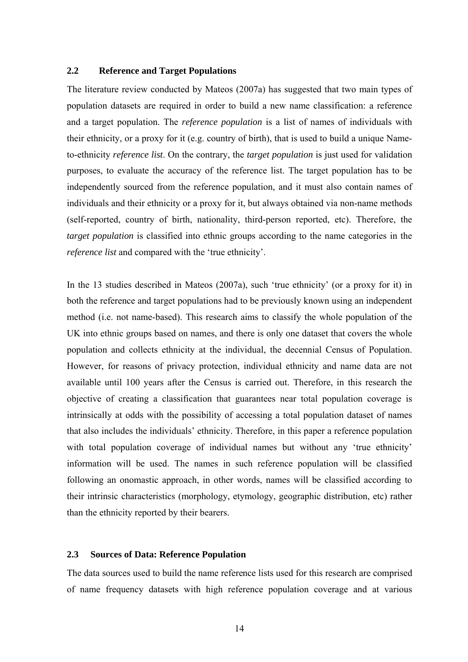## **2.2 Reference and Target Populations**

The literature review conducted by Mateos (2007a) has suggested that two main types of population datasets are required in order to build a new name classification: a reference and a target population. The *reference population* is a list of names of individuals with their ethnicity, or a proxy for it (e.g. country of birth), that is used to build a unique Nameto-ethnicity *reference list*. On the contrary, the *target population* is just used for validation purposes, to evaluate the accuracy of the reference list. The target population has to be independently sourced from the reference population, and it must also contain names of individuals and their ethnicity or a proxy for it, but always obtained via non-name methods (self-reported, country of birth, nationality, third-person reported, etc). Therefore, the *target population* is classified into ethnic groups according to the name categories in the *reference list* and compared with the 'true ethnicity'.

In the 13 studies described in Mateos (2007a), such 'true ethnicity' (or a proxy for it) in both the reference and target populations had to be previously known using an independent method (i.e. not name-based). This research aims to classify the whole population of the UK into ethnic groups based on names, and there is only one dataset that covers the whole population and collects ethnicity at the individual, the decennial Census of Population. However, for reasons of privacy protection, individual ethnicity and name data are not available until 100 years after the Census is carried out. Therefore, in this research the objective of creating a classification that guarantees near total population coverage is intrinsically at odds with the possibility of accessing a total population dataset of names that also includes the individuals' ethnicity. Therefore, in this paper a reference population with total population coverage of individual names but without any 'true ethnicity' information will be used. The names in such reference population will be classified following an onomastic approach, in other words, names will be classified according to their intrinsic characteristics (morphology, etymology, geographic distribution, etc) rather than the ethnicity reported by their bearers.

## **2.3 Sources of Data: Reference Population**

The data sources used to build the name reference lists used for this research are comprised of name frequency datasets with high reference population coverage and at various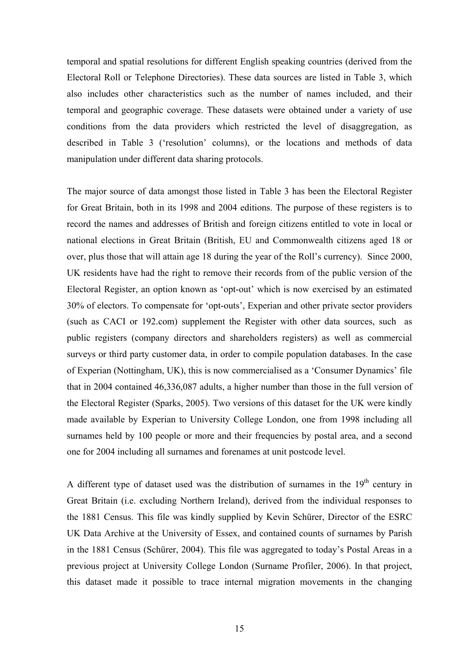temporal and spatial resolutions for different English speaking countries (derived from the Electoral Roll or Telephone Directories). These data sources are listed in Table 3, which also includes other characteristics such as the number of names included, and their temporal and geographic coverage. These datasets were obtained under a variety of use conditions from the data providers which restricted the level of disaggregation, as described in Table 3 ('resolution' columns), or the locations and methods of data manipulation under different data sharing protocols.

The major source of data amongst those listed in Table 3 has been the Electoral Register for Great Britain, both in its 1998 and 2004 editions. The purpose of these registers is to record the names and addresses of British and foreign citizens entitled to vote in local or national elections in Great Britain (British, EU and Commonwealth citizens aged 18 or over, plus those that will attain age 18 during the year of the Roll's currency). Since 2000, UK residents have had the right to remove their records from of the public version of the Electoral Register, an option known as 'opt-out' which is now exercised by an estimated 30% of electors. To compensate for 'opt-outs', Experian and other private sector providers (such as CACI or 192.com) supplement the Register with other data sources, such as public registers (company directors and shareholders registers) as well as commercial surveys or third party customer data, in order to compile population databases. In the case of Experian (Nottingham, UK), this is now commercialised as a 'Consumer Dynamics' file that in 2004 contained 46,336,087 adults, a higher number than those in the full version of the Electoral Register (Sparks, 2005). Two versions of this dataset for the UK were kindly made available by Experian to University College London, one from 1998 including all surnames held by 100 people or more and their frequencies by postal area, and a second one for 2004 including all surnames and forenames at unit postcode level.

A different type of dataset used was the distribution of surnames in the  $19<sup>th</sup>$  century in Great Britain (i.e. excluding Northern Ireland), derived from the individual responses to the 1881 Census. This file was kindly supplied by Kevin Schürer, Director of the ESRC UK Data Archive at the University of Essex, and contained counts of surnames by Parish in the 1881 Census (Schürer, 2004). This file was aggregated to today's Postal Areas in a previous project at University College London (Surname Profiler, 2006). In that project, this dataset made it possible to trace internal migration movements in the changing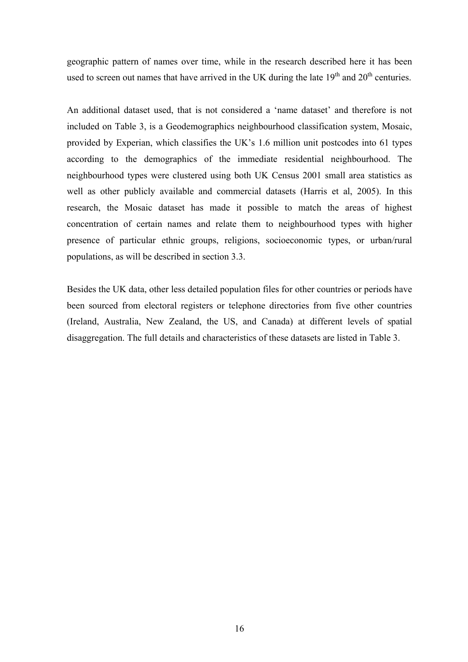geographic pattern of names over time, while in the research described here it has been used to screen out names that have arrived in the UK during the late  $19<sup>th</sup>$  and  $20<sup>th</sup>$  centuries.

An additional dataset used, that is not considered a 'name dataset' and therefore is not included on Table 3, is a Geodemographics neighbourhood classification system, Mosaic, provided by Experian, which classifies the UK's 1.6 million unit postcodes into 61 types according to the demographics of the immediate residential neighbourhood. The neighbourhood types were clustered using both UK Census 2001 small area statistics as well as other publicly available and commercial datasets (Harris et al, 2005). In this research, the Mosaic dataset has made it possible to match the areas of highest concentration of certain names and relate them to neighbourhood types with higher presence of particular ethnic groups, religions, socioeconomic types, or urban/rural populations, as will be described in section 3.3.

Besides the UK data, other less detailed population files for other countries or periods have been sourced from electoral registers or telephone directories from five other countries (Ireland, Australia, New Zealand, the US, and Canada) at different levels of spatial disaggregation. The full details and characteristics of these datasets are listed in Table 3.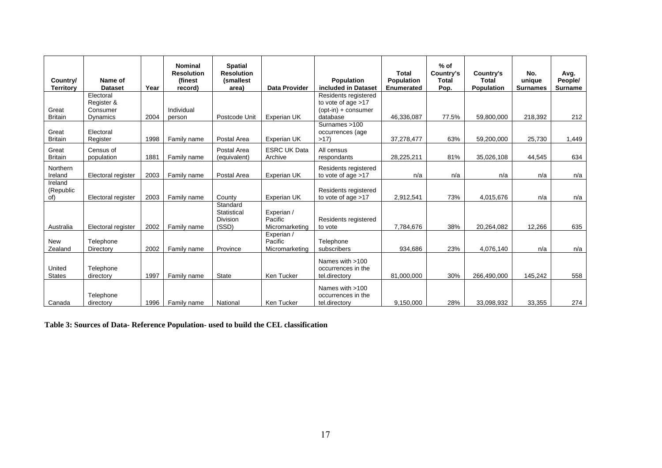| Country/<br><b>Territory</b> | Name of<br><b>Dataset</b>           | Year | <b>Nominal</b><br><b>Resolution</b><br>(finest<br>record) | <b>Spatial</b><br><b>Resolution</b><br>(smallest<br>area) | <b>Data Provider</b>                    | <b>Population</b><br>included in Dataset                              | <b>Total</b><br>Population<br>Enumerated | $%$ of<br>Country's<br><b>Total</b><br>Pop. | Country's<br><b>Total</b><br>Population | No.<br>unique<br><b>Surnames</b> | Avg.<br>People/<br><b>Surname</b> |
|------------------------------|-------------------------------------|------|-----------------------------------------------------------|-----------------------------------------------------------|-----------------------------------------|-----------------------------------------------------------------------|------------------------------------------|---------------------------------------------|-----------------------------------------|----------------------------------|-----------------------------------|
| Great                        | Electoral<br>Register &<br>Consumer |      | Individual                                                |                                                           |                                         | Residents registered<br>to vote of age $>17$<br>$(opt-in) + consumer$ |                                          |                                             |                                         |                                  |                                   |
| <b>Britain</b>               | Dynamics                            | 2004 | person                                                    | Postcode Unit                                             | Experian UK                             | database                                                              | 46,336,087                               | 77.5%                                       | 59,800,000                              | 218,392                          | 212                               |
| Great<br><b>Britain</b>      | Electoral<br>Register               | 1998 | Family name                                               | Postal Area                                               | Experian UK                             | Surnames >100<br>occurrences (age<br>>17                              | 37,278,477                               | 63%                                         | 59,200,000                              | 25,730                           | 1,449                             |
| Great<br><b>Britain</b>      | Census of<br>population             | 1881 | Family name                                               | Postal Area<br>(equivalent)                               | <b>ESRC UK Data</b><br>Archive          | All census<br>respondants                                             | 28,225,211                               | 81%                                         | 35,026,108                              | 44,545                           | 634                               |
| Northern<br>Ireland          | Electoral register                  | 2003 | Family name                                               | Postal Area                                               | Experian UK                             | Residents registered<br>to vote of age $>17$                          | n/a                                      | n/a                                         | n/a                                     | n/a                              | n/a                               |
| Ireland<br>(Republic<br>of)  | Electoral register                  | 2003 | Family name                                               | County                                                    | Experian UK                             | Residents registered<br>to vote of age $>17$                          | 2,912,541                                | 73%                                         | 4,015,676                               | n/a                              | n/a                               |
| Australia                    | Electoral register                  | 2002 | Family name                                               | Standard<br>Statistical<br><b>Division</b><br>(SSD)       | Experian /<br>Pacific<br>Micromarketing | Residents registered<br>to vote                                       | 7,784,676                                | 38%                                         | 20,264,082                              | 12,266                           | 635                               |
| <b>New</b><br>Zealand        | Telephone<br>Directory              | 2002 | Family name                                               | Province                                                  | Experian /<br>Pacific<br>Micromarketing | Telephone<br>subscribers                                              | 934,686                                  | 23%                                         | 4,076,140                               | n/a                              | n/a                               |
| United<br><b>States</b>      | Telephone<br>directory              | 1997 | Family name                                               | <b>State</b>                                              | Ken Tucker                              | Names with >100<br>occurrences in the<br>tel.directory                | 81,000,000                               | 30%                                         | 266,490,000                             | 145,242                          | 558                               |
| Canada                       | Telephone<br>directory              | 1996 | Family name                                               | National                                                  | Ken Tucker                              | Names with >100<br>occurrences in the<br>tel.directory                | 9,150,000                                | 28%                                         | 33,098,932                              | 33,355                           | 274                               |

**Table 3: Sources of Data- Reference Population- used to build the CEL classification**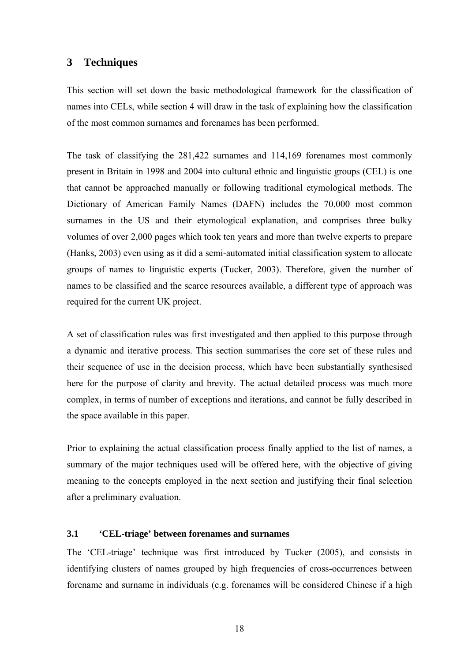# **3 Techniques**

This section will set down the basic methodological framework for the classification of names into CELs, while section 4 will draw in the task of explaining how the classification of the most common surnames and forenames has been performed.

The task of classifying the 281,422 surnames and 114,169 forenames most commonly present in Britain in 1998 and 2004 into cultural ethnic and linguistic groups (CEL) is one that cannot be approached manually or following traditional etymological methods. The Dictionary of American Family Names (DAFN) includes the 70,000 most common surnames in the US and their etymological explanation, and comprises three bulky volumes of over 2,000 pages which took ten years and more than twelve experts to prepare (Hanks, 2003) even using as it did a semi-automated initial classification system to allocate groups of names to linguistic experts (Tucker, 2003). Therefore, given the number of names to be classified and the scarce resources available, a different type of approach was required for the current UK project.

A set of classification rules was first investigated and then applied to this purpose through a dynamic and iterative process. This section summarises the core set of these rules and their sequence of use in the decision process, which have been substantially synthesised here for the purpose of clarity and brevity. The actual detailed process was much more complex, in terms of number of exceptions and iterations, and cannot be fully described in the space available in this paper.

Prior to explaining the actual classification process finally applied to the list of names, a summary of the major techniques used will be offered here, with the objective of giving meaning to the concepts employed in the next section and justifying their final selection after a preliminary evaluation.

# **3.1 'CEL-triage' between forenames and surnames**

The 'CEL-triage' technique was first introduced by Tucker (2005), and consists in identifying clusters of names grouped by high frequencies of cross-occurrences between forename and surname in individuals (e.g. forenames will be considered Chinese if a high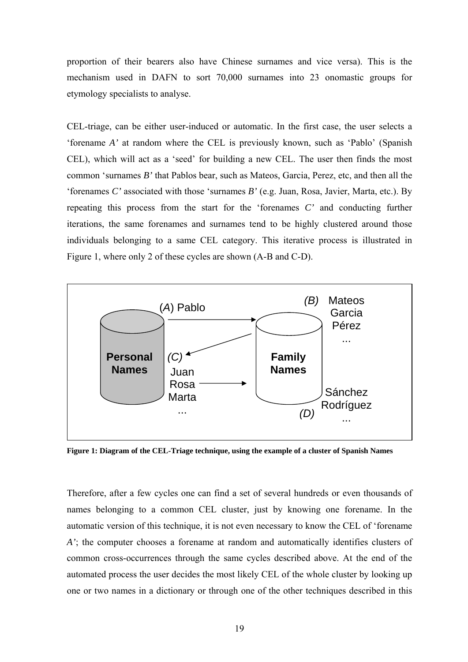proportion of their bearers also have Chinese surnames and vice versa). This is the mechanism used in DAFN to sort 70,000 surnames into 23 onomastic groups for etymology specialists to analyse.

CEL-triage, can be either user-induced or automatic. In the first case, the user selects a 'forename *A'* at random where the CEL is previously known, such as 'Pablo' (Spanish CEL), which will act as a 'seed' for building a new CEL. The user then finds the most common 'surnames *B'* that Pablos bear, such as Mateos, Garcia, Perez, etc, and then all the 'forenames *C'* associated with those 'surnames *B'* (e.g. Juan, Rosa, Javier, Marta, etc.). By repeating this process from the start for the 'forenames *C'* and conducting further iterations, the same forenames and surnames tend to be highly clustered around those individuals belonging to a same CEL category. This iterative process is illustrated in Figure 1, where only 2 of these cycles are shown (A-B and C-D).



**Figure 1: Diagram of the CEL-Triage technique, using the example of a cluster of Spanish Names** 

Therefore, after a few cycles one can find a set of several hundreds or even thousands of names belonging to a common CEL cluster, just by knowing one forename. In the automatic version of this technique, it is not even necessary to know the CEL of 'forename *A'*; the computer chooses a forename at random and automatically identifies clusters of common cross-occurrences through the same cycles described above. At the end of the automated process the user decides the most likely CEL of the whole cluster by looking up one or two names in a dictionary or through one of the other techniques described in this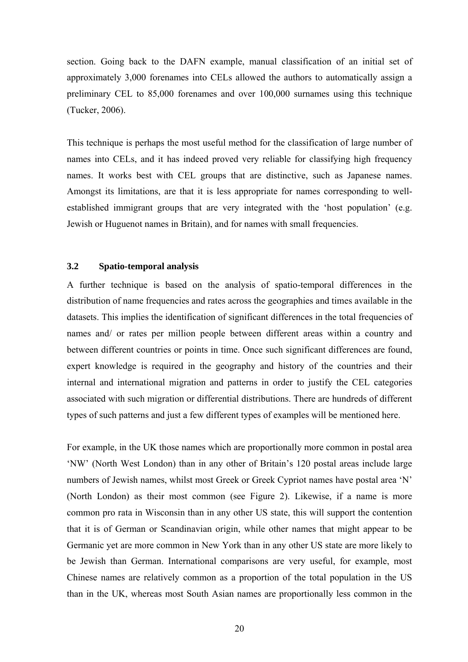section. Going back to the DAFN example, manual classification of an initial set of approximately 3,000 forenames into CELs allowed the authors to automatically assign a preliminary CEL to 85,000 forenames and over 100,000 surnames using this technique (Tucker, 2006).

This technique is perhaps the most useful method for the classification of large number of names into CELs, and it has indeed proved very reliable for classifying high frequency names. It works best with CEL groups that are distinctive, such as Japanese names. Amongst its limitations, are that it is less appropriate for names corresponding to wellestablished immigrant groups that are very integrated with the 'host population' (e.g. Jewish or Huguenot names in Britain), and for names with small frequencies.

## **3.2 Spatio-temporal analysis**

A further technique is based on the analysis of spatio-temporal differences in the distribution of name frequencies and rates across the geographies and times available in the datasets. This implies the identification of significant differences in the total frequencies of names and/ or rates per million people between different areas within a country and between different countries or points in time. Once such significant differences are found, expert knowledge is required in the geography and history of the countries and their internal and international migration and patterns in order to justify the CEL categories associated with such migration or differential distributions. There are hundreds of different types of such patterns and just a few different types of examples will be mentioned here.

For example, in the UK those names which are proportionally more common in postal area 'NW' (North West London) than in any other of Britain's 120 postal areas include large numbers of Jewish names, whilst most Greek or Greek Cypriot names have postal area 'N' (North London) as their most common (see Figure 2). Likewise, if a name is more common pro rata in Wisconsin than in any other US state, this will support the contention that it is of German or Scandinavian origin, while other names that might appear to be Germanic yet are more common in New York than in any other US state are more likely to be Jewish than German. International comparisons are very useful, for example, most Chinese names are relatively common as a proportion of the total population in the US than in the UK, whereas most South Asian names are proportionally less common in the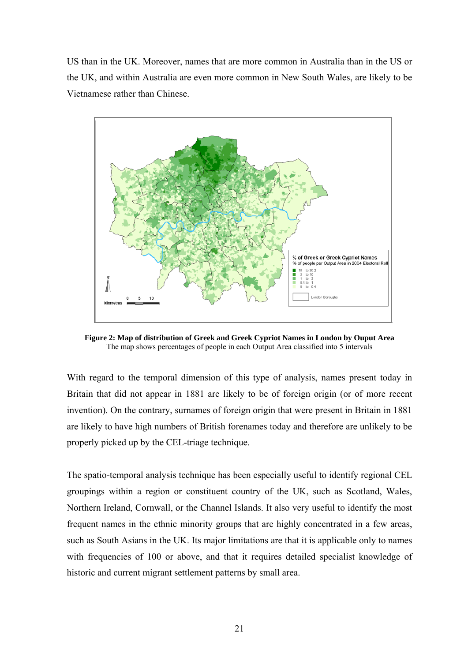US than in the UK. Moreover, names that are more common in Australia than in the US or the UK, and within Australia are even more common in New South Wales, are likely to be Vietnamese rather than Chinese.



**Figure 2: Map of distribution of Greek and Greek Cypriot Names in London by Ouput Area**  The map shows percentages of people in each Output Area classified into 5 intervals

With regard to the temporal dimension of this type of analysis, names present today in Britain that did not appear in 1881 are likely to be of foreign origin (or of more recent invention). On the contrary, surnames of foreign origin that were present in Britain in 1881 are likely to have high numbers of British forenames today and therefore are unlikely to be properly picked up by the CEL-triage technique.

The spatio-temporal analysis technique has been especially useful to identify regional CEL groupings within a region or constituent country of the UK, such as Scotland, Wales, Northern Ireland, Cornwall, or the Channel Islands. It also very useful to identify the most frequent names in the ethnic minority groups that are highly concentrated in a few areas, such as South Asians in the UK. Its major limitations are that it is applicable only to names with frequencies of 100 or above, and that it requires detailed specialist knowledge of historic and current migrant settlement patterns by small area.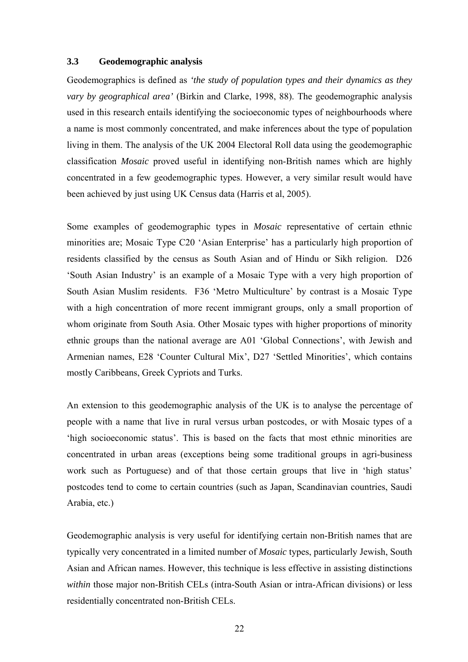#### **3.3 Geodemographic analysis**

Geodemographics is defined as *'the study of population types and their dynamics as they vary by geographical area'* (Birkin and Clarke, 1998, 88). The geodemographic analysis used in this research entails identifying the socioeconomic types of neighbourhoods where a name is most commonly concentrated, and make inferences about the type of population living in them. The analysis of the UK 2004 Electoral Roll data using the geodemographic classification *Mosaic* proved useful in identifying non-British names which are highly concentrated in a few geodemographic types. However, a very similar result would have been achieved by just using UK Census data (Harris et al, 2005).

Some examples of geodemographic types in *Mosaic* representative of certain ethnic minorities are; Mosaic Type C20 'Asian Enterprise' has a particularly high proportion of residents classified by the census as South Asian and of Hindu or Sikh religion. D26 'South Asian Industry' is an example of a Mosaic Type with a very high proportion of South Asian Muslim residents. F36 'Metro Multiculture' by contrast is a Mosaic Type with a high concentration of more recent immigrant groups, only a small proportion of whom originate from South Asia. Other Mosaic types with higher proportions of minority ethnic groups than the national average are A01 'Global Connections', with Jewish and Armenian names, E28 'Counter Cultural Mix', D27 'Settled Minorities', which contains mostly Caribbeans, Greek Cypriots and Turks.

An extension to this geodemographic analysis of the UK is to analyse the percentage of people with a name that live in rural versus urban postcodes, or with Mosaic types of a 'high socioeconomic status'. This is based on the facts that most ethnic minorities are concentrated in urban areas (exceptions being some traditional groups in agri-business work such as Portuguese) and of that those certain groups that live in 'high status' postcodes tend to come to certain countries (such as Japan, Scandinavian countries, Saudi Arabia, etc.)

Geodemographic analysis is very useful for identifying certain non-British names that are typically very concentrated in a limited number of *Mosaic* types, particularly Jewish, South Asian and African names. However, this technique is less effective in assisting distinctions *within* those major non-British CELs (intra-South Asian or intra-African divisions) or less residentially concentrated non-British CELs.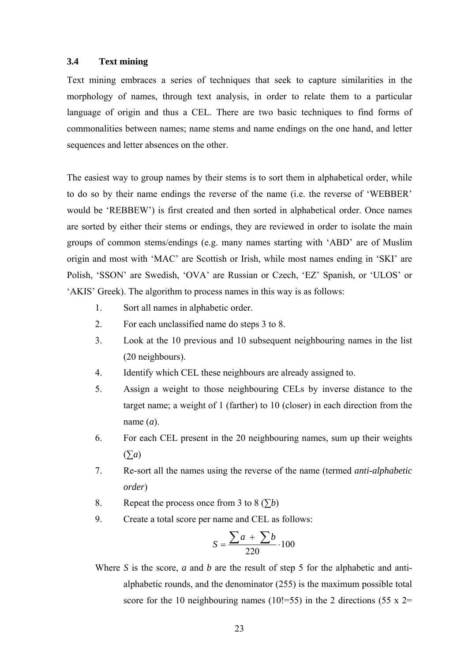#### **3.4 Text mining**

Text mining embraces a series of techniques that seek to capture similarities in the morphology of names, through text analysis, in order to relate them to a particular language of origin and thus a CEL. There are two basic techniques to find forms of commonalities between names; name stems and name endings on the one hand, and letter sequences and letter absences on the other.

The easiest way to group names by their stems is to sort them in alphabetical order, while to do so by their name endings the reverse of the name (i.e. the reverse of 'WEBBER' would be 'REBBEW') is first created and then sorted in alphabetical order. Once names are sorted by either their stems or endings, they are reviewed in order to isolate the main groups of common stems/endings (e.g. many names starting with 'ABD' are of Muslim origin and most with 'MAC' are Scottish or Irish, while most names ending in 'SKI' are Polish, 'SSON' are Swedish, 'OVA' are Russian or Czech, 'EZ' Spanish, or 'ULOS' or 'AKIS' Greek). The algorithm to process names in this way is as follows:

- 1. Sort all names in alphabetic order.
- 2. For each unclassified name do steps 3 to 8.
- 3. Look at the 10 previous and 10 subsequent neighbouring names in the list (20 neighbours).
- 4. Identify which CEL these neighbours are already assigned to.
- 5. Assign a weight to those neighbouring CELs by inverse distance to the target name; a weight of 1 (farther) to 10 (closer) in each direction from the name (*a*).
- 6. For each CEL present in the 20 neighbouring names, sum up their weights (∑*a*)
- 7. Re-sort all the names using the reverse of the name (termed *anti-alphabetic order*)
- 8. Repeat the process once from 3 to 8  $(5b)$
- 9. Create a total score per name and CEL as follows:

$$
S = \frac{\sum a + \sum b}{220} \cdot 100
$$

Where *S* is the score, *a* and *b* are the result of step 5 for the alphabetic and antialphabetic rounds, and the denominator (255) is the maximum possible total score for the 10 neighbouring names (10!=55) in the 2 directions (55 x 2=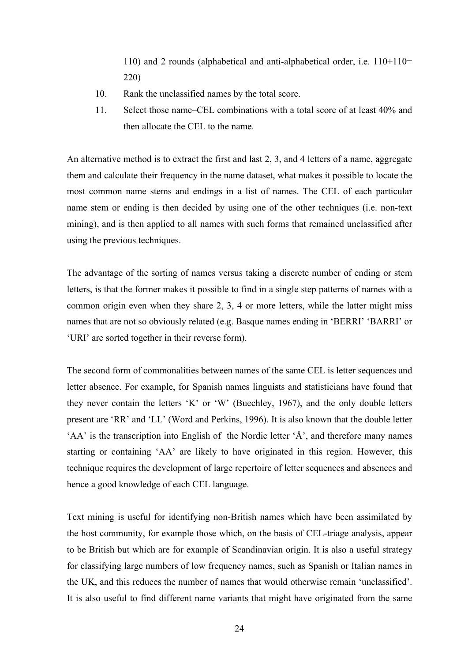110) and 2 rounds (alphabetical and anti-alphabetical order, i.e. 110+110= 220)

- 10. Rank the unclassified names by the total score.
- 11. Select those name–CEL combinations with a total score of at least 40% and then allocate the CEL to the name.

An alternative method is to extract the first and last 2, 3, and 4 letters of a name, aggregate them and calculate their frequency in the name dataset, what makes it possible to locate the most common name stems and endings in a list of names. The CEL of each particular name stem or ending is then decided by using one of the other techniques (i.e. non-text mining), and is then applied to all names with such forms that remained unclassified after using the previous techniques.

The advantage of the sorting of names versus taking a discrete number of ending or stem letters, is that the former makes it possible to find in a single step patterns of names with a common origin even when they share 2, 3, 4 or more letters, while the latter might miss names that are not so obviously related (e.g. Basque names ending in 'BERRI' 'BARRI' or 'URI' are sorted together in their reverse form).

The second form of commonalities between names of the same CEL is letter sequences and letter absence. For example, for Spanish names linguists and statisticians have found that they never contain the letters 'K' or 'W' (Buechley, 1967), and the only double letters present are 'RR' and 'LL' (Word and Perkins, 1996). It is also known that the double letter 'AA' is the transcription into English of the Nordic letter 'Å', and therefore many names starting or containing 'AA' are likely to have originated in this region. However, this technique requires the development of large repertoire of letter sequences and absences and hence a good knowledge of each CEL language.

Text mining is useful for identifying non-British names which have been assimilated by the host community, for example those which, on the basis of CEL-triage analysis, appear to be British but which are for example of Scandinavian origin. It is also a useful strategy for classifying large numbers of low frequency names, such as Spanish or Italian names in the UK, and this reduces the number of names that would otherwise remain 'unclassified'. It is also useful to find different name variants that might have originated from the same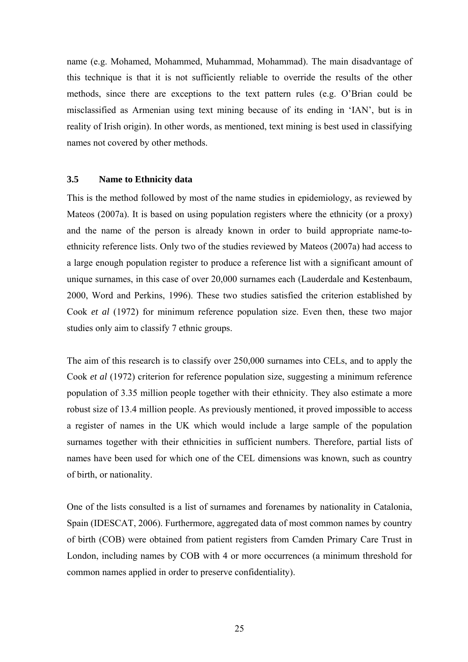name (e.g. Mohamed, Mohammed, Muhammad, Mohammad). The main disadvantage of this technique is that it is not sufficiently reliable to override the results of the other methods, since there are exceptions to the text pattern rules (e.g. O'Brian could be misclassified as Armenian using text mining because of its ending in 'IAN', but is in reality of Irish origin). In other words, as mentioned, text mining is best used in classifying names not covered by other methods.

#### **3.5 Name to Ethnicity data**

This is the method followed by most of the name studies in epidemiology, as reviewed by Mateos (2007a). It is based on using population registers where the ethnicity (or a proxy) and the name of the person is already known in order to build appropriate name-toethnicity reference lists. Only two of the studies reviewed by Mateos (2007a) had access to a large enough population register to produce a reference list with a significant amount of unique surnames, in this case of over 20,000 surnames each (Lauderdale and Kestenbaum, 2000, Word and Perkins, 1996). These two studies satisfied the criterion established by Cook *et al* (1972) for minimum reference population size. Even then, these two major studies only aim to classify 7 ethnic groups.

The aim of this research is to classify over 250,000 surnames into CELs, and to apply the Cook *et al* (1972) criterion for reference population size, suggesting a minimum reference population of 3.35 million people together with their ethnicity. They also estimate a more robust size of 13.4 million people. As previously mentioned, it proved impossible to access a register of names in the UK which would include a large sample of the population surnames together with their ethnicities in sufficient numbers. Therefore, partial lists of names have been used for which one of the CEL dimensions was known, such as country of birth, or nationality.

One of the lists consulted is a list of surnames and forenames by nationality in Catalonia, Spain (IDESCAT, 2006). Furthermore, aggregated data of most common names by country of birth (COB) were obtained from patient registers from Camden Primary Care Trust in London, including names by COB with 4 or more occurrences (a minimum threshold for common names applied in order to preserve confidentiality).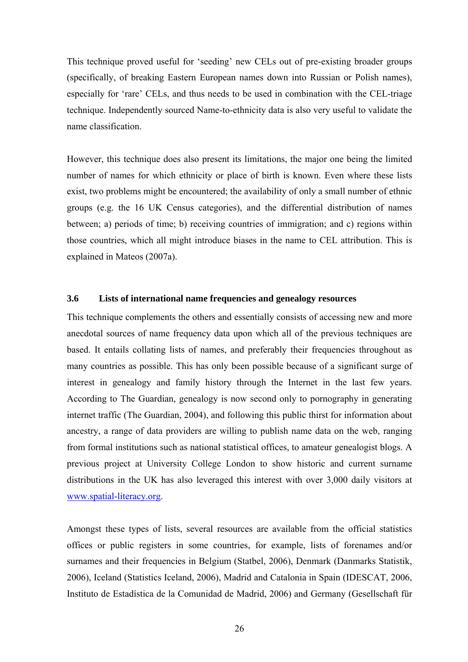This technique proved useful for 'seeding' new CELs out of pre-existing broader groups (specifically, of breaking Eastern European names down into Russian or Polish names), especially for 'rare' CELs, and thus needs to be used in combination with the CEL-triage technique. Independently sourced Name-to-ethnicity data is also very useful to validate the name classification.

However, this technique does also present its limitations, the major one being the limited number of names for which ethnicity or place of birth is known. Even where these lists exist, two problems might be encountered; the availability of only a small number of ethnic groups (e.g. the 16 UK Census categories), and the differential distribution of names between; a) periods of time; b) receiving countries of immigration; and c) regions within those countries, which all might introduce biases in the name to CEL attribution. This is explained in Mateos (2007a).

## **3.6 Lists of international name frequencies and genealogy resources**

This technique complements the others and essentially consists of accessing new and more anecdotal sources of name frequency data upon which all of the previous techniques are based. It entails collating lists of names, and preferably their frequencies throughout as many countries as possible. This has only been possible because of a significant surge of interest in genealogy and family history through the Internet in the last few years. According to The Guardian, genealogy is now second only to pornography in generating internet traffic (The Guardian, 2004), and following this public thirst for information about ancestry, a range of data providers are willing to publish name data on the web, ranging from formal institutions such as national statistical offices, to amateur genealogist blogs. A previous project at University College London to show historic and current surname distributions in the UK has also leveraged this interest with over 3,000 daily visitors at www.spatial-literacy.org.

Amongst these types of lists, several resources are available from the official statistics offices or public registers in some countries, for example, lists of forenames and/or surnames and their frequencies in Belgium (Statbel, 2006), Denmark (Danmarks Statistik, 2006), Iceland (Statistics Iceland, 2006), Madrid and Catalonia in Spain (IDESCAT, 2006, Instituto de Estadística de la Comunidad de Madrid, 2006) and Germany (Gesellschaft für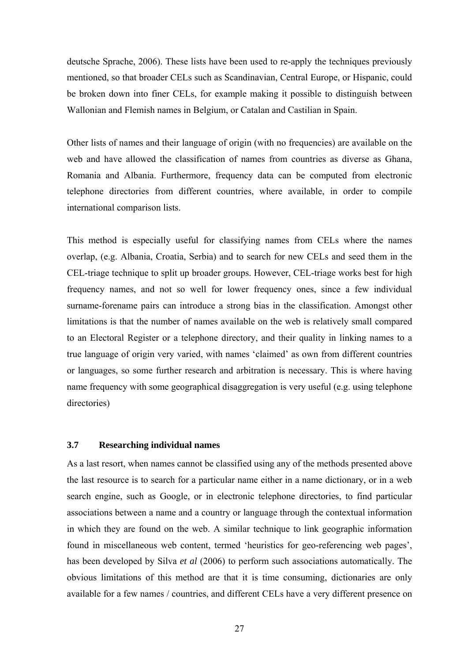deutsche Sprache, 2006). These lists have been used to re-apply the techniques previously mentioned, so that broader CELs such as Scandinavian, Central Europe, or Hispanic, could be broken down into finer CELs, for example making it possible to distinguish between Wallonian and Flemish names in Belgium, or Catalan and Castilian in Spain.

Other lists of names and their language of origin (with no frequencies) are available on the web and have allowed the classification of names from countries as diverse as Ghana, Romania and Albania. Furthermore, frequency data can be computed from electronic telephone directories from different countries, where available, in order to compile international comparison lists.

This method is especially useful for classifying names from CELs where the names overlap, (e.g. Albania, Croatia, Serbia) and to search for new CELs and seed them in the CEL-triage technique to split up broader groups. However, CEL-triage works best for high frequency names, and not so well for lower frequency ones, since a few individual surname-forename pairs can introduce a strong bias in the classification. Amongst other limitations is that the number of names available on the web is relatively small compared to an Electoral Register or a telephone directory, and their quality in linking names to a true language of origin very varied, with names 'claimed' as own from different countries or languages, so some further research and arbitration is necessary. This is where having name frequency with some geographical disaggregation is very useful (e.g. using telephone directories)

## **3.7 Researching individual names**

As a last resort, when names cannot be classified using any of the methods presented above the last resource is to search for a particular name either in a name dictionary, or in a web search engine, such as Google, or in electronic telephone directories, to find particular associations between a name and a country or language through the contextual information in which they are found on the web. A similar technique to link geographic information found in miscellaneous web content, termed 'heuristics for geo-referencing web pages', has been developed by Silva *et al* (2006) to perform such associations automatically. The obvious limitations of this method are that it is time consuming, dictionaries are only available for a few names / countries, and different CELs have a very different presence on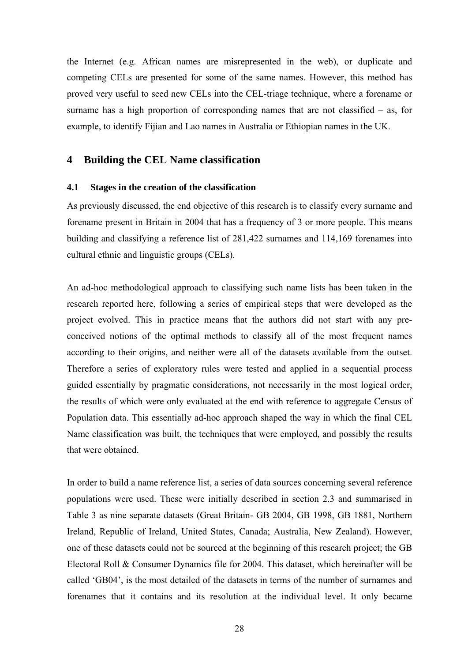the Internet (e.g. African names are misrepresented in the web), or duplicate and competing CELs are presented for some of the same names. However, this method has proved very useful to seed new CELs into the CEL-triage technique, where a forename or surname has a high proportion of corresponding names that are not classified – as, for example, to identify Fijian and Lao names in Australia or Ethiopian names in the UK.

# **4 Building the CEL Name classification**

#### **4.1 Stages in the creation of the classification**

As previously discussed, the end objective of this research is to classify every surname and forename present in Britain in 2004 that has a frequency of 3 or more people. This means building and classifying a reference list of 281,422 surnames and 114,169 forenames into cultural ethnic and linguistic groups (CELs).

An ad-hoc methodological approach to classifying such name lists has been taken in the research reported here, following a series of empirical steps that were developed as the project evolved. This in practice means that the authors did not start with any preconceived notions of the optimal methods to classify all of the most frequent names according to their origins, and neither were all of the datasets available from the outset. Therefore a series of exploratory rules were tested and applied in a sequential process guided essentially by pragmatic considerations, not necessarily in the most logical order, the results of which were only evaluated at the end with reference to aggregate Census of Population data. This essentially ad-hoc approach shaped the way in which the final CEL Name classification was built, the techniques that were employed, and possibly the results that were obtained.

In order to build a name reference list, a series of data sources concerning several reference populations were used. These were initially described in section 2.3 and summarised in Table 3 as nine separate datasets (Great Britain- GB 2004, GB 1998, GB 1881, Northern Ireland, Republic of Ireland, United States, Canada; Australia, New Zealand). However, one of these datasets could not be sourced at the beginning of this research project; the GB Electoral Roll & Consumer Dynamics file for 2004. This dataset, which hereinafter will be called 'GB04', is the most detailed of the datasets in terms of the number of surnames and forenames that it contains and its resolution at the individual level. It only became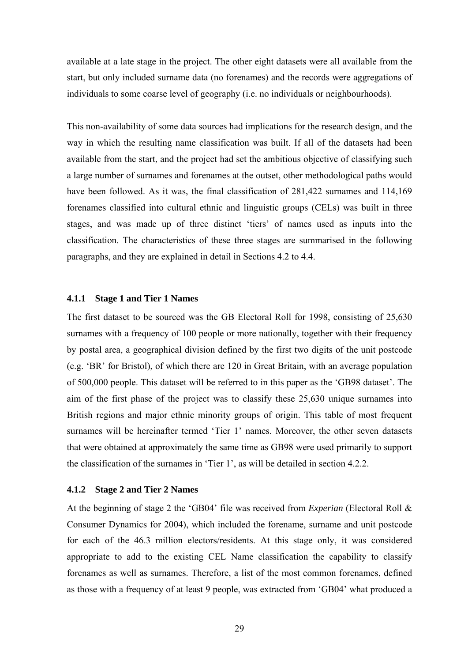available at a late stage in the project. The other eight datasets were all available from the start, but only included surname data (no forenames) and the records were aggregations of individuals to some coarse level of geography (i.e. no individuals or neighbourhoods).

This non-availability of some data sources had implications for the research design, and the way in which the resulting name classification was built. If all of the datasets had been available from the start, and the project had set the ambitious objective of classifying such a large number of surnames and forenames at the outset, other methodological paths would have been followed. As it was, the final classification of 281,422 surnames and 114,169 forenames classified into cultural ethnic and linguistic groups (CELs) was built in three stages, and was made up of three distinct 'tiers' of names used as inputs into the classification. The characteristics of these three stages are summarised in the following paragraphs, and they are explained in detail in Sections 4.2 to 4.4.

#### **4.1.1 Stage 1 and Tier 1 Names**

The first dataset to be sourced was the GB Electoral Roll for 1998, consisting of 25,630 surnames with a frequency of 100 people or more nationally, together with their frequency by postal area, a geographical division defined by the first two digits of the unit postcode (e.g. 'BR' for Bristol), of which there are 120 in Great Britain, with an average population of 500,000 people. This dataset will be referred to in this paper as the 'GB98 dataset'. The aim of the first phase of the project was to classify these 25,630 unique surnames into British regions and major ethnic minority groups of origin. This table of most frequent surnames will be hereinafter termed 'Tier 1' names. Moreover, the other seven datasets that were obtained at approximately the same time as GB98 were used primarily to support the classification of the surnames in 'Tier 1', as will be detailed in section 4.2.2.

#### **4.1.2 Stage 2 and Tier 2 Names**

At the beginning of stage 2 the 'GB04' file was received from *Experian* (Electoral Roll & Consumer Dynamics for 2004), which included the forename, surname and unit postcode for each of the 46.3 million electors/residents. At this stage only, it was considered appropriate to add to the existing CEL Name classification the capability to classify forenames as well as surnames. Therefore, a list of the most common forenames, defined as those with a frequency of at least 9 people, was extracted from 'GB04' what produced a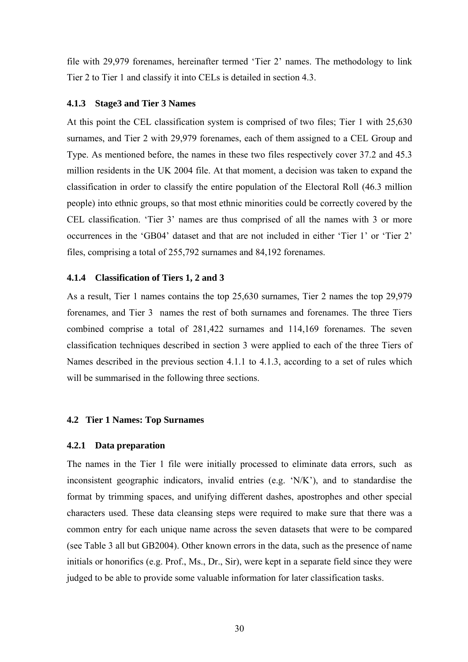file with 29,979 forenames, hereinafter termed 'Tier 2' names. The methodology to link Tier 2 to Tier 1 and classify it into CELs is detailed in section 4.3.

#### **4.1.3 Stage3 and Tier 3 Names**

At this point the CEL classification system is comprised of two files; Tier 1 with 25,630 surnames, and Tier 2 with 29,979 forenames, each of them assigned to a CEL Group and Type. As mentioned before, the names in these two files respectively cover 37.2 and 45.3 million residents in the UK 2004 file. At that moment, a decision was taken to expand the classification in order to classify the entire population of the Electoral Roll (46.3 million people) into ethnic groups, so that most ethnic minorities could be correctly covered by the CEL classification. 'Tier 3' names are thus comprised of all the names with 3 or more occurrences in the 'GB04' dataset and that are not included in either 'Tier 1' or 'Tier 2' files, comprising a total of 255,792 surnames and 84,192 forenames.

#### **4.1.4 Classification of Tiers 1, 2 and 3**

As a result, Tier 1 names contains the top 25,630 surnames, Tier 2 names the top 29,979 forenames, and Tier 3 names the rest of both surnames and forenames. The three Tiers combined comprise a total of 281,422 surnames and 114,169 forenames. The seven classification techniques described in section 3 were applied to each of the three Tiers of Names described in the previous section 4.1.1 to 4.1.3, according to a set of rules which will be summarised in the following three sections.

#### **4.2 Tier 1 Names: Top Surnames**

#### **4.2.1 Data preparation**

The names in the Tier 1 file were initially processed to eliminate data errors, such as inconsistent geographic indicators, invalid entries (e.g. 'N/K'), and to standardise the format by trimming spaces, and unifying different dashes, apostrophes and other special characters used. These data cleansing steps were required to make sure that there was a common entry for each unique name across the seven datasets that were to be compared (see Table 3 all but GB2004). Other known errors in the data, such as the presence of name initials or honorifics (e.g. Prof., Ms., Dr., Sir), were kept in a separate field since they were judged to be able to provide some valuable information for later classification tasks.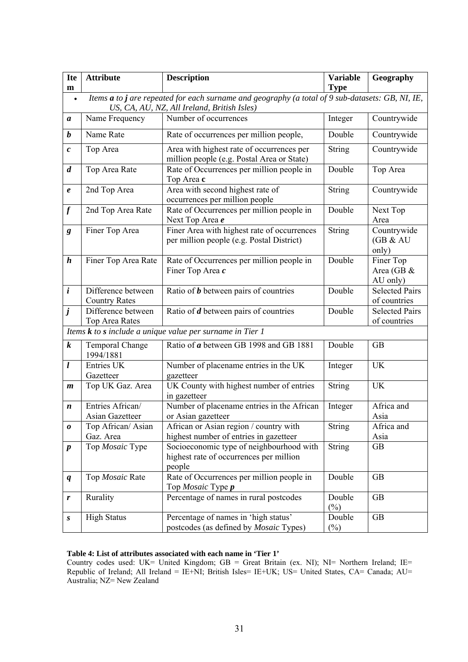| <b>Ite</b><br>m  | <b>Attribute</b>                                                                                                                                | <b>Description</b>                                                                            | <b>Variable</b><br><b>Type</b> | Geography                             |  |  |  |  |  |  |
|------------------|-------------------------------------------------------------------------------------------------------------------------------------------------|-----------------------------------------------------------------------------------------------|--------------------------------|---------------------------------------|--|--|--|--|--|--|
| $\bullet$        | Items a to j are repeated for each surname and geography (a total of 9 sub-datasets: GB, NI, IE,<br>US, CA, AU, NZ, All Ireland, British Isles) |                                                                                               |                                |                                       |  |  |  |  |  |  |
| a                | Name Frequency                                                                                                                                  | Number of occurrences                                                                         | Integer                        | Countrywide                           |  |  |  |  |  |  |
| $\boldsymbol{b}$ | Name Rate                                                                                                                                       | Rate of occurrences per million people,                                                       | Double                         | Countrywide                           |  |  |  |  |  |  |
| $\boldsymbol{c}$ | Top Area                                                                                                                                        | Area with highest rate of occurrences per<br>million people (e.g. Postal Area or State)       | String                         | Countrywide                           |  |  |  |  |  |  |
| $\boldsymbol{d}$ | Top Area Rate                                                                                                                                   | Rate of Occurrences per million people in<br>Top Area c                                       | Double                         | Top Area                              |  |  |  |  |  |  |
| $\pmb{e}$        | 2nd Top Area                                                                                                                                    | Area with second highest rate of<br>occurrences per million people                            | <b>String</b>                  | Countrywide                           |  |  |  |  |  |  |
| $\boldsymbol{f}$ | 2nd Top Area Rate                                                                                                                               | Rate of Occurrences per million people in<br>Next Top Area e                                  | Double                         | Next Top<br>Area                      |  |  |  |  |  |  |
| g                | Finer Top Area                                                                                                                                  | Finer Area with highest rate of occurrences<br>per million people (e.g. Postal District)      | String                         | Countrywide<br>(GB & AU)<br>only)     |  |  |  |  |  |  |
| $\boldsymbol{h}$ | Finer Top Area Rate                                                                                                                             | Rate of Occurrences per million people in<br>Finer Top Area c                                 | Double                         | Finer Top<br>Area (GB &<br>AU only)   |  |  |  |  |  |  |
| $\boldsymbol{i}$ | Difference between<br><b>Country Rates</b>                                                                                                      | Ratio of $b$ between pairs of countries                                                       | Double                         | <b>Selected Pairs</b><br>of countries |  |  |  |  |  |  |
| $\dot{J}$        | Difference between<br>Top Area Rates                                                                                                            | Ratio of $d$ between pairs of countries                                                       | Double                         | <b>Selected Pairs</b><br>of countries |  |  |  |  |  |  |
|                  |                                                                                                                                                 | Items $k$ to $s$ include a unique value per surname in Tier 1                                 |                                |                                       |  |  |  |  |  |  |
| $\boldsymbol{k}$ | <b>Temporal Change</b><br>1994/1881                                                                                                             | Ratio of a between GB 1998 and GB 1881                                                        | Double                         | <b>GB</b>                             |  |  |  |  |  |  |
| $\mathbf{l}$     | Entries UK<br>Gazetteer                                                                                                                         | Number of placename entries in the UK<br>gazetteer                                            | Integer                        | <b>UK</b>                             |  |  |  |  |  |  |
| $\boldsymbol{m}$ | Top UK Gaz. Area                                                                                                                                | UK County with highest number of entries<br>in gazetteer                                      | String                         | <b>UK</b>                             |  |  |  |  |  |  |
| n                | Entries African/<br>Asian Gazetteer                                                                                                             | Number of placename entries in the African<br>or Asian gazetteer                              | Integer                        | Africa and<br>Asia                    |  |  |  |  |  |  |
| 0                | Top African/Asian<br>Gaz. Area                                                                                                                  | African or Asian region / country with<br>highest number of entries in gazetteer              | String                         | Africa and<br>Asia                    |  |  |  |  |  |  |
| $\boldsymbol{p}$ | Top Mosaic Type                                                                                                                                 | Socioeconomic type of neighbourhood with<br>highest rate of occurrences per million<br>people | <b>String</b>                  | <b>GB</b>                             |  |  |  |  |  |  |
| q                | Top Mosaic Rate                                                                                                                                 | Rate of Occurrences per million people in<br>Top Mosaic Type p                                | Double                         | <b>GB</b>                             |  |  |  |  |  |  |
| r                | Rurality                                                                                                                                        | Percentage of names in rural postcodes                                                        | Double<br>$(\%)$               | <b>GB</b>                             |  |  |  |  |  |  |
| S                | <b>High Status</b>                                                                                                                              | Percentage of names in 'high status'<br>postcodes (as defined by <i>Mosaic</i> Types)         | Double<br>$(\%)$               | <b>GB</b>                             |  |  |  |  |  |  |

#### **Table 4: List of attributes associated with each name in 'Tier 1'**

Country codes used: UK= United Kingdom; GB = Great Britain (ex. NI); NI= Northern Ireland; IE= Republic of Ireland; All Ireland = IE+NI; British Isles= IE+UK; US= United States, CA= Canada; AU= Australia; NZ= New Zealand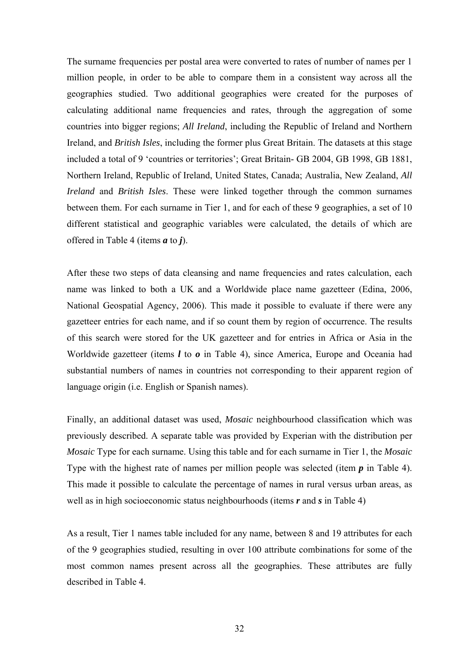The surname frequencies per postal area were converted to rates of number of names per 1 million people, in order to be able to compare them in a consistent way across all the geographies studied. Two additional geographies were created for the purposes of calculating additional name frequencies and rates, through the aggregation of some countries into bigger regions; *All Ireland*, including the Republic of Ireland and Northern Ireland, and *British Isles*, including the former plus Great Britain. The datasets at this stage included a total of 9 'countries or territories'; Great Britain- GB 2004, GB 1998, GB 1881, Northern Ireland, Republic of Ireland, United States, Canada; Australia, New Zealand, *All Ireland* and *British Isles*. These were linked together through the common surnames between them. For each surname in Tier 1, and for each of these 9 geographies, a set of 10 different statistical and geographic variables were calculated, the details of which are offered in Table 4 (items *a* to *j*).

After these two steps of data cleansing and name frequencies and rates calculation, each name was linked to both a UK and a Worldwide place name gazetteer (Edina, 2006, National Geospatial Agency, 2006). This made it possible to evaluate if there were any gazetteer entries for each name, and if so count them by region of occurrence. The results of this search were stored for the UK gazetteer and for entries in Africa or Asia in the Worldwide gazetteer (items *l* to *o* in Table 4), since America, Europe and Oceania had substantial numbers of names in countries not corresponding to their apparent region of language origin (i.e. English or Spanish names).

Finally, an additional dataset was used, *Mosaic* neighbourhood classification which was previously described. A separate table was provided by Experian with the distribution per *Mosaic* Type for each surname. Using this table and for each surname in Tier 1, the *Mosaic* Type with the highest rate of names per million people was selected (item *p* in Table 4). This made it possible to calculate the percentage of names in rural versus urban areas, as well as in high socioeconomic status neighbourhoods (items *r* and *s* in Table 4)

As a result, Tier 1 names table included for any name, between 8 and 19 attributes for each of the 9 geographies studied, resulting in over 100 attribute combinations for some of the most common names present across all the geographies. These attributes are fully described in Table 4.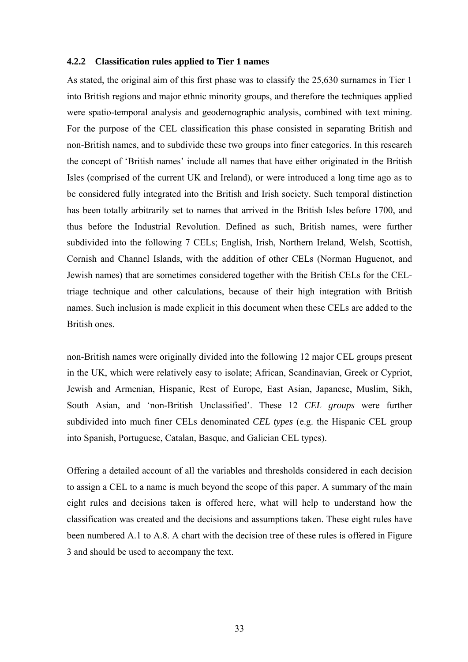#### **4.2.2 Classification rules applied to Tier 1 names**

As stated, the original aim of this first phase was to classify the 25,630 surnames in Tier 1 into British regions and major ethnic minority groups, and therefore the techniques applied were spatio-temporal analysis and geodemographic analysis, combined with text mining. For the purpose of the CEL classification this phase consisted in separating British and non-British names, and to subdivide these two groups into finer categories. In this research the concept of 'British names' include all names that have either originated in the British Isles (comprised of the current UK and Ireland), or were introduced a long time ago as to be considered fully integrated into the British and Irish society. Such temporal distinction has been totally arbitrarily set to names that arrived in the British Isles before 1700, and thus before the Industrial Revolution. Defined as such, British names, were further subdivided into the following 7 CELs; English, Irish, Northern Ireland, Welsh, Scottish, Cornish and Channel Islands, with the addition of other CELs (Norman Huguenot, and Jewish names) that are sometimes considered together with the British CELs for the CELtriage technique and other calculations, because of their high integration with British names. Such inclusion is made explicit in this document when these CELs are added to the British ones.

non-British names were originally divided into the following 12 major CEL groups present in the UK, which were relatively easy to isolate; African, Scandinavian, Greek or Cypriot, Jewish and Armenian, Hispanic, Rest of Europe, East Asian, Japanese, Muslim, Sikh, South Asian, and 'non-British Unclassified'. These 12 *CEL groups* were further subdivided into much finer CELs denominated *CEL types* (e.g. the Hispanic CEL group into Spanish, Portuguese, Catalan, Basque, and Galician CEL types).

Offering a detailed account of all the variables and thresholds considered in each decision to assign a CEL to a name is much beyond the scope of this paper. A summary of the main eight rules and decisions taken is offered here, what will help to understand how the classification was created and the decisions and assumptions taken. These eight rules have been numbered A.1 to A.8. A chart with the decision tree of these rules is offered in Figure 3 and should be used to accompany the text.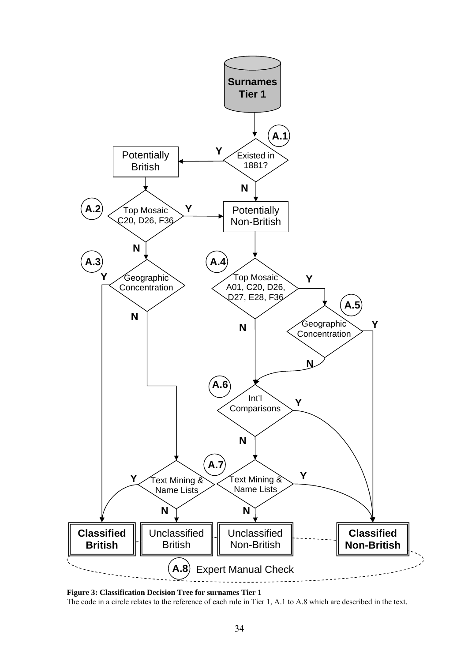

**Figure 3: Classification Decision Tree for surnames Tier 1**  The code in a circle relates to the reference of each rule in Tier 1, A.1 to A.8 which are described in the text.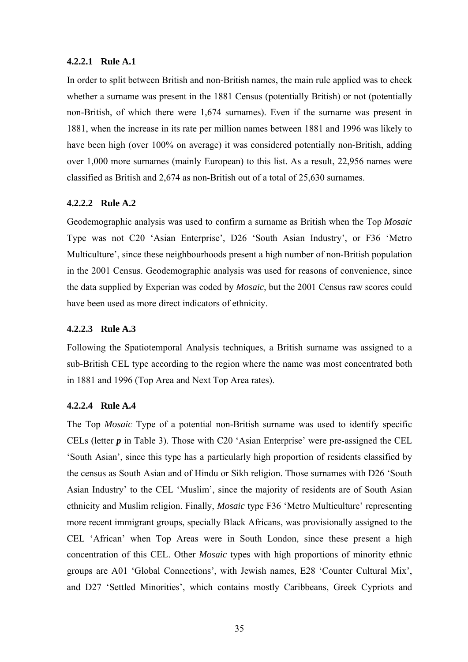#### **4.2.2.1 Rule A.1**

In order to split between British and non-British names, the main rule applied was to check whether a surname was present in the 1881 Census (potentially British) or not (potentially non-British, of which there were 1,674 surnames). Even if the surname was present in 1881, when the increase in its rate per million names between 1881 and 1996 was likely to have been high (over 100% on average) it was considered potentially non-British, adding over 1,000 more surnames (mainly European) to this list. As a result, 22,956 names were classified as British and 2,674 as non-British out of a total of 25,630 surnames.

## **4.2.2.2 Rule A.2**

Geodemographic analysis was used to confirm a surname as British when the Top *Mosaic* Type was not C20 'Asian Enterprise', D26 'South Asian Industry', or F36 'Metro Multiculture', since these neighbourhoods present a high number of non-British population in the 2001 Census. Geodemographic analysis was used for reasons of convenience, since the data supplied by Experian was coded by *Mosaic*, but the 2001 Census raw scores could have been used as more direct indicators of ethnicity.

## **4.2.2.3 Rule A.3**

Following the Spatiotemporal Analysis techniques, a British surname was assigned to a sub-British CEL type according to the region where the name was most concentrated both in 1881 and 1996 (Top Area and Next Top Area rates).

## **4.2.2.4 Rule A.4**

The Top *Mosaic* Type of a potential non-British surname was used to identify specific CELs (letter *p* in Table 3). Those with C20 'Asian Enterprise' were pre-assigned the CEL 'South Asian', since this type has a particularly high proportion of residents classified by the census as South Asian and of Hindu or Sikh religion. Those surnames with D26 'South Asian Industry' to the CEL 'Muslim', since the majority of residents are of South Asian ethnicity and Muslim religion. Finally, *Mosaic* type F36 'Metro Multiculture' representing more recent immigrant groups, specially Black Africans, was provisionally assigned to the CEL 'African' when Top Areas were in South London, since these present a high concentration of this CEL. Other *Mosaic* types with high proportions of minority ethnic groups are A01 'Global Connections', with Jewish names, E28 'Counter Cultural Mix', and D27 'Settled Minorities', which contains mostly Caribbeans, Greek Cypriots and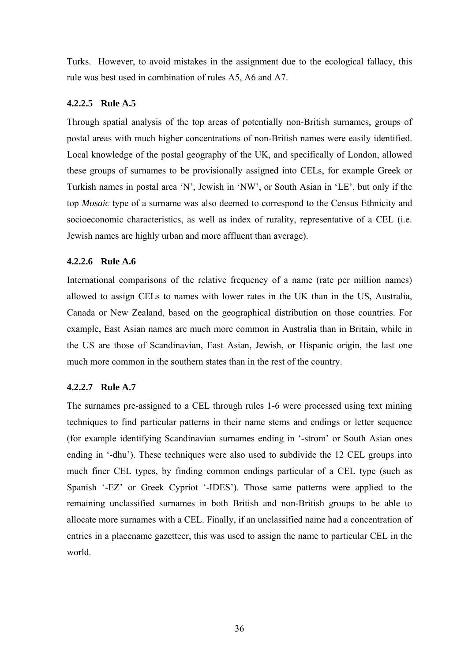Turks. However, to avoid mistakes in the assignment due to the ecological fallacy, this rule was best used in combination of rules A5, A6 and A7.

## **4.2.2.5 Rule A.5**

Through spatial analysis of the top areas of potentially non-British surnames, groups of postal areas with much higher concentrations of non-British names were easily identified. Local knowledge of the postal geography of the UK, and specifically of London, allowed these groups of surnames to be provisionally assigned into CELs, for example Greek or Turkish names in postal area 'N', Jewish in 'NW', or South Asian in 'LE', but only if the top *Mosaic* type of a surname was also deemed to correspond to the Census Ethnicity and socioeconomic characteristics, as well as index of rurality, representative of a CEL (i.e. Jewish names are highly urban and more affluent than average).

## **4.2.2.6 Rule A.6**

International comparisons of the relative frequency of a name (rate per million names) allowed to assign CELs to names with lower rates in the UK than in the US, Australia, Canada or New Zealand, based on the geographical distribution on those countries. For example, East Asian names are much more common in Australia than in Britain, while in the US are those of Scandinavian, East Asian, Jewish, or Hispanic origin, the last one much more common in the southern states than in the rest of the country.

# **4.2.2.7 Rule A.7**

The surnames pre-assigned to a CEL through rules 1-6 were processed using text mining techniques to find particular patterns in their name stems and endings or letter sequence (for example identifying Scandinavian surnames ending in '-strom' or South Asian ones ending in '-dhu'). These techniques were also used to subdivide the 12 CEL groups into much finer CEL types, by finding common endings particular of a CEL type (such as Spanish '-EZ' or Greek Cypriot '-IDES'). Those same patterns were applied to the remaining unclassified surnames in both British and non-British groups to be able to allocate more surnames with a CEL. Finally, if an unclassified name had a concentration of entries in a placename gazetteer, this was used to assign the name to particular CEL in the world.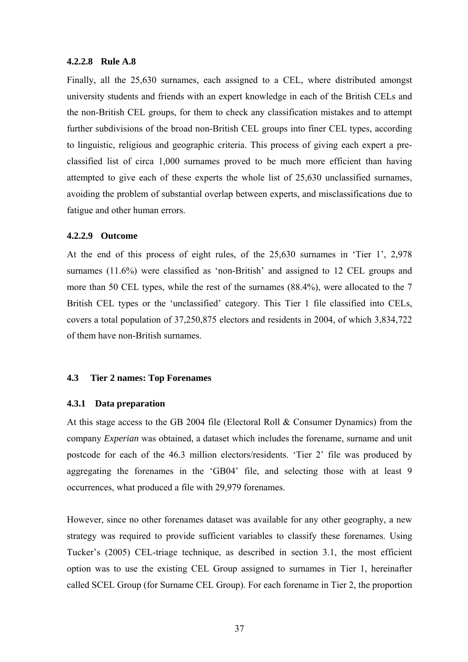#### **4.2.2.8 Rule A.8**

Finally, all the 25,630 surnames, each assigned to a CEL, where distributed amongst university students and friends with an expert knowledge in each of the British CELs and the non-British CEL groups, for them to check any classification mistakes and to attempt further subdivisions of the broad non-British CEL groups into finer CEL types, according to linguistic, religious and geographic criteria. This process of giving each expert a preclassified list of circa 1,000 surnames proved to be much more efficient than having attempted to give each of these experts the whole list of 25,630 unclassified surnames, avoiding the problem of substantial overlap between experts, and misclassifications due to fatigue and other human errors.

#### **4.2.2.9 Outcome**

At the end of this process of eight rules, of the 25,630 surnames in 'Tier 1', 2,978 surnames (11.6%) were classified as 'non-British' and assigned to 12 CEL groups and more than 50 CEL types, while the rest of the surnames  $(88.4\%)$ , were allocated to the 7 British CEL types or the 'unclassified' category. This Tier 1 file classified into CELs, covers a total population of 37,250,875 electors and residents in 2004, of which 3,834,722 of them have non-British surnames.

## **4.3 Tier 2 names: Top Forenames**

#### **4.3.1 Data preparation**

At this stage access to the GB 2004 file (Electoral Roll & Consumer Dynamics) from the company *Experian* was obtained, a dataset which includes the forename, surname and unit postcode for each of the 46.3 million electors/residents. 'Tier 2' file was produced by aggregating the forenames in the 'GB04' file, and selecting those with at least 9 occurrences, what produced a file with 29,979 forenames.

However, since no other forenames dataset was available for any other geography, a new strategy was required to provide sufficient variables to classify these forenames. Using Tucker's (2005) CEL-triage technique, as described in section 3.1, the most efficient option was to use the existing CEL Group assigned to surnames in Tier 1, hereinafter called SCEL Group (for Surname CEL Group). For each forename in Tier 2, the proportion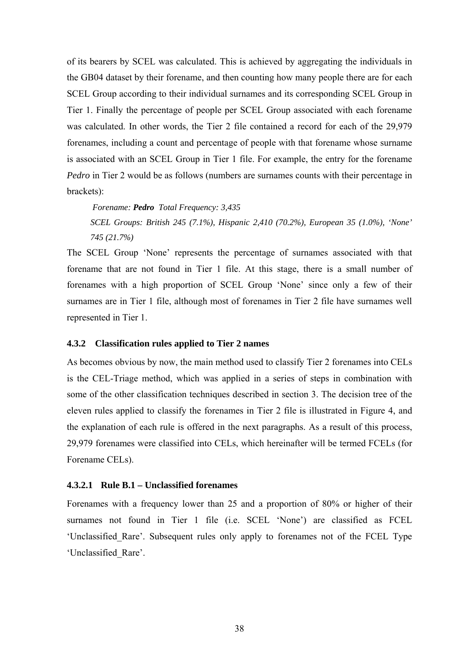of its bearers by SCEL was calculated. This is achieved by aggregating the individuals in the GB04 dataset by their forename, and then counting how many people there are for each SCEL Group according to their individual surnames and its corresponding SCEL Group in Tier 1. Finally the percentage of people per SCEL Group associated with each forename was calculated. In other words, the Tier 2 file contained a record for each of the 29,979 forenames, including a count and percentage of people with that forename whose surname is associated with an SCEL Group in Tier 1 file. For example, the entry for the forename *Pedro* in Tier 2 would be as follows (numbers are surnames counts with their percentage in brackets):

 *Forename: Pedro Total Frequency: 3,435 SCEL Groups: British 245 (7.1%), Hispanic 2,410 (70.2%), European 35 (1.0%), 'None' 745 (21.7%)* 

The SCEL Group 'None' represents the percentage of surnames associated with that forename that are not found in Tier 1 file. At this stage, there is a small number of forenames with a high proportion of SCEL Group 'None' since only a few of their surnames are in Tier 1 file, although most of forenames in Tier 2 file have surnames well represented in Tier 1.

#### **4.3.2 Classification rules applied to Tier 2 names**

As becomes obvious by now, the main method used to classify Tier 2 forenames into CELs is the CEL-Triage method, which was applied in a series of steps in combination with some of the other classification techniques described in section 3. The decision tree of the eleven rules applied to classify the forenames in Tier 2 file is illustrated in Figure 4, and the explanation of each rule is offered in the next paragraphs. As a result of this process, 29,979 forenames were classified into CELs, which hereinafter will be termed FCELs (for Forename CELs).

#### **4.3.2.1 Rule B.1 – Unclassified forenames**

Forenames with a frequency lower than 25 and a proportion of 80% or higher of their surnames not found in Tier 1 file (i.e. SCEL 'None') are classified as FCEL 'Unclassified\_Rare'. Subsequent rules only apply to forenames not of the FCEL Type 'Unclassified\_Rare'.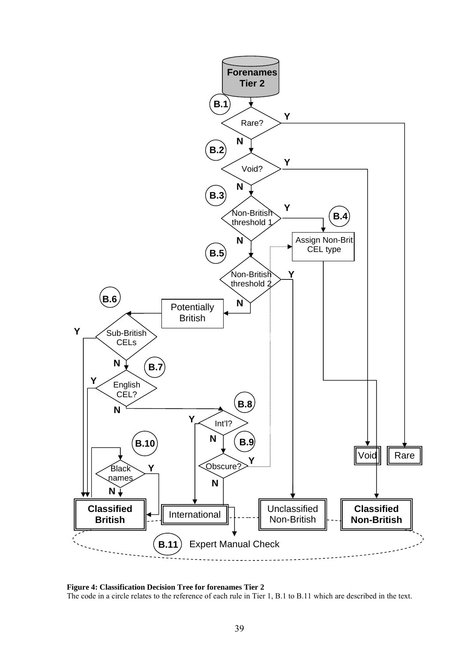

**Figure 4: Classification Decision Tree for forenames Tier 2**  The code in a circle relates to the reference of each rule in Tier 1, B.1 to B.11 which are described in the text.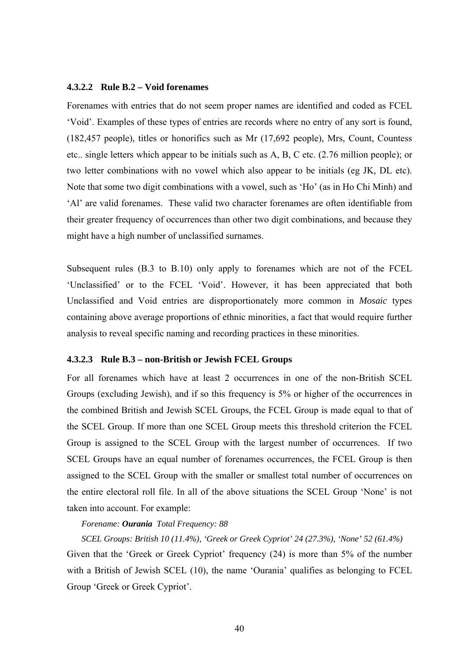#### **4.3.2.2 Rule B.2 – Void forenames**

Forenames with entries that do not seem proper names are identified and coded as FCEL 'Void'. Examples of these types of entries are records where no entry of any sort is found, (182,457 people), titles or honorifics such as Mr (17,692 people), Mrs, Count, Countess etc.. single letters which appear to be initials such as A, B, C etc. (2.76 million people); or two letter combinations with no vowel which also appear to be initials (eg JK, DL etc). Note that some two digit combinations with a vowel, such as 'Ho' (as in Ho Chi Minh) and 'Al' are valid forenames. These valid two character forenames are often identifiable from their greater frequency of occurrences than other two digit combinations, and because they might have a high number of unclassified surnames.

Subsequent rules (B.3 to B.10) only apply to forenames which are not of the FCEL 'Unclassified' or to the FCEL 'Void'. However, it has been appreciated that both Unclassified and Void entries are disproportionately more common in *Mosaic* types containing above average proportions of ethnic minorities, a fact that would require further analysis to reveal specific naming and recording practices in these minorities.

#### **4.3.2.3 Rule B.3 – non-British or Jewish FCEL Groups**

For all forenames which have at least 2 occurrences in one of the non-British SCEL Groups (excluding Jewish), and if so this frequency is 5% or higher of the occurrences in the combined British and Jewish SCEL Groups, the FCEL Group is made equal to that of the SCEL Group. If more than one SCEL Group meets this threshold criterion the FCEL Group is assigned to the SCEL Group with the largest number of occurrences. If two SCEL Groups have an equal number of forenames occurrences, the FCEL Group is then assigned to the SCEL Group with the smaller or smallest total number of occurrences on the entire electoral roll file. In all of the above situations the SCEL Group 'None' is not taken into account. For example:

#### *Forename: Ourania Total Frequency: 88*

*SCEL Groups: British 10 (11.4%), 'Greek or Greek Cypriot' 24 (27.3%), 'None' 52 (61.4%)*  Given that the 'Greek or Greek Cypriot' frequency (24) is more than 5% of the number with a British of Jewish SCEL (10), the name 'Ourania' qualifies as belonging to FCEL Group 'Greek or Greek Cypriot'.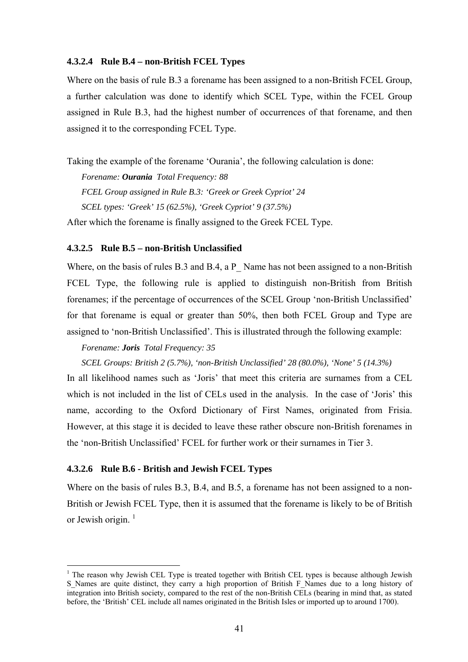#### **4.3.2.4 Rule B.4 – non-British FCEL Types**

Where on the basis of rule B.3 a forename has been assigned to a non-British FCEL Group, a further calculation was done to identify which SCEL Type, within the FCEL Group assigned in Rule B.3, had the highest number of occurrences of that forename, and then assigned it to the corresponding FCEL Type.

Taking the example of the forename 'Ourania', the following calculation is done:

*Forename: Ourania Total Frequency: 88 FCEL Group assigned in Rule B.3: 'Greek or Greek Cypriot' 24 SCEL types: 'Greek' 15 (62.5%), 'Greek Cypriot' 9 (37.5%)*  After which the forename is finally assigned to the Greek FCEL Type.

#### **4.3.2.5 Rule B.5 – non-British Unclassified**

Where, on the basis of rules B.3 and B.4, a P\_ Name has not been assigned to a non-British FCEL Type, the following rule is applied to distinguish non-British from British forenames; if the percentage of occurrences of the SCEL Group 'non-British Unclassified' for that forename is equal or greater than 50%, then both FCEL Group and Type are assigned to 'non-British Unclassified'. This is illustrated through the following example:

#### *Forename: Joris Total Frequency: 35*

#### *SCEL Groups: British 2 (5.7%), 'non-British Unclassified' 28 (80.0%), 'None' 5 (14.3%)*

In all likelihood names such as 'Joris' that meet this criteria are surnames from a CEL which is not included in the list of CELs used in the analysis. In the case of 'Joris' this name, according to the Oxford Dictionary of First Names, originated from Frisia. However, at this stage it is decided to leave these rather obscure non-British forenames in the 'non-British Unclassified' FCEL for further work or their surnames in Tier 3.

## **4.3.2.6 Rule B.6 - British and Jewish FCEL Types**

<u>.</u>

Where on the basis of rules B.3, B.4, and B.5, a forename has not been assigned to a non-British or Jewish FCEL Type, then it is assumed that the forename is likely to be of British or Jewish origin.  $<sup>1</sup>$ </sup>

 $1$  The reason why Jewish CEL Type is treated together with British CEL types is because although Jewish S\_Names are quite distinct, they carry a high proportion of British F\_Names due to a long history of integration into British society, compared to the rest of the non-British CELs (bearing in mind that, as stated before, the 'British' CEL include all names originated in the British Isles or imported up to around 1700).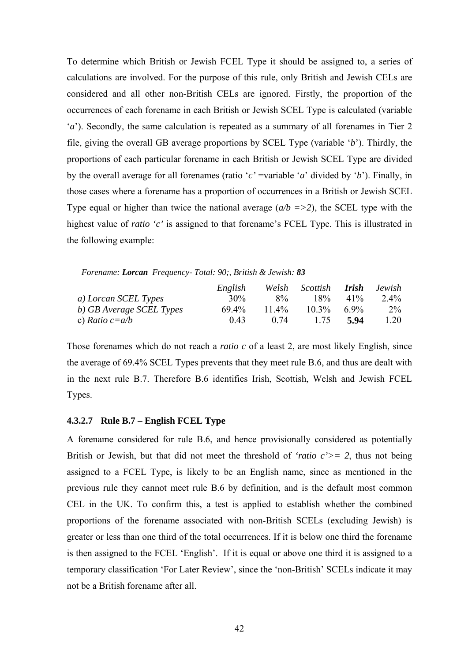To determine which British or Jewish FCEL Type it should be assigned to, a series of calculations are involved. For the purpose of this rule, only British and Jewish CELs are considered and all other non-British CELs are ignored. Firstly, the proportion of the occurrences of each forename in each British or Jewish SCEL Type is calculated (variable '*a*'). Secondly, the same calculation is repeated as a summary of all forenames in Tier 2 file, giving the overall GB average proportions by SCEL Type (variable '*b*'). Thirdly, the proportions of each particular forename in each British or Jewish SCEL Type are divided by the overall average for all forenames (ratio '*c'* =variable '*a*' divided by '*b*'). Finally, in those cases where a forename has a proportion of occurrences in a British or Jewish SCEL Type equal or higher than twice the national average (*a/b =>2*), the SCEL type with the highest value of *ratio 'c'* is assigned to that forename's FCEL Type. This is illustrated in the following example:

*Forename: Lorcan Frequency- Total: 90;, British & Jewish: 83*

|                          | English | Welsh | Scottish <b>Irish</b> |        | Jewish |
|--------------------------|---------|-------|-----------------------|--------|--------|
| a) Lorcan SCEL Types     | $30\%$  | $8\%$ | $18\%$                | $41\%$ | 2.4%   |
| b) GB Average SCEL Types | 69.4%   | 11.4% | $10.3\%$              | 6.9%   | $2\%$  |
| c) Ratio $c=a/b$         | 0.43    | 074   | 1.75                  | 5.94   | 1.20   |

Those forenames which do not reach a *ratio c* of a least 2, are most likely English, since the average of 69.4% SCEL Types prevents that they meet rule B.6, and thus are dealt with in the next rule B.7. Therefore B.6 identifies Irish, Scottish, Welsh and Jewish FCEL Types.

#### **4.3.2.7 Rule B.7 – English FCEL Type**

A forename considered for rule B.6, and hence provisionally considered as potentially British or Jewish, but that did not meet the threshold of *'ratio c'*  $>$  = 2, thus not being assigned to a FCEL Type, is likely to be an English name, since as mentioned in the previous rule they cannot meet rule B.6 by definition, and is the default most common CEL in the UK. To confirm this, a test is applied to establish whether the combined proportions of the forename associated with non-British SCELs (excluding Jewish) is greater or less than one third of the total occurrences. If it is below one third the forename is then assigned to the FCEL 'English'. If it is equal or above one third it is assigned to a temporary classification 'For Later Review', since the 'non-British' SCELs indicate it may not be a British forename after all.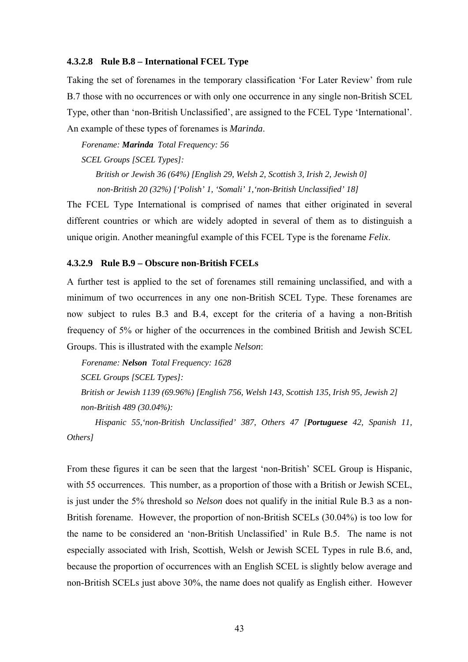#### **4.3.2.8 Rule B.8 – International FCEL Type**

Taking the set of forenames in the temporary classification 'For Later Review' from rule B.7 those with no occurrences or with only one occurrence in any single non-British SCEL Type, other than 'non-British Unclassified', are assigned to the FCEL Type 'International'. An example of these types of forenames is *Marinda*.

*Forename: Marinda Total Frequency: 56* 

*SCEL Groups [SCEL Types]:* 

*British or Jewish 36 (64%) [English 29, Welsh 2, Scottish 3, Irish 2, Jewish 0] non-British 20 (32%) ['Polish' 1, 'Somali' 1,'non-British Unclassified' 18]* 

The FCEL Type International is comprised of names that either originated in several different countries or which are widely adopted in several of them as to distinguish a unique origin. Another meaningful example of this FCEL Type is the forename *Felix*.

## **4.3.2.9 Rule B.9 – Obscure non-British FCELs**

A further test is applied to the set of forenames still remaining unclassified, and with a minimum of two occurrences in any one non-British SCEL Type. These forenames are now subject to rules B.3 and B.4, except for the criteria of a having a non-British frequency of 5% or higher of the occurrences in the combined British and Jewish SCEL Groups. This is illustrated with the example *Nelson*:

*Forename: Nelson Total Frequency: 1628* 

*SCEL Groups [SCEL Types]:* 

*British or Jewish 1139 (69.96%) [English 756, Welsh 143, Scottish 135, Irish 95, Jewish 2] non-British 489 (30.04%):* 

*Hispanic 55,'non-British Unclassified' 387, Others 47 [Portuguese 42, Spanish 11, Others]* 

From these figures it can be seen that the largest 'non-British' SCEL Group is Hispanic, with 55 occurrences. This number, as a proportion of those with a British or Jewish SCEL, is just under the 5% threshold so *Nelson* does not qualify in the initial Rule B.3 as a non-British forename. However, the proportion of non-British SCELs (30.04%) is too low for the name to be considered an 'non-British Unclassified' in Rule B.5. The name is not especially associated with Irish, Scottish, Welsh or Jewish SCEL Types in rule B.6, and, because the proportion of occurrences with an English SCEL is slightly below average and non-British SCELs just above 30%, the name does not qualify as English either. However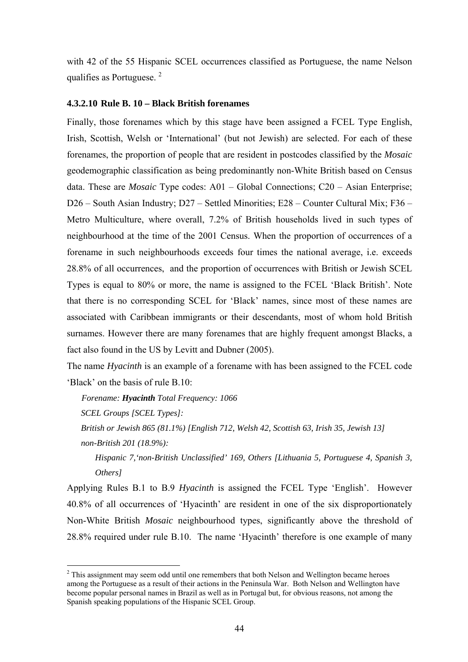with 42 of the 55 Hispanic SCEL occurrences classified as Portuguese, the name Nelson qualifies as Portuguese.  $2^2$ 

#### **4.3.2.10 Rule B. 10 – Black British forenames**

Finally, those forenames which by this stage have been assigned a FCEL Type English, Irish, Scottish, Welsh or 'International' (but not Jewish) are selected. For each of these forenames, the proportion of people that are resident in postcodes classified by the *Mosaic* geodemographic classification as being predominantly non-White British based on Census data. These are *Mosaic* Type codes: A01 – Global Connections; C20 – Asian Enterprise; D26 – South Asian Industry; D27 – Settled Minorities; E28 – Counter Cultural Mix; F36 – Metro Multiculture, where overall, 7.2% of British households lived in such types of neighbourhood at the time of the 2001 Census. When the proportion of occurrences of a forename in such neighbourhoods exceeds four times the national average, i.e. exceeds 28.8% of all occurrences, and the proportion of occurrences with British or Jewish SCEL Types is equal to 80% or more, the name is assigned to the FCEL 'Black British'. Note that there is no corresponding SCEL for 'Black' names, since most of these names are associated with Caribbean immigrants or their descendants, most of whom hold British surnames. However there are many forenames that are highly frequent amongst Blacks, a fact also found in the US by Levitt and Dubner (2005).

The name *Hyacinth* is an example of a forename with has been assigned to the FCEL code 'Black' on the basis of rule B.10:

*Forename: Hyacinth Total Frequency: 1066* 

*SCEL Groups [SCEL Types]:* 

<u>.</u>

*British or Jewish 865 (81.1%) [English 712, Welsh 42, Scottish 63, Irish 35, Jewish 13] non-British 201 (18.9%):* 

*Hispanic 7,'non-British Unclassified' 169, Others [Lithuania 5, Portuguese 4, Spanish 3, Others]* 

Applying Rules B.1 to B.9 *Hyacinth* is assigned the FCEL Type 'English'. However 40.8% of all occurrences of 'Hyacinth' are resident in one of the six disproportionately Non-White British *Mosaic* neighbourhood types, significantly above the threshold of 28.8% required under rule B.10. The name 'Hyacinth' therefore is one example of many

 $2$  This assignment may seem odd until one remembers that both Nelson and Wellington became heroes among the Portuguese as a result of their actions in the Peninsula War. Both Nelson and Wellington have become popular personal names in Brazil as well as in Portugal but, for obvious reasons, not among the Spanish speaking populations of the Hispanic SCEL Group.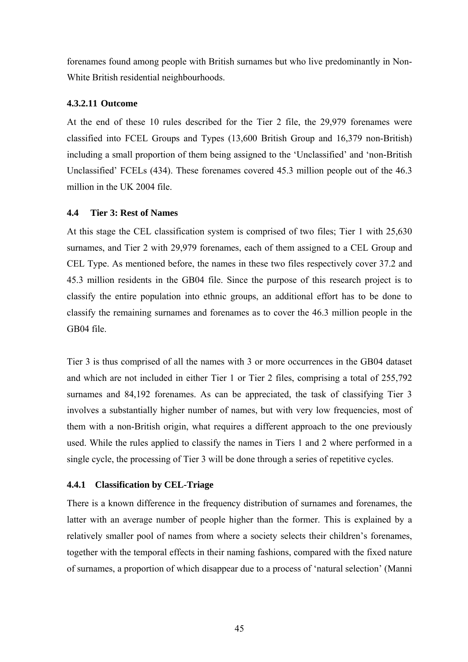forenames found among people with British surnames but who live predominantly in Non-White British residential neighbourhoods.

## **4.3.2.11 Outcome**

At the end of these 10 rules described for the Tier 2 file, the 29,979 forenames were classified into FCEL Groups and Types (13,600 British Group and 16,379 non-British) including a small proportion of them being assigned to the 'Unclassified' and 'non-British Unclassified' FCELs (434). These forenames covered 45.3 million people out of the 46.3 million in the UK 2004 file.

## **4.4 Tier 3: Rest of Names**

At this stage the CEL classification system is comprised of two files; Tier 1 with 25,630 surnames, and Tier 2 with 29,979 forenames, each of them assigned to a CEL Group and CEL Type. As mentioned before, the names in these two files respectively cover 37.2 and 45.3 million residents in the GB04 file. Since the purpose of this research project is to classify the entire population into ethnic groups, an additional effort has to be done to classify the remaining surnames and forenames as to cover the 46.3 million people in the GB04 file.

Tier 3 is thus comprised of all the names with 3 or more occurrences in the GB04 dataset and which are not included in either Tier 1 or Tier 2 files, comprising a total of 255,792 surnames and 84,192 forenames. As can be appreciated, the task of classifying Tier 3 involves a substantially higher number of names, but with very low frequencies, most of them with a non-British origin, what requires a different approach to the one previously used. While the rules applied to classify the names in Tiers 1 and 2 where performed in a single cycle, the processing of Tier 3 will be done through a series of repetitive cycles.

#### **4.4.1 Classification by CEL-Triage**

There is a known difference in the frequency distribution of surnames and forenames, the latter with an average number of people higher than the former. This is explained by a relatively smaller pool of names from where a society selects their children's forenames, together with the temporal effects in their naming fashions, compared with the fixed nature of surnames, a proportion of which disappear due to a process of 'natural selection' (Manni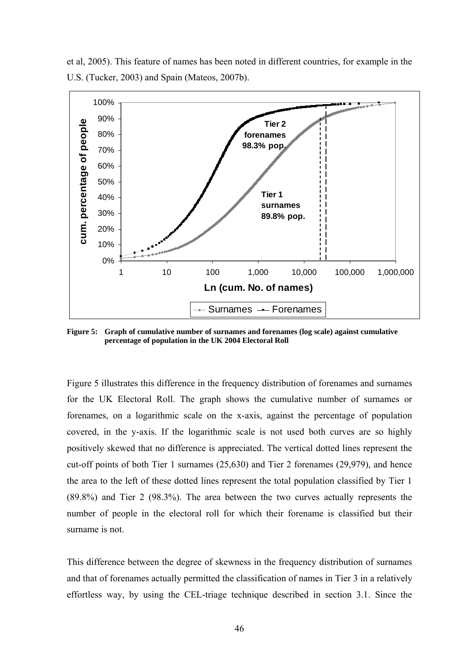et al, 2005). This feature of names has been noted in different countries, for example in the U.S. (Tucker, 2003) and Spain (Mateos, 2007b).



**Figure 5: Graph of cumulative number of surnames and forenames (log scale) against cumulative percentage of population in the UK 2004 Electoral Roll** 

Figure 5 illustrates this difference in the frequency distribution of forenames and surnames for the UK Electoral Roll. The graph shows the cumulative number of surnames or forenames, on a logarithmic scale on the x-axis, against the percentage of population covered, in the y-axis. If the logarithmic scale is not used both curves are so highly positively skewed that no difference is appreciated. The vertical dotted lines represent the cut-off points of both Tier 1 surnames (25,630) and Tier 2 forenames (29,979), and hence the area to the left of these dotted lines represent the total population classified by Tier 1 (89.8%) and Tier 2 (98.3%). The area between the two curves actually represents the number of people in the electoral roll for which their forename is classified but their surname is not.

This difference between the degree of skewness in the frequency distribution of surnames and that of forenames actually permitted the classification of names in Tier 3 in a relatively effortless way, by using the CEL-triage technique described in section 3.1. Since the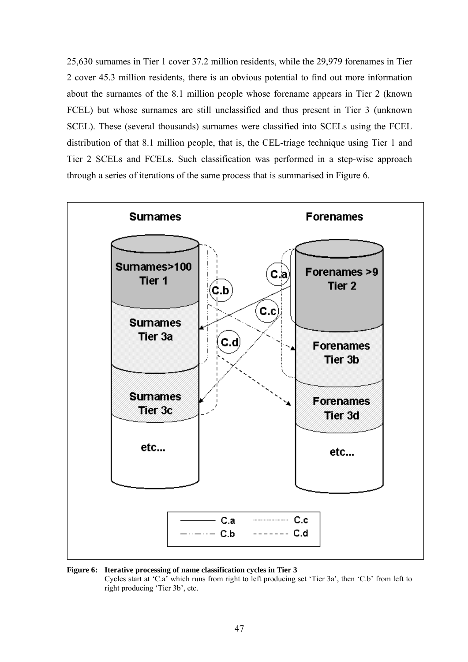25,630 surnames in Tier 1 cover 37.2 million residents, while the 29,979 forenames in Tier 2 cover 45.3 million residents, there is an obvious potential to find out more information about the surnames of the 8.1 million people whose forename appears in Tier 2 (known FCEL) but whose surnames are still unclassified and thus present in Tier 3 (unknown SCEL). These (several thousands) surnames were classified into SCELs using the FCEL distribution of that 8.1 million people, that is, the CEL-triage technique using Tier 1 and Tier 2 SCELs and FCELs. Such classification was performed in a step-wise approach through a series of iterations of the same process that is summarised in Figure 6.





 Cycles start at 'C.a' which runs from right to left producing set 'Tier 3a', then 'C.b' from left to right producing 'Tier 3b', etc.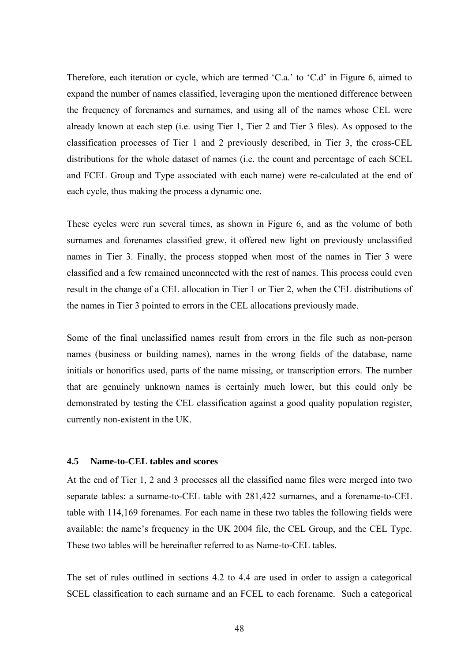Therefore, each iteration or cycle, which are termed 'C.a.' to 'C.d' in Figure 6, aimed to expand the number of names classified, leveraging upon the mentioned difference between the frequency of forenames and surnames, and using all of the names whose CEL were already known at each step (i.e. using Tier 1, Tier 2 and Tier 3 files). As opposed to the classification processes of Tier 1 and 2 previously described, in Tier 3, the cross-CEL distributions for the whole dataset of names (i.e. the count and percentage of each SCEL and FCEL Group and Type associated with each name) were re-calculated at the end of each cycle, thus making the process a dynamic one.

These cycles were run several times, as shown in Figure 6, and as the volume of both surnames and forenames classified grew, it offered new light on previously unclassified names in Tier 3. Finally, the process stopped when most of the names in Tier 3 were classified and a few remained unconnected with the rest of names. This process could even result in the change of a CEL allocation in Tier 1 or Tier 2, when the CEL distributions of the names in Tier 3 pointed to errors in the CEL allocations previously made.

Some of the final unclassified names result from errors in the file such as non-person names (business or building names), names in the wrong fields of the database, name initials or honorifics used, parts of the name missing, or transcription errors. The number that are genuinely unknown names is certainly much lower, but this could only be demonstrated by testing the CEL classification against a good quality population register, currently non-existent in the UK.

#### **4.5 Name-to-CEL tables and scores**

At the end of Tier 1, 2 and 3 processes all the classified name files were merged into two separate tables: a surname-to-CEL table with 281,422 surnames, and a forename-to-CEL table with 114,169 forenames. For each name in these two tables the following fields were available: the name's frequency in the UK 2004 file, the CEL Group, and the CEL Type. These two tables will be hereinafter referred to as Name-to-CEL tables.

The set of rules outlined in sections 4.2 to 4.4 are used in order to assign a categorical SCEL classification to each surname and an FCEL to each forename. Such a categorical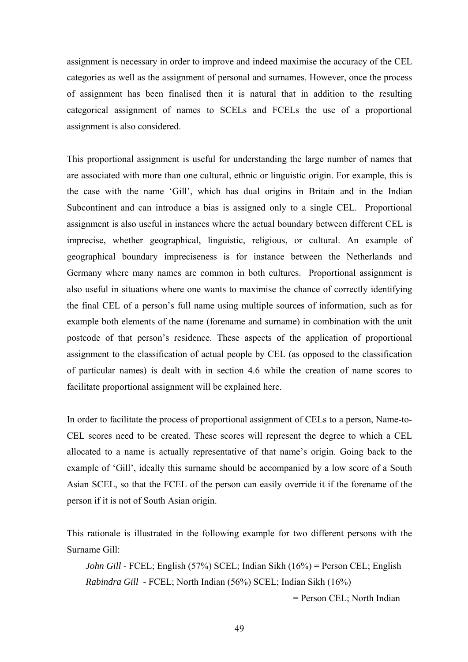assignment is necessary in order to improve and indeed maximise the accuracy of the CEL categories as well as the assignment of personal and surnames. However, once the process of assignment has been finalised then it is natural that in addition to the resulting categorical assignment of names to SCELs and FCELs the use of a proportional assignment is also considered.

This proportional assignment is useful for understanding the large number of names that are associated with more than one cultural, ethnic or linguistic origin. For example, this is the case with the name 'Gill', which has dual origins in Britain and in the Indian Subcontinent and can introduce a bias is assigned only to a single CEL. Proportional assignment is also useful in instances where the actual boundary between different CEL is imprecise, whether geographical, linguistic, religious, or cultural. An example of geographical boundary impreciseness is for instance between the Netherlands and Germany where many names are common in both cultures. Proportional assignment is also useful in situations where one wants to maximise the chance of correctly identifying the final CEL of a person's full name using multiple sources of information, such as for example both elements of the name (forename and surname) in combination with the unit postcode of that person's residence. These aspects of the application of proportional assignment to the classification of actual people by CEL (as opposed to the classification of particular names) is dealt with in section 4.6 while the creation of name scores to facilitate proportional assignment will be explained here.

In order to facilitate the process of proportional assignment of CELs to a person, Name-to-CEL scores need to be created. These scores will represent the degree to which a CEL allocated to a name is actually representative of that name's origin. Going back to the example of 'Gill', ideally this surname should be accompanied by a low score of a South Asian SCEL, so that the FCEL of the person can easily override it if the forename of the person if it is not of South Asian origin.

This rationale is illustrated in the following example for two different persons with the Surname Gill:

*John Gill* - FCEL; English (57%) SCEL; Indian Sikh (16%) = Person CEL; English *Rabindra Gill* - FCEL; North Indian (56%) SCEL; Indian Sikh (16%)

= Person CEL; North Indian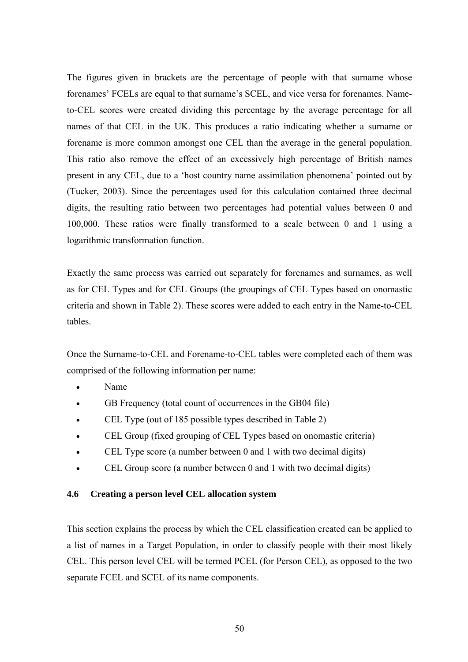The figures given in brackets are the percentage of people with that surname whose forenames' FCELs are equal to that surname's SCEL, and vice versa for forenames. Nameto-CEL scores were created dividing this percentage by the average percentage for all names of that CEL in the UK. This produces a ratio indicating whether a surname or forename is more common amongst one CEL than the average in the general population. This ratio also remove the effect of an excessively high percentage of British names present in any CEL, due to a 'host country name assimilation phenomena' pointed out by (Tucker, 2003). Since the percentages used for this calculation contained three decimal digits, the resulting ratio between two percentages had potential values between 0 and 100,000. These ratios were finally transformed to a scale between 0 and 1 using a logarithmic transformation function.

Exactly the same process was carried out separately for forenames and surnames, as well as for CEL Types and for CEL Groups (the groupings of CEL Types based on onomastic criteria and shown in Table 2). These scores were added to each entry in the Name-to-CEL tables.

Once the Surname-to-CEL and Forename-to-CEL tables were completed each of them was comprised of the following information per name:

- Name
- GB Frequency (total count of occurrences in the GB04 file)
- CEL Type (out of 185 possible types described in Table 2)
- CEL Group (fixed grouping of CEL Types based on onomastic criteria)
- CEL Type score (a number between 0 and 1 with two decimal digits)
- CEL Group score (a number between 0 and 1 with two decimal digits)

## **4.6 Creating a person level CEL allocation system**

This section explains the process by which the CEL classification created can be applied to a list of names in a Target Population, in order to classify people with their most likely CEL. This person level CEL will be termed PCEL (for Person CEL), as opposed to the two separate FCEL and SCEL of its name components.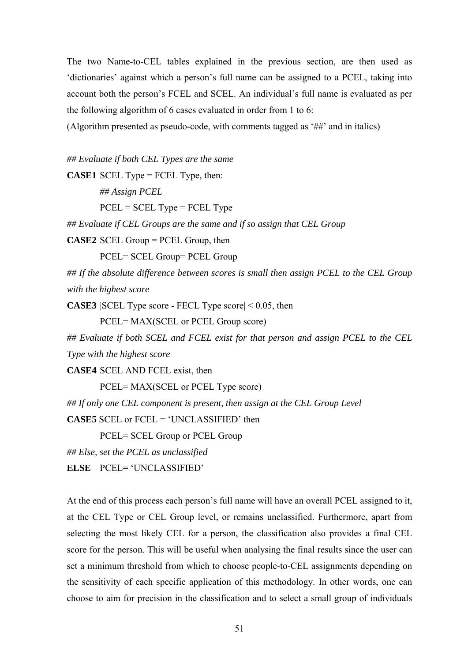The two Name-to-CEL tables explained in the previous section, are then used as 'dictionaries' against which a person's full name can be assigned to a PCEL, taking into account both the person's FCEL and SCEL. An individual's full name is evaluated as per the following algorithm of 6 cases evaluated in order from 1 to 6:

(Algorithm presented as pseudo-code, with comments tagged as '##' and in italics)

*## Evaluate if both CEL Types are the same* 

**CASE1** SCEL Type = FCEL Type, then:

 *## Assign PCEL*   $PCELL = SCELL Type = FCELL Type$ 

*## Evaluate if CEL Groups are the same and if so assign that CEL Group* 

**CASE2** SCEL Group = PCEL Group, then

PCEL= SCEL Group= PCEL Group

*## If the absolute difference between scores is small then assign PCEL to the CEL Group with the highest score* 

**CASE3** |SCEL Type score - FECL Type score| < 0.05, then

PCEL= MAX(SCEL or PCEL Group score)

*## Evaluate if both SCEL and FCEL exist for that person and assign PCEL to the CEL Type with the highest score* 

**CASE4** SCEL AND FCEL exist, then

PCEL= MAX(SCEL or PCEL Type score)

*## If only one CEL component is present, then assign at the CEL Group Level* 

**CASE5** SCEL or FCEL = 'UNCLASSIFIED' then

PCEL= SCEL Group or PCEL Group

*## Else, set the PCEL as unclassified* 

**ELSE** PCEL= 'UNCLASSIFIED'

At the end of this process each person's full name will have an overall PCEL assigned to it, at the CEL Type or CEL Group level, or remains unclassified. Furthermore, apart from selecting the most likely CEL for a person, the classification also provides a final CEL score for the person. This will be useful when analysing the final results since the user can set a minimum threshold from which to choose people-to-CEL assignments depending on the sensitivity of each specific application of this methodology. In other words, one can choose to aim for precision in the classification and to select a small group of individuals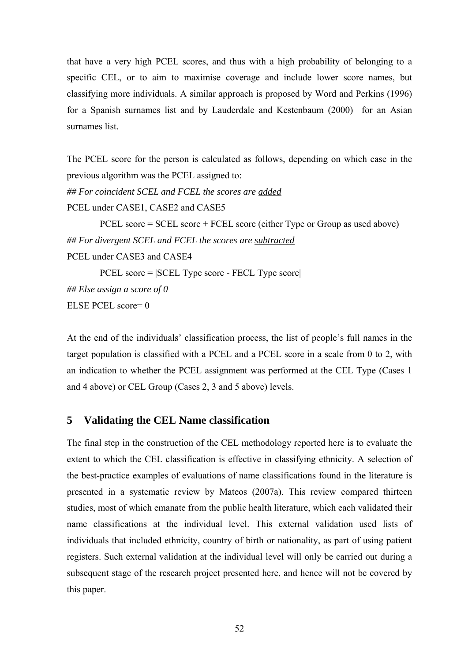that have a very high PCEL scores, and thus with a high probability of belonging to a specific CEL, or to aim to maximise coverage and include lower score names, but classifying more individuals. A similar approach is proposed by Word and Perkins (1996) for a Spanish surnames list and by Lauderdale and Kestenbaum (2000) for an Asian surnames list.

The PCEL score for the person is calculated as follows, depending on which case in the previous algorithm was the PCEL assigned to:

*## For coincident SCEL and FCEL the scores are added*

PCEL under CASE1, CASE2 and CASE5

 PCEL score = SCEL score + FCEL score (either Type or Group as used above) *## For divergent SCEL and FCEL the scores are subtracted* PCEL under CASE3 and CASE4 PCEL score = |SCEL Type score - FECL Type score| *## Else assign a score of 0*  ELSE PCEL score= 0

At the end of the individuals' classification process, the list of people's full names in the target population is classified with a PCEL and a PCEL score in a scale from 0 to 2, with an indication to whether the PCEL assignment was performed at the CEL Type (Cases 1 and 4 above) or CEL Group (Cases 2, 3 and 5 above) levels.

# **5 Validating the CEL Name classification**

The final step in the construction of the CEL methodology reported here is to evaluate the extent to which the CEL classification is effective in classifying ethnicity. A selection of the best-practice examples of evaluations of name classifications found in the literature is presented in a systematic review by Mateos (2007a). This review compared thirteen studies, most of which emanate from the public health literature, which each validated their name classifications at the individual level. This external validation used lists of individuals that included ethnicity, country of birth or nationality, as part of using patient registers. Such external validation at the individual level will only be carried out during a subsequent stage of the research project presented here, and hence will not be covered by this paper.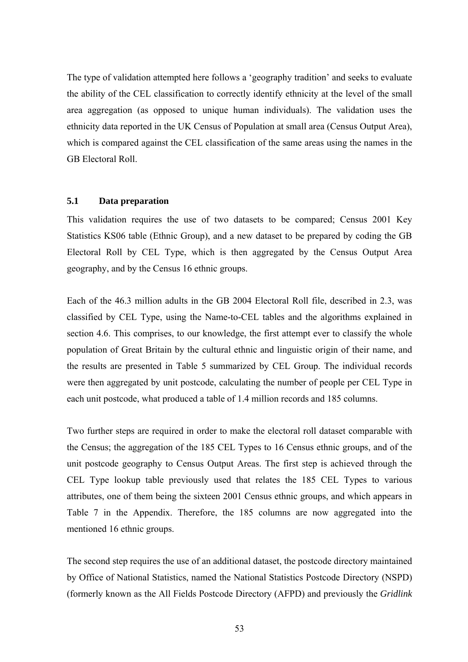The type of validation attempted here follows a 'geography tradition' and seeks to evaluate the ability of the CEL classification to correctly identify ethnicity at the level of the small area aggregation (as opposed to unique human individuals). The validation uses the ethnicity data reported in the UK Census of Population at small area (Census Output Area), which is compared against the CEL classification of the same areas using the names in the GB Electoral Roll.

#### **5.1 Data preparation**

This validation requires the use of two datasets to be compared; Census 2001 Key Statistics KS06 table (Ethnic Group), and a new dataset to be prepared by coding the GB Electoral Roll by CEL Type, which is then aggregated by the Census Output Area geography, and by the Census 16 ethnic groups.

Each of the 46.3 million adults in the GB 2004 Electoral Roll file, described in 2.3, was classified by CEL Type, using the Name-to-CEL tables and the algorithms explained in section 4.6. This comprises, to our knowledge, the first attempt ever to classify the whole population of Great Britain by the cultural ethnic and linguistic origin of their name, and the results are presented in Table 5 summarized by CEL Group. The individual records were then aggregated by unit postcode, calculating the number of people per CEL Type in each unit postcode, what produced a table of 1.4 million records and 185 columns.

Two further steps are required in order to make the electoral roll dataset comparable with the Census; the aggregation of the 185 CEL Types to 16 Census ethnic groups, and of the unit postcode geography to Census Output Areas. The first step is achieved through the CEL Type lookup table previously used that relates the 185 CEL Types to various attributes, one of them being the sixteen 2001 Census ethnic groups, and which appears in Table 7 in the Appendix. Therefore, the 185 columns are now aggregated into the mentioned 16 ethnic groups.

The second step requires the use of an additional dataset, the postcode directory maintained by Office of National Statistics, named the National Statistics Postcode Directory (NSPD) (formerly known as the All Fields Postcode Directory (AFPD) and previously the *Gridlink*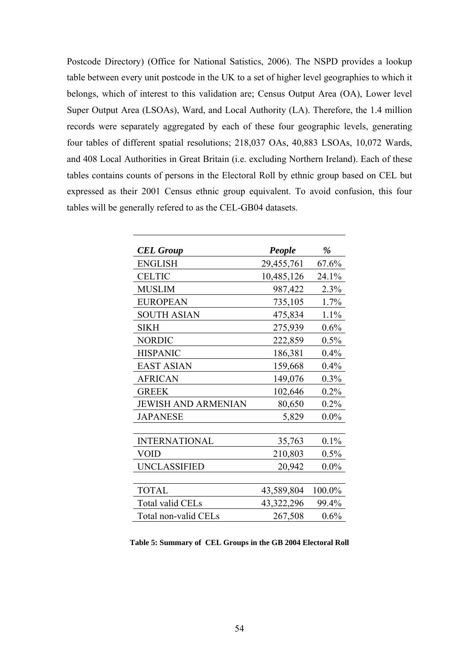Postcode Directory) (Office for National Satistics, 2006). The NSPD provides a lookup table between every unit postcode in the UK to a set of higher level geographies to which it belongs, which of interest to this validation are; Census Output Area (OA), Lower level Super Output Area (LSOAs), Ward, and Local Authority (LA). Therefore, the 1.4 million records were separately aggregated by each of these four geographic levels, generating four tables of different spatial resolutions; 218,037 OAs, 40,883 LSOAs, 10,072 Wards, and 408 Local Authorities in Great Britain (i.e. excluding Northern Ireland). Each of these tables contains counts of persons in the Electoral Roll by ethnic group based on CEL but expressed as their 2001 Census ethnic group equivalent. To avoid confusion, this four tables will be generally refered to as the CEL-GB04 datasets.

| <b>CEL Group</b>           | People       | $\%$    |
|----------------------------|--------------|---------|
| <b>ENGLISH</b>             | 29,455,761   | 67.6%   |
| <b>CELTIC</b>              | 10,485,126   | 24.1%   |
| <b>MUSLIM</b>              | 987,422      | 2.3%    |
| <b>EUROPEAN</b>            | 735,105      | 1.7%    |
| <b>SOUTH ASIAN</b>         | 475,834      | 1.1%    |
| <b>SIKH</b>                | 275,939      | 0.6%    |
| <b>NORDIC</b>              | 222,859      | 0.5%    |
| <b>HISPANIC</b>            | 186,381      | 0.4%    |
| <b>EAST ASIAN</b>          | 159,668      | 0.4%    |
| <b>AFRICAN</b>             | 149,076      | 0.3%    |
| <b>GREEK</b>               | 102,646      | 0.2%    |
| <b>JEWISH AND ARMENIAN</b> | 80,650       | 0.2%    |
| <b>JAPANESE</b>            | 5,829        | $0.0\%$ |
|                            |              |         |
| <b>INTERNATIONAL</b>       | 35,763       | 0.1%    |
| VOID                       | 210,803      | 0.5%    |
| <b>UNCLASSIFIED</b>        | 20,942       | $0.0\%$ |
|                            |              |         |
| <b>TOTAL</b>               | 43,589,804   | 100.0%  |
| Total valid CELs           | 43, 322, 296 | 99.4%   |
| Total non-valid CELs       | 267,508      | 0.6%    |

**Table 5: Summary of CEL Groups in the GB 2004 Electoral Roll**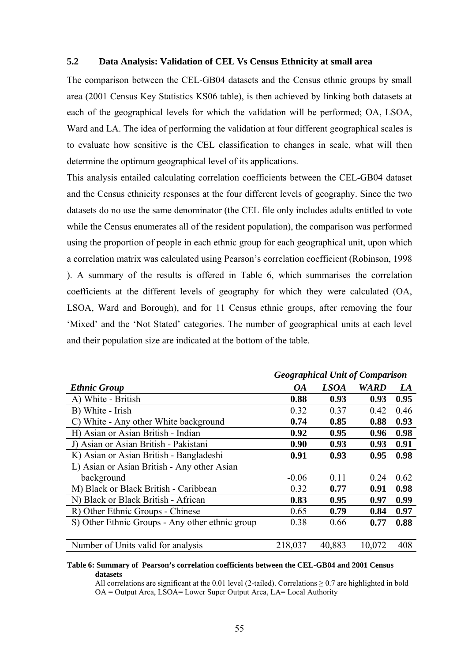## **5.2 Data Analysis: Validation of CEL Vs Census Ethnicity at small area**

The comparison between the CEL-GB04 datasets and the Census ethnic groups by small area (2001 Census Key Statistics KS06 table), is then achieved by linking both datasets at each of the geographical levels for which the validation will be performed; OA, LSOA, Ward and LA. The idea of performing the validation at four different geographical scales is to evaluate how sensitive is the CEL classification to changes in scale, what will then determine the optimum geographical level of its applications.

This analysis entailed calculating correlation coefficients between the CEL-GB04 dataset and the Census ethnicity responses at the four different levels of geography. Since the two datasets do no use the same denominator (the CEL file only includes adults entitled to vote while the Census enumerates all of the resident population), the comparison was performed using the proportion of people in each ethnic group for each geographical unit, upon which a correlation matrix was calculated using Pearson's correlation coefficient (Robinson, 1998 ). A summary of the results is offered in Table 6, which summarises the correlation coefficients at the different levels of geography for which they were calculated (OA, LSOA, Ward and Borough), and for 11 Census ethnic groups, after removing the four 'Mixed' and the 'Not Stated' categories. The number of geographical units at each level and their population size are indicated at the bottom of the table.

| <b>Ethnic Group</b>                             | <b>OA</b> | <b>LSOA</b> | <b>WARD</b> | LA   |
|-------------------------------------------------|-----------|-------------|-------------|------|
| A) White - British                              | 0.88      | 0.93        | 0.93        | 0.95 |
| B) White - Irish                                | 0.32      | 0.37        | 0.42        | 0.46 |
| C) White - Any other White background           | 0.74      | 0.85        | 0.88        | 0.93 |
| H) Asian or Asian British - Indian              | 0.92      | 0.95        | 0.96        | 0.98 |
| J) Asian or Asian British - Pakistani           | 0.90      | 0.93        | 0.93        | 0.91 |
| K) Asian or Asian British - Bangladeshi         | 0.91      | 0.93        | 0.95        | 0.98 |
| L) Asian or Asian British - Any other Asian     |           |             |             |      |
| background                                      | $-0.06$   | 0.11        | 0.24        | 0.62 |
| M) Black or Black British - Caribbean           | 0.32      | 0.77        | 0.91        | 0.98 |
| N) Black or Black British - African             | 0.83      | 0.95        | 0.97        | 0.99 |
| R) Other Ethnic Groups - Chinese                | 0.65      | 0.79        | 0.84        | 0.97 |
| S) Other Ethnic Groups - Any other ethnic group | 0.38      | 0.66        | 0.77        | 0.88 |
|                                                 |           |             |             |      |
| Number of Units valid for analysis              | 218,037   | 40,883      | 10,072      | 408  |

# *Geographical Unit of Comparison*

#### **Table 6: Summary of Pearson's correlation coefficients between the CEL-GB04 and 2001 Census datasets**

All correlations are significant at the 0.01 level (2-tailed). Correlations  $\geq$  0.7 are highlighted in bold OA = Output Area, LSOA= Lower Super Output Area, LA= Local Authority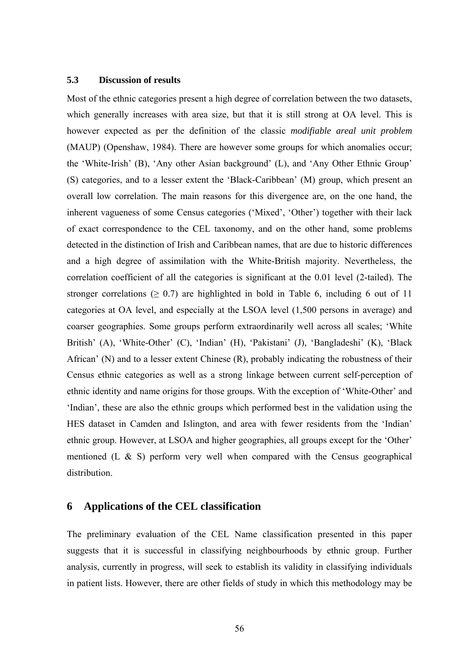#### **5.3 Discussion of results**

Most of the ethnic categories present a high degree of correlation between the two datasets, which generally increases with area size, but that it is still strong at OA level. This is however expected as per the definition of the classic *modifiable areal unit problem* (MAUP) (Openshaw, 1984). There are however some groups for which anomalies occur; the 'White-Irish' (B), 'Any other Asian background' (L), and 'Any Other Ethnic Group' (S) categories, and to a lesser extent the 'Black-Caribbean' (M) group, which present an overall low correlation. The main reasons for this divergence are, on the one hand, the inherent vagueness of some Census categories ('Mixed', 'Other') together with their lack of exact correspondence to the CEL taxonomy, and on the other hand, some problems detected in the distinction of Irish and Caribbean names, that are due to historic differences and a high degree of assimilation with the White-British majority. Nevertheless, the correlation coefficient of all the categories is significant at the 0.01 level (2-tailed). The stronger correlations ( $\geq 0.7$ ) are highlighted in bold in Table 6, including 6 out of 11 categories at OA level, and especially at the LSOA level (1,500 persons in average) and coarser geographies. Some groups perform extraordinarily well across all scales; 'White British' (A), 'White-Other' (C), 'Indian' (H), 'Pakistani' (J), 'Bangladeshi' (K), 'Black African' (N) and to a lesser extent Chinese (R), probably indicating the robustness of their Census ethnic categories as well as a strong linkage between current self-perception of ethnic identity and name origins for those groups. With the exception of 'White-Other' and 'Indian', these are also the ethnic groups which performed best in the validation using the HES dataset in Camden and Islington, and area with fewer residents from the 'Indian' ethnic group. However, at LSOA and higher geographies, all groups except for the 'Other' mentioned (L  $\&$  S) perform very well when compared with the Census geographical distribution.

# **6 Applications of the CEL classification**

The preliminary evaluation of the CEL Name classification presented in this paper suggests that it is successful in classifying neighbourhoods by ethnic group. Further analysis, currently in progress, will seek to establish its validity in classifying individuals in patient lists. However, there are other fields of study in which this methodology may be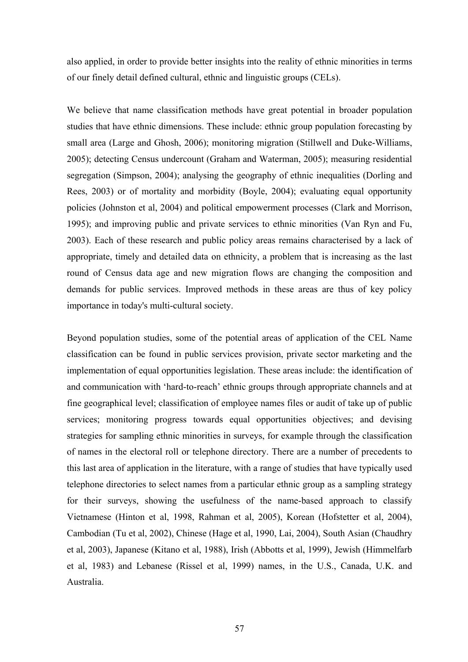also applied, in order to provide better insights into the reality of ethnic minorities in terms of our finely detail defined cultural, ethnic and linguistic groups (CELs).

We believe that name classification methods have great potential in broader population studies that have ethnic dimensions. These include: ethnic group population forecasting by small area (Large and Ghosh, 2006); monitoring migration (Stillwell and Duke-Williams, 2005); detecting Census undercount (Graham and Waterman, 2005); measuring residential segregation (Simpson, 2004); analysing the geography of ethnic inequalities (Dorling and Rees, 2003) or of mortality and morbidity (Boyle, 2004); evaluating equal opportunity policies (Johnston et al, 2004) and political empowerment processes (Clark and Morrison, 1995); and improving public and private services to ethnic minorities (Van Ryn and Fu, 2003). Each of these research and public policy areas remains characterised by a lack of appropriate, timely and detailed data on ethnicity, a problem that is increasing as the last round of Census data age and new migration flows are changing the composition and demands for public services. Improved methods in these areas are thus of key policy importance in today's multi-cultural society.

Beyond population studies, some of the potential areas of application of the CEL Name classification can be found in public services provision, private sector marketing and the implementation of equal opportunities legislation. These areas include: the identification of and communication with 'hard-to-reach' ethnic groups through appropriate channels and at fine geographical level; classification of employee names files or audit of take up of public services; monitoring progress towards equal opportunities objectives; and devising strategies for sampling ethnic minorities in surveys, for example through the classification of names in the electoral roll or telephone directory. There are a number of precedents to this last area of application in the literature, with a range of studies that have typically used telephone directories to select names from a particular ethnic group as a sampling strategy for their surveys, showing the usefulness of the name-based approach to classify Vietnamese (Hinton et al, 1998, Rahman et al, 2005), Korean (Hofstetter et al, 2004), Cambodian (Tu et al, 2002), Chinese (Hage et al, 1990, Lai, 2004), South Asian (Chaudhry et al, 2003), Japanese (Kitano et al, 1988), Irish (Abbotts et al, 1999), Jewish (Himmelfarb et al, 1983) and Lebanese (Rissel et al, 1999) names, in the U.S., Canada, U.K. and Australia.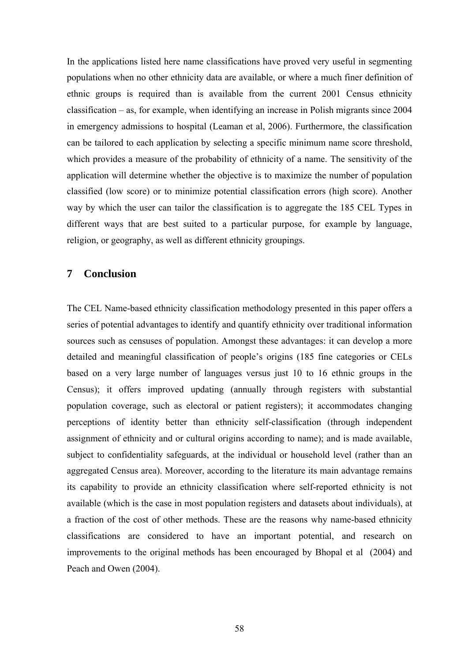In the applications listed here name classifications have proved very useful in segmenting populations when no other ethnicity data are available, or where a much finer definition of ethnic groups is required than is available from the current 2001 Census ethnicity classification – as, for example, when identifying an increase in Polish migrants since 2004 in emergency admissions to hospital (Leaman et al, 2006). Furthermore, the classification can be tailored to each application by selecting a specific minimum name score threshold, which provides a measure of the probability of ethnicity of a name. The sensitivity of the application will determine whether the objective is to maximize the number of population classified (low score) or to minimize potential classification errors (high score). Another way by which the user can tailor the classification is to aggregate the 185 CEL Types in different ways that are best suited to a particular purpose, for example by language, religion, or geography, as well as different ethnicity groupings.

# **7 Conclusion**

The CEL Name-based ethnicity classification methodology presented in this paper offers a series of potential advantages to identify and quantify ethnicity over traditional information sources such as censuses of population. Amongst these advantages: it can develop a more detailed and meaningful classification of people's origins (185 fine categories or CELs based on a very large number of languages versus just 10 to 16 ethnic groups in the Census); it offers improved updating (annually through registers with substantial population coverage, such as electoral or patient registers); it accommodates changing perceptions of identity better than ethnicity self-classification (through independent assignment of ethnicity and or cultural origins according to name); and is made available, subject to confidentiality safeguards, at the individual or household level (rather than an aggregated Census area). Moreover, according to the literature its main advantage remains its capability to provide an ethnicity classification where self-reported ethnicity is not available (which is the case in most population registers and datasets about individuals), at a fraction of the cost of other methods. These are the reasons why name-based ethnicity classifications are considered to have an important potential, and research on improvements to the original methods has been encouraged by Bhopal et al (2004) and Peach and Owen (2004).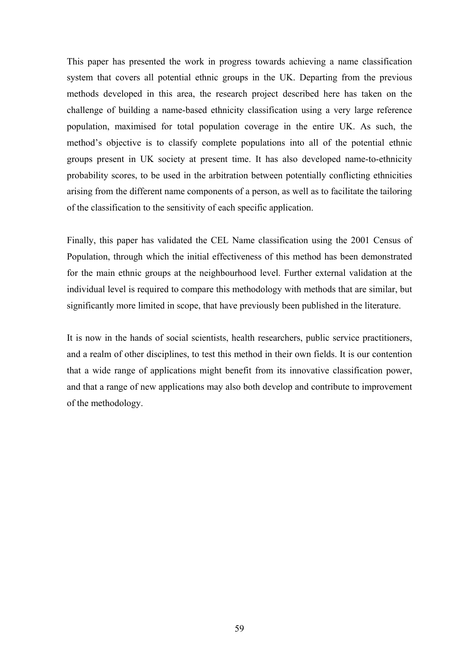This paper has presented the work in progress towards achieving a name classification system that covers all potential ethnic groups in the UK. Departing from the previous methods developed in this area, the research project described here has taken on the challenge of building a name-based ethnicity classification using a very large reference population, maximised for total population coverage in the entire UK. As such, the method's objective is to classify complete populations into all of the potential ethnic groups present in UK society at present time. It has also developed name-to-ethnicity probability scores, to be used in the arbitration between potentially conflicting ethnicities arising from the different name components of a person, as well as to facilitate the tailoring of the classification to the sensitivity of each specific application.

Finally, this paper has validated the CEL Name classification using the 2001 Census of Population, through which the initial effectiveness of this method has been demonstrated for the main ethnic groups at the neighbourhood level. Further external validation at the individual level is required to compare this methodology with methods that are similar, but significantly more limited in scope, that have previously been published in the literature.

It is now in the hands of social scientists, health researchers, public service practitioners, and a realm of other disciplines, to test this method in their own fields. It is our contention that a wide range of applications might benefit from its innovative classification power, and that a range of new applications may also both develop and contribute to improvement of the methodology.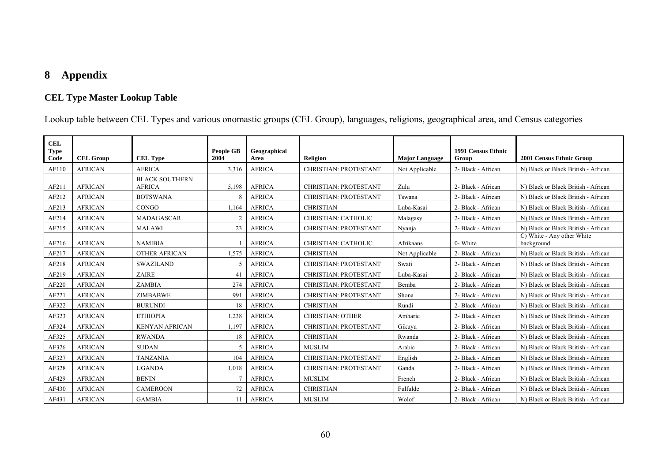# **8 Appendix**

# **CEL Type Master Lookup Table**

Lookup table between CEL Types and various onomastic groups (CEL Group), languages, religions, geographical area, and Census categories

| CEL                 |                  |                                        |                          |                      |                              |                       |                             |                                          |
|---------------------|------------------|----------------------------------------|--------------------------|----------------------|------------------------------|-----------------------|-----------------------------|------------------------------------------|
| <b>Type</b><br>Code | <b>CEL Group</b> | <b>CEL Type</b>                        | <b>People GB</b><br>2004 | Geographical<br>Area | <b>Religion</b>              | <b>Major Language</b> | 1991 Census Ethnic<br>Group | 2001 Census Ethnic Group                 |
| AF110               | <b>AFRICAN</b>   | <b>AFRICA</b>                          | 3,316                    | <b>AFRICA</b>        | CHRISTIAN: PROTESTANT        | Not Applicable        | 2- Black - African          | N) Black or Black British - African      |
| AF211               | <b>AFRICAN</b>   | <b>BLACK SOUTHERN</b><br><b>AFRICA</b> | 5,198                    | <b>AFRICA</b>        | <b>CHRISTIAN: PROTESTANT</b> | Zulu                  | 2- Black - African          | N) Black or Black British - African      |
| AF212               | <b>AFRICAN</b>   | <b>BOTSWANA</b>                        | 8                        | <b>AFRICA</b>        | <b>CHRISTIAN: PROTESTANT</b> | Tswana                | 2- Black - African          | N) Black or Black British - African      |
| AF213               | <b>AFRICAN</b>   | CONGO                                  | 1,164                    | <b>AFRICA</b>        | <b>CHRISTIAN</b>             | Luba-Kasai            | 2- Black - African          | N) Black or Black British - African      |
| AF214               | <b>AFRICAN</b>   | <b>MADAGASCAR</b>                      | 2                        | <b>AFRICA</b>        | <b>CHRISTIAN: CATHOLIC</b>   | Malagasy              | 2- Black - African          | N) Black or Black British - African      |
| AF215               | <b>AFRICAN</b>   | <b>MALAWI</b>                          | 23                       | <b>AFRICA</b>        | CHRISTIAN: PROTESTANT        | Nyanja                | 2- Black - African          | N) Black or Black British - African      |
| AF216               | <b>AFRICAN</b>   | <b>NAMIBIA</b>                         |                          | <b>AFRICA</b>        | <b>CHRISTIAN: CATHOLIC</b>   | Afrikaans             | 0- White                    | C) White - Any other White<br>background |
| AF217               | <b>AFRICAN</b>   | <b>OTHER AFRICAN</b>                   | 1,575                    | <b>AFRICA</b>        | <b>CHRISTIAN</b>             | Not Applicable        | 2- Black - African          | N) Black or Black British - African      |
| AF218               | <b>AFRICAN</b>   | <b>SWAZILAND</b>                       | 5                        | <b>AFRICA</b>        | CHRISTIAN: PROTESTANT        | Swati                 | 2- Black - African          | N) Black or Black British - African      |
| AF219               | <b>AFRICAN</b>   | <b>ZAIRE</b>                           | 41                       | <b>AFRICA</b>        | <b>CHRISTIAN: PROTESTANT</b> | Luba-Kasai            | 2- Black - African          | N) Black or Black British - African      |
| AF220               | <b>AFRICAN</b>   | ZAMBIA                                 | 274                      | <b>AFRICA</b>        | <b>CHRISTIAN: PROTESTANT</b> | Bemba                 | 2- Black - African          | N) Black or Black British - African      |
| AF221               | <b>AFRICAN</b>   | <b>ZIMBABWE</b>                        | 991                      | <b>AFRICA</b>        | <b>CHRISTIAN: PROTESTANT</b> | Shona                 | 2- Black - African          | N) Black or Black British - African      |
| AF322               | <b>AFRICAN</b>   | <b>BURUNDI</b>                         | 18                       | <b>AFRICA</b>        | <b>CHRISTIAN</b>             | Rundi                 | 2- Black - African          | N) Black or Black British - African      |
| AF323               | <b>AFRICAN</b>   | <b>ETHIOPIA</b>                        | 1,238                    | <b>AFRICA</b>        | <b>CHRISTIAN: OTHER</b>      | Amharic               | 2- Black - African          | N) Black or Black British - African      |
| AF324               | <b>AFRICAN</b>   | <b>KENYAN AFRICAN</b>                  | 1,197                    | <b>AFRICA</b>        | <b>CHRISTIAN: PROTESTANT</b> | Gikuyu                | 2- Black - African          | N) Black or Black British - African      |
| AF325               | <b>AFRICAN</b>   | <b>RWANDA</b>                          | 18                       | <b>AFRICA</b>        | <b>CHRISTIAN</b>             | Rwanda                | 2- Black - African          | N) Black or Black British - African      |
| AF326               | <b>AFRICAN</b>   | <b>SUDAN</b>                           | 5                        | <b>AFRICA</b>        | <b>MUSLIM</b>                | Arabic                | 2- Black - African          | N) Black or Black British - African      |
| AF327               | <b>AFRICAN</b>   | <b>TANZANIA</b>                        | 104                      | <b>AFRICA</b>        | <b>CHRISTIAN: PROTESTANT</b> | English               | 2- Black - African          | N) Black or Black British - African      |
| AF328               | <b>AFRICAN</b>   | <b>UGANDA</b>                          | 1,018                    | <b>AFRICA</b>        | <b>CHRISTIAN: PROTESTANT</b> | Ganda                 | 2- Black - African          | N) Black or Black British - African      |
| AF429               | <b>AFRICAN</b>   | <b>BENIN</b>                           |                          | <b>AFRICA</b>        | <b>MUSLIM</b>                | French                | 2- Black - African          | N) Black or Black British - African      |
| AF430               | <b>AFRICAN</b>   | <b>CAMEROON</b>                        | 72                       | <b>AFRICA</b>        | <b>CHRISTIAN</b>             | Fulfulde              | 2- Black - African          | N) Black or Black British - African      |
| AF431               | <b>AFRICAN</b>   | <b>GAMBIA</b>                          | 11                       | <b>AFRICA</b>        | <b>MUSLIM</b>                | Wolof                 | 2- Black - African          | N) Black or Black British - African      |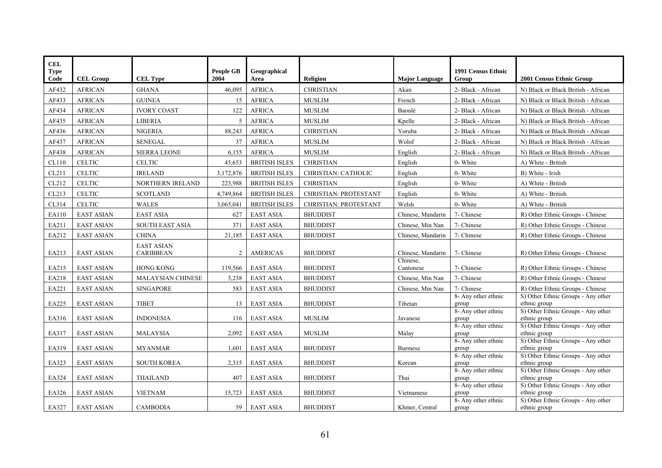| <b>CEL</b><br><b>Type</b> |                   |                        | <b>People GB</b> | Geographical         |                              |                       | 1991 Census Ethnic           |                                                    |
|---------------------------|-------------------|------------------------|------------------|----------------------|------------------------------|-----------------------|------------------------------|----------------------------------------------------|
| $\mathbf{Code}$           | <b>CEL Group</b>  | <b>CEL Type</b>        | 2004             | Area                 | <b>Religion</b>              | <b>Major Language</b> | Group                        | 2001 Census Ethnic Group                           |
| AF432                     | <b>AFRICAN</b>    | <b>GHANA</b>           | 46,095           | <b>AFRICA</b>        | <b>CHRISTIAN</b>             | Akan                  | 2- Black - African           | N) Black or Black British - African                |
| AF433                     | <b>AFRICAN</b>    | <b>GUINEA</b>          | 15               | <b>AFRICA</b>        | <b>MUSLIM</b>                | French                | 2- Black - African           | N) Black or Black British - African                |
| AF434                     | <b>AFRICAN</b>    | <b>IVORY COAST</b>     | 122              | <b>AFRICA</b>        | <b>MUSLIM</b>                | Baoulé                | 2- Black - African           | N) Black or Black British - African                |
| AF435                     | <b>AFRICAN</b>    | <b>LIBERIA</b>         | 5                | <b>AFRICA</b>        | <b>MUSLIM</b>                | Kpelle                | 2- Black - African           | N) Black or Black British - African                |
| AF436                     | <b>AFRICAN</b>    | <b>NIGERIA</b>         | 88,243           | <b>AFRICA</b>        | <b>CHRISTIAN</b>             | Yoruba                | 2- Black - African           | N) Black or Black British - African                |
| AF437                     | <b>AFRICAN</b>    | <b>SENEGAL</b>         | 37               | <b>AFRICA</b>        | <b>MUSLIM</b>                | Wolof                 | 2- Black - African           | N) Black or Black British - African                |
| AF438                     | <b>AFRICAN</b>    | <b>SIERRA LEONE</b>    | 6,155            | <b>AFRICA</b>        | <b>MUSLIM</b>                | English               | 2- Black - African           | N) Black or Black British - African                |
| CL110                     | <b>CELTIC</b>     | <b>CELTIC</b>          | 45,653           | <b>BRITISH ISLES</b> | <b>CHRISTIAN</b>             | English               | 0- White                     | A) White - British                                 |
| CL211                     | <b>CELTIC</b>     | <b>IRELAND</b>         | 3,172,876        | <b>BRITISH ISLES</b> | <b>CHRISTIAN: CATHOLIC</b>   | English               | 0- White                     | B) White - Irish                                   |
| CL212                     | <b>CELTIC</b>     | NORTHERN IRELAND       | 223,988          | <b>BRITISH ISLES</b> | <b>CHRISTIAN</b>             | English               | $0$ - White                  | A) White - British                                 |
| CL213                     | <b>CELTIC</b>     | <b>SCOTLAND</b>        | 4,749,864        | <b>BRITISH ISLES</b> | <b>CHRISTIAN: PROTESTANT</b> | English               | 0- White                     | A) White - British                                 |
| CL314                     | <b>CELTIC</b>     | WALES                  | 3,065,041        | <b>BRITISH ISLES</b> | CHRISTIAN: PROTESTANT        | Welsh                 | 0- White                     | A) White - British                                 |
| EA110                     | <b>EAST ASIAN</b> | <b>EAST ASIA</b>       | 627              | <b>EAST ASIA</b>     | <b>BHUDDIST</b>              | Chinese, Mandarin     | 7- Chinese                   | R) Other Ethnic Groups - Chinese                   |
| EA211                     | <b>EAST ASIAN</b> | <b>SOUTH EAST ASIA</b> | 371              | <b>EAST ASIA</b>     | <b>BHUDDIST</b>              | Chinese, Min Nan      | 7- Chinese                   | R) Other Ethnic Groups - Chinese                   |
| EA212                     | <b>EAST ASIAN</b> | <b>CHINA</b>           | 21,185           | <b>EAST ASIA</b>     | <b>BHUDDIST</b>              | Chinese, Mandarin     | 7- Chinese                   | R) Other Ethnic Groups - Chinese                   |
|                           |                   | <b>EAST ASIAN</b>      |                  |                      |                              |                       |                              |                                                    |
| EA213                     | <b>EAST ASIAN</b> | CARIBBEAN              | 2                | <b>AMERICAS</b>      | <b>BHUDDIST</b>              | Chinese, Mandarin     | 7- Chinese                   | R) Other Ethnic Groups - Chinese                   |
|                           |                   |                        |                  |                      |                              | Chinese,              |                              |                                                    |
| EA215                     | <b>EAST ASIAN</b> | <b>HONG KONG</b>       | 119,566          | <b>EAST ASIA</b>     | <b>BHUDDIST</b>              | Cantonese             | 7- Chinese                   | R) Other Ethnic Groups - Chinese                   |
| EA218                     | <b>EAST ASIAN</b> | MALAYSIAN CHINESE      | 3,238            | <b>EAST ASIA</b>     | <b>BHUDDIST</b>              | Chinese, Min Nan      | 7- Chinese                   | R) Other Ethnic Groups - Chinese                   |
| EA221                     | <b>EAST ASIAN</b> | <b>SINGAPORE</b>       | 583              | <b>EAST ASIA</b>     | <b>BHUDDIST</b>              | Chinese, Min Nan      | 7- Chinese                   | R) Other Ethnic Groups - Chinese                   |
| EA225                     | <b>EAST ASIAN</b> | <b>TIBET</b>           | 13               | <b>EAST ASIA</b>     | <b>BHUDDIST</b>              | Tibetan               | 8- Any other ethnic<br>group | S) Other Ethnic Groups - Any other<br>ethnic group |
|                           |                   |                        |                  |                      |                              |                       | 8- Any other ethnic          | S) Other Ethnic Groups - Any other                 |
| EA316                     | <b>EAST ASIAN</b> | <b>INDONESIA</b>       | 116              | <b>EAST ASIA</b>     | <b>MUSLIM</b>                | Javanese              | group                        | ethnic group                                       |
| EA317                     | <b>EAST ASIAN</b> | <b>MALAYSIA</b>        | 2,092            | <b>EAST ASIA</b>     | <b>MUSLIM</b>                | Malay                 | 8- Any other ethnic<br>group | S) Other Ethnic Groups - Any other<br>ethnic group |
|                           |                   |                        |                  |                      |                              |                       | 8- Any other ethnic          | S) Other Ethnic Groups - Any other                 |
| EA319                     | <b>EAST ASIAN</b> | <b>MYANMAR</b>         | 1,601            | <b>EAST ASIA</b>     | <b>BHUDDIST</b>              | Burmese               | group                        | ethnic group                                       |
| EA323                     | <b>EAST ASIAN</b> | <b>SOUTH KOREA</b>     | 2,315            | <b>EAST ASIA</b>     | <b>BHUDDIST</b>              | Korean                | 8- Any other ethnic<br>group | S) Other Ethnic Groups - Any other<br>ethnic group |
|                           |                   |                        |                  |                      |                              |                       | 8- Any other ethnic          | S) Other Ethnic Groups - Any other                 |
| EA324                     | <b>EAST ASIAN</b> | THAILAND               | 407              | <b>EAST ASIA</b>     | <b>BHUDDIST</b>              | Thai                  | group                        | ethnic group                                       |
| EA326                     | <b>EAST ASIAN</b> | <b>VIETNAM</b>         | 15,723           | <b>EAST ASIA</b>     | <b>BHUDDIST</b>              | Vietnamese            | 8- Any other ethnic<br>group | S) Other Ethnic Groups - Any other<br>ethnic group |
|                           |                   |                        |                  |                      |                              |                       | 8- Any other ethnic          | S) Other Ethnic Groups - Any other                 |
| EA327                     | <b>EAST ASIAN</b> | <b>CAMBODIA</b>        | 59               | <b>EAST ASIA</b>     | <b>BHUDDIST</b>              | Khmer, Central        | group                        | ethnic group                                       |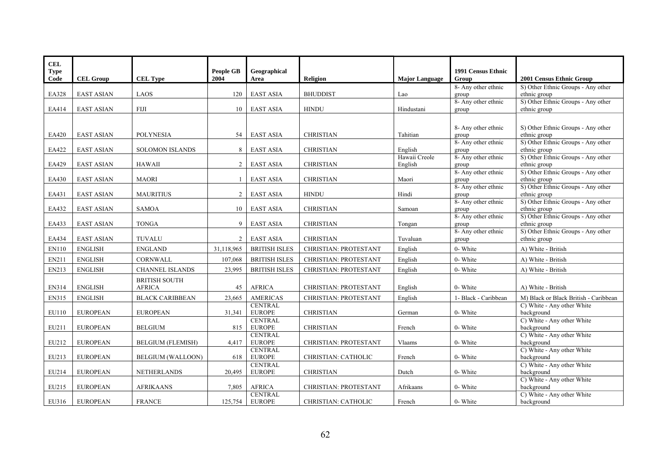| <b>CEL</b>  |                   |                          |                  |                                 |                              |                          |                              |                                                    |
|-------------|-------------------|--------------------------|------------------|---------------------------------|------------------------------|--------------------------|------------------------------|----------------------------------------------------|
| <b>Type</b> |                   |                          | <b>People GB</b> | Geographical                    |                              |                          | <b>1991 Census Ethnic</b>    |                                                    |
| Code        | <b>CEL Group</b>  | <b>CEL Type</b>          | 2004             | Area                            | <b>Religion</b>              | <b>Major Language</b>    | Group                        | 2001 Census Ethnic Group                           |
|             |                   |                          |                  |                                 |                              |                          | 8- Any other ethnic          | S) Other Ethnic Groups - Any other                 |
| EA328       | <b>EAST ASIAN</b> | LAOS                     | 120              | <b>EAST ASIA</b>                | <b>BHUDDIST</b>              | Lao                      | group                        | ethnic group                                       |
|             |                   |                          |                  |                                 |                              |                          | 8- Any other ethnic          | S) Other Ethnic Groups - Any other                 |
| EA414       | <b>EAST ASIAN</b> | <b>FIJI</b>              | 10               | <b>EAST ASIA</b>                | <b>HINDU</b>                 | Hindustani               | group                        | ethnic group                                       |
|             |                   |                          |                  |                                 |                              |                          |                              |                                                    |
|             |                   |                          |                  |                                 |                              |                          | 8- Any other ethnic          | S) Other Ethnic Groups - Any other                 |
| EA420       | <b>EAST ASIAN</b> | <b>POLYNESIA</b>         | 54               | <b>EAST ASIA</b>                | <b>CHRISTIAN</b>             | Tahitian                 | group                        | ethnic group                                       |
|             |                   |                          |                  |                                 |                              |                          | 8- Any other ethnic          | S) Other Ethnic Groups - Any other                 |
| EA422       | <b>EAST ASIAN</b> | <b>SOLOMON ISLANDS</b>   | 8                | <b>EAST ASIA</b>                | <b>CHRISTIAN</b>             | English<br>Hawaii Creole | group<br>8- Any other ethnic | ethnic group<br>S) Other Ethnic Groups - Any other |
| EA429       | <b>EAST ASIAN</b> | <b>HAWAII</b>            | 2                | <b>EAST ASIA</b>                | <b>CHRISTIAN</b>             | English                  | group                        | ethnic group                                       |
|             |                   |                          |                  |                                 |                              |                          | 8- Any other ethnic          | S) Other Ethnic Groups - Any other                 |
| EA430       | <b>EAST ASIAN</b> | <b>MAORI</b>             | $\mathbf{1}$     | <b>EAST ASIA</b>                | <b>CHRISTIAN</b>             | Maori                    | group                        | ethnic group                                       |
|             |                   |                          |                  |                                 |                              |                          | 8- Any other ethnic          | S) Other Ethnic Groups - Any other                 |
| EA431       | <b>EAST ASIAN</b> | <b>MAURITIUS</b>         | 2                | <b>EAST ASIA</b>                | <b>HINDU</b>                 | Hindi                    | group                        | ethnic group                                       |
|             |                   |                          |                  |                                 |                              |                          | 8- Any other ethnic          | S) Other Ethnic Groups - Any other                 |
| EA432       | <b>EAST ASIAN</b> | <b>SAMOA</b>             | 10               | <b>EAST ASIA</b>                | <b>CHRISTIAN</b>             | Samoan                   | group                        | ethnic group                                       |
| EA433       | <b>EAST ASIAN</b> | <b>TONGA</b>             | 9                | <b>EAST ASIA</b>                | <b>CHRISTIAN</b>             | Tongan                   | 8- Any other ethnic<br>group | S) Other Ethnic Groups - Any other<br>ethnic group |
|             |                   |                          |                  |                                 |                              |                          | 8- Any other ethnic          | S) Other Ethnic Groups - Any other                 |
| EA434       | <b>EAST ASIAN</b> | <b>TUVALU</b>            | 2                | <b>EAST ASIA</b>                | <b>CHRISTIAN</b>             | Tuvaluan                 | group                        | ethnic group                                       |
| EN110       | <b>ENGLISH</b>    | <b>ENGLAND</b>           | 31,118,965       | <b>BRITISH ISLES</b>            | <b>CHRISTIAN: PROTESTANT</b> | English                  | 0- White                     | A) White - British                                 |
| EN211       | <b>ENGLISH</b>    | CORNWALL                 | 107,068          | <b>BRITISH ISLES</b>            | CHRISTIAN: PROTESTANT        | English                  | 0- White                     | A) White - British                                 |
| EN213       | <b>ENGLISH</b>    | <b>CHANNEL ISLANDS</b>   | 23,995           | <b>BRITISH ISLES</b>            | CHRISTIAN: PROTESTANT        | English                  | 0- White                     | A) White - British                                 |
|             |                   | <b>BRITISH SOUTH</b>     |                  |                                 |                              |                          |                              |                                                    |
| EN314       | <b>ENGLISH</b>    | <b>AFRICA</b>            | 45               | <b>AFRICA</b>                   | <b>CHRISTIAN: PROTESTANT</b> | English                  | 0- White                     | A) White - British                                 |
| EN315       | <b>ENGLISH</b>    | <b>BLACK CARIBBEAN</b>   | 23,665           | <b>AMERICAS</b>                 | CHRISTIAN: PROTESTANT        | English                  | 1- Black - Caribbean         | M) Black or Black British - Caribbean              |
|             |                   |                          |                  | <b>CENTRAL</b>                  |                              |                          |                              | C) White - Any other White                         |
| EU110       | <b>EUROPEAN</b>   | <b>EUROPEAN</b>          | 31,341           | <b>EUROPE</b>                   | <b>CHRISTIAN</b>             | German                   | 0- White                     | background                                         |
|             |                   |                          |                  | <b>CENTRAL</b>                  |                              |                          |                              | C) White - Any other White                         |
| EU211       | <b>EUROPEAN</b>   | <b>BELGIUM</b>           | 815              | <b>EUROPE</b>                   | <b>CHRISTIAN</b>             | French                   | 0- White                     | background                                         |
| EU212       | <b>EUROPEAN</b>   | <b>BELGIUM (FLEMISH)</b> | 4,417            | <b>CENTRAL</b><br><b>EUROPE</b> | CHRISTIAN: PROTESTANT        | Vlaams                   | 0- White                     | C) White - Any other White<br>background           |
|             |                   |                          |                  | <b>CENTRAL</b>                  |                              |                          |                              | C) White - Any other White                         |
| EU213       | <b>EUROPEAN</b>   | <b>BELGIUM (WALLOON)</b> | 618              | <b>EUROPE</b>                   | CHRISTIAN: CATHOLIC          | French                   | 0- White                     | background                                         |
|             |                   |                          |                  | <b>CENTRAL</b>                  |                              |                          |                              | C) White - Any other White                         |
| EU214       | <b>EUROPEAN</b>   | <b>NETHERLANDS</b>       | 20,495           | <b>EUROPE</b>                   | <b>CHRISTIAN</b>             | Dutch                    | 0- White                     | background                                         |
|             |                   |                          |                  |                                 |                              |                          |                              | C) White - Any other White                         |
| EU215       | <b>EUROPEAN</b>   | <b>AFRIKAANS</b>         | 7,805            | <b>AFRICA</b>                   | CHRISTIAN: PROTESTANT        | Afrikaans                | 0- White                     | background                                         |
|             |                   |                          |                  | <b>CENTRAL</b>                  |                              |                          |                              | C) White - Any other White                         |
| EU316       | <b>EUROPEAN</b>   | <b>FRANCE</b>            | 125,754          | <b>EUROPE</b>                   | <b>CHRISTIAN: CATHOLIC</b>   | French                   | 0- White                     | background                                         |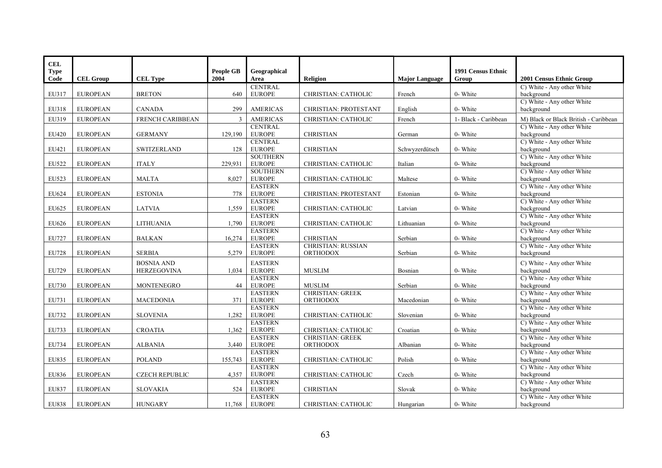| <b>CEL</b>   |                  |                       |                  |                                  |                                              |                       |                      |                                          |
|--------------|------------------|-----------------------|------------------|----------------------------------|----------------------------------------------|-----------------------|----------------------|------------------------------------------|
| <b>Type</b>  |                  |                       | <b>People GB</b> | Geographical                     |                                              |                       | 1991 Census Ethnic   |                                          |
| Code         | <b>CEL Group</b> | <b>CEL Type</b>       | 2004             | Area                             | <b>Religion</b>                              | <b>Major Language</b> | Group                | 2001 Census Ethnic Group                 |
|              |                  |                       |                  | <b>CENTRAL</b>                   |                                              |                       |                      | C) White - Any other White               |
| EU317        | <b>EUROPEAN</b>  | <b>BRETON</b>         | 640              | <b>EUROPE</b>                    | CHRISTIAN: CATHOLIC                          | French                | 0- White             | background                               |
|              |                  |                       |                  |                                  |                                              |                       |                      | C) White - Any other White               |
| EU318        | <b>EUROPEAN</b>  | <b>CANADA</b>         | 299              | <b>AMERICAS</b>                  | <b>CHRISTIAN: PROTESTANT</b>                 | English               | 0- White             | background                               |
| EU319        | <b>EUROPEAN</b>  | FRENCH CARIBBEAN      | $\overline{3}$   | <b>AMERICAS</b>                  | CHRISTIAN: CATHOLIC                          | French                | 1- Black - Caribbean | M) Black or Black British - Caribbean    |
|              |                  |                       |                  | <b>CENTRAL</b>                   |                                              |                       |                      | C) White - Any other White               |
| EU420        | <b>EUROPEAN</b>  | <b>GERMANY</b>        | 129,190          | <b>EUROPE</b>                    | <b>CHRISTIAN</b>                             | German                | 0- White             | background                               |
|              |                  |                       |                  | <b>CENTRAL</b>                   |                                              |                       |                      | C) White - Any other White               |
| EU421        | <b>EUROPEAN</b>  | SWITZERLAND           | 128              | <b>EUROPE</b><br><b>SOUTHERN</b> | <b>CHRISTIAN</b>                             | Schwyzerdütsch        | 0- White             | background<br>C) White - Any other White |
| EU522        | <b>EUROPEAN</b>  | <b>ITALY</b>          | 229,931          | <b>EUROPE</b>                    | CHRISTIAN: CATHOLIC                          | Italian               | 0- White             | background                               |
|              |                  |                       |                  | <b>SOUTHERN</b>                  |                                              |                       |                      | C) White - Any other White               |
| EU523        | <b>EUROPEAN</b>  | <b>MALTA</b>          | 8,027            | <b>EUROPE</b>                    | CHRISTIAN: CATHOLIC                          | Maltese               | 0- White             | background                               |
|              |                  |                       |                  | <b>EASTERN</b>                   |                                              |                       |                      | C) White - Any other White               |
| EU624        | <b>EUROPEAN</b>  | <b>ESTONIA</b>        | 778              | <b>EUROPE</b>                    | CHRISTIAN: PROTESTANT                        | Estonian              | 0- White             | background                               |
|              |                  |                       |                  | <b>EASTERN</b>                   |                                              |                       |                      | C) White - Any other White               |
| EU625        | <b>EUROPEAN</b>  | <b>LATVIA</b>         | 1,559            | <b>EUROPE</b>                    | CHRISTIAN: CATHOLIC                          | Latvian               | 0- White             | background                               |
|              |                  |                       |                  | <b>EASTERN</b>                   |                                              |                       |                      | C) White - Any other White               |
| EU626        | <b>EUROPEAN</b>  | <b>LITHUANIA</b>      | 1,790            | <b>EUROPE</b>                    | CHRISTIAN: CATHOLIC                          | Lithuanian            | 0- White             | background                               |
|              |                  |                       |                  | <b>EASTERN</b>                   |                                              |                       |                      | C) White - Any other White               |
| EU727        | <b>EUROPEAN</b>  | <b>BALKAN</b>         | 16,274           | <b>EUROPE</b>                    | <b>CHRISTIAN</b>                             | Serbian               | 0- White             | background                               |
| EU728        | <b>EUROPEAN</b>  | <b>SERBIA</b>         | 5,279            | <b>EASTERN</b><br><b>EUROPE</b>  | <b>CHRISTIAN: RUSSIAN</b><br><b>ORTHODOX</b> | Serbian               | 0- White             | C) White - Any other White<br>background |
|              |                  |                       |                  |                                  |                                              |                       |                      |                                          |
|              |                  | <b>BOSNIA AND</b>     |                  | <b>EASTERN</b>                   |                                              |                       |                      | C) White - Any other White               |
| EU729        | <b>EUROPEAN</b>  | <b>HERZEGOVINA</b>    | 1,034            | <b>EUROPE</b>                    | <b>MUSLIM</b>                                | Bosnian               | 0- White             | background                               |
| EU730        | <b>EUROPEAN</b>  | <b>MONTENEGRO</b>     | 44               | <b>EASTERN</b><br><b>EUROPE</b>  | <b>MUSLIM</b>                                | Serbian               | 0- White             | C) White - Any other White<br>background |
|              |                  |                       |                  | <b>EASTERN</b>                   | <b>CHRISTIAN: GREEK</b>                      |                       |                      | C) White - Any other White               |
| EU731        | <b>EUROPEAN</b>  | <b>MACEDONIA</b>      | 371              | <b>EUROPE</b>                    | <b>ORTHODOX</b>                              | Macedonian            | 0- White             | background                               |
|              |                  |                       |                  | <b>EASTERN</b>                   |                                              |                       |                      | C) White - Any other White               |
| EU732        | <b>EUROPEAN</b>  | <b>SLOVENIA</b>       | 1,282            | <b>EUROPE</b>                    | CHRISTIAN: CATHOLIC                          | Slovenian             | 0- White             | background                               |
|              |                  |                       |                  | <b>EASTERN</b>                   |                                              |                       |                      | C) White - Any other White               |
| EU733        | <b>EUROPEAN</b>  | <b>CROATIA</b>        | 1,362            | <b>EUROPE</b>                    | CHRISTIAN: CATHOLIC                          | Croatian              | 0- White             | background                               |
|              |                  |                       |                  | <b>EASTERN</b>                   | <b>CHRISTIAN: GREEK</b>                      |                       |                      | C) White - Any other White               |
| EU734        | <b>EUROPEAN</b>  | <b>ALBANIA</b>        | 3,440            | <b>EUROPE</b>                    | <b>ORTHODOX</b>                              | Albanian              | 0- White             | background                               |
|              |                  |                       |                  | <b>EASTERN</b>                   |                                              |                       |                      | C) White - Any other White               |
| EU835        | <b>EUROPEAN</b>  | <b>POLAND</b>         | 155,743          | <b>EUROPE</b>                    | CHRISTIAN: CATHOLIC                          | Polish                | 0- White             | background                               |
|              |                  |                       |                  | <b>EASTERN</b>                   |                                              |                       |                      | C) White - Any other White               |
| EU836        | <b>EUROPEAN</b>  | <b>CZECH REPUBLIC</b> | 4,357            | <b>EUROPE</b><br><b>EASTERN</b>  | CHRISTIAN: CATHOLIC                          | Czech                 | 0- White             | background<br>C) White - Any other White |
| <b>EU837</b> | <b>EUROPEAN</b>  | <b>SLOVAKIA</b>       | 524              | <b>EUROPE</b>                    | <b>CHRISTIAN</b>                             | Slovak                | 0- White             | background                               |
|              |                  |                       |                  | <b>EASTERN</b>                   |                                              |                       |                      | C) White - Any other White               |
| <b>EU838</b> | <b>EUROPEAN</b>  | <b>HUNGARY</b>        | 11,768           | <b>EUROPE</b>                    | CHRISTIAN: CATHOLIC                          | Hungarian             | 0- White             | background                               |
|              |                  |                       |                  |                                  |                                              |                       |                      |                                          |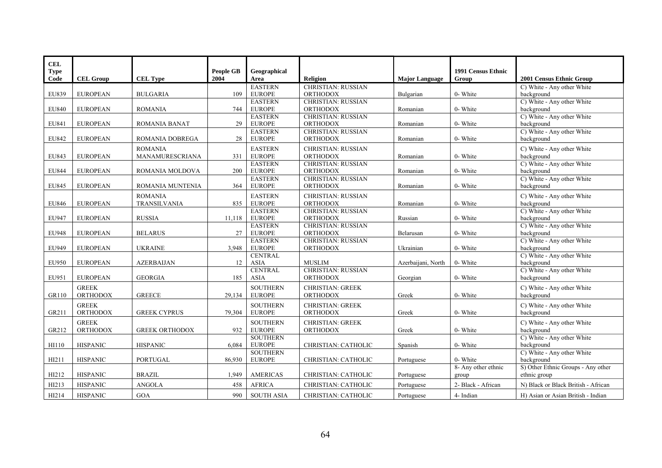| CEL                 |                  |                       |                          |                                  |                                              |                       |                                    |                                          |
|---------------------|------------------|-----------------------|--------------------------|----------------------------------|----------------------------------------------|-----------------------|------------------------------------|------------------------------------------|
| <b>Type</b><br>Code | <b>CEL Group</b> | <b>CEL Type</b>       | <b>People GB</b><br>2004 | Geographical<br>Area             | Religion                                     | <b>Major Language</b> | <b>1991 Census Ethnic</b><br>Group | 2001 Census Ethnic Group                 |
|                     |                  |                       |                          | <b>EASTERN</b>                   | <b>CHRISTIAN: RUSSIAN</b>                    |                       |                                    | C) White - Any other White               |
| EU839               | <b>EUROPEAN</b>  | <b>BULGARIA</b>       | 109                      | <b>EUROPE</b>                    | <b>ORTHODOX</b>                              | Bulgarian             | 0- White                           | background                               |
|                     |                  |                       |                          | <b>EASTERN</b>                   | <b>CHRISTIAN: RUSSIAN</b>                    |                       |                                    | C) White - Any other White               |
| EU840               | <b>EUROPEAN</b>  | <b>ROMANIA</b>        | 744                      | <b>EUROPE</b>                    | <b>ORTHODOX</b>                              | Romanian              | 0- White                           | background                               |
|                     |                  |                       |                          | <b>EASTERN</b>                   | <b>CHRISTIAN: RUSSIAN</b>                    |                       |                                    | C) White - Any other White               |
| EU841               | <b>EUROPEAN</b>  | <b>ROMANIA BANAT</b>  | 29                       | <b>EUROPE</b>                    | <b>ORTHODOX</b>                              | Romanian              | 0- White                           | background                               |
|                     |                  |                       |                          | <b>EASTERN</b>                   | <b>CHRISTIAN: RUSSIAN</b>                    |                       |                                    | C) White - Any other White               |
| EU842               | <b>EUROPEAN</b>  | ROMANIA DOBREGA       | 28                       | <b>EUROPE</b>                    | <b>ORTHODOX</b>                              | Romanian              | 0- White                           | background                               |
|                     |                  | <b>ROMANIA</b>        |                          | <b>EASTERN</b>                   | <b>CHRISTIAN: RUSSIAN</b>                    |                       |                                    | C) White - Any other White               |
| EU843               | <b>EUROPEAN</b>  | MANAMURESCRIANA       | 331                      | <b>EUROPE</b>                    | <b>ORTHODOX</b>                              | Romanian              | 0- White                           | background                               |
|                     |                  |                       |                          | <b>EASTERN</b>                   | <b>CHRISTIAN: RUSSIAN</b>                    |                       |                                    | C) White - Any other White               |
| <b>EU844</b>        | <b>EUROPEAN</b>  | ROMANIA MOLDOVA       | 200                      | <b>EUROPE</b>                    | <b>ORTHODOX</b>                              | Romanian              | 0- White                           | background                               |
| <b>EU845</b>        | <b>EUROPEAN</b>  | ROMANIA MUNTENIA      | 364                      | <b>EASTERN</b><br><b>EUROPE</b>  | <b>CHRISTIAN: RUSSIAN</b><br><b>ORTHODOX</b> | Romanian              | 0- White                           | C) White - Any other White<br>background |
|                     |                  |                       |                          |                                  |                                              |                       |                                    |                                          |
|                     |                  | <b>ROMANIA</b>        |                          | <b>EASTERN</b>                   | <b>CHRISTIAN: RUSSIAN</b>                    |                       |                                    | C) White - Any other White               |
| EU846               | <b>EUROPEAN</b>  | TRANSILVANIA          | 835                      | <b>EUROPE</b><br><b>EASTERN</b>  | <b>ORTHODOX</b><br><b>CHRISTIAN: RUSSIAN</b> | Romanian              | 0- White                           | background<br>C) White - Any other White |
| <b>EU947</b>        | <b>EUROPEAN</b>  | <b>RUSSIA</b>         | 11,118                   | <b>EUROPE</b>                    | <b>ORTHODOX</b>                              | Russian               | 0- White                           | background                               |
|                     |                  |                       |                          | <b>EASTERN</b>                   | <b>CHRISTIAN: RUSSIAN</b>                    |                       |                                    | C) White - Any other White               |
| <b>EU948</b>        | <b>EUROPEAN</b>  | <b>BELARUS</b>        | 27                       | <b>EUROPE</b>                    | <b>ORTHODOX</b>                              | Belarusan             | 0- White                           | background                               |
|                     |                  |                       |                          | <b>EASTERN</b>                   | <b>CHRISTIAN: RUSSIAN</b>                    |                       |                                    | C) White - Any other White               |
| EU949               | <b>EUROPEAN</b>  | <b>UKRAINE</b>        | 3,948                    | <b>EUROPE</b>                    | <b>ORTHODOX</b>                              | Ukrainian             | 0- White                           | background                               |
|                     |                  |                       |                          | <b>CENTRAL</b>                   |                                              |                       |                                    | C) White - Any other White               |
| EU950               | <b>EUROPEAN</b>  | <b>AZERBAIJAN</b>     | 12                       | <b>ASIA</b>                      | <b>MUSLIM</b>                                | Azerbaijani, North    | 0- White                           | background                               |
|                     |                  |                       |                          | <b>CENTRAL</b>                   | <b>CHRISTIAN: RUSSIAN</b>                    |                       |                                    | C) White - Any other White               |
| EU951               | <b>EUROPEAN</b>  | <b>GEORGIA</b>        | 185                      | <b>ASIA</b>                      | <b>ORTHODOX</b>                              | Georgian              | 0- White                           | background                               |
|                     | <b>GREEK</b>     |                       |                          | <b>SOUTHERN</b>                  | <b>CHRISTIAN: GREEK</b>                      |                       |                                    | C) White - Any other White               |
| GR110               | <b>ORTHODOX</b>  | <b>GREECE</b>         | 29,134                   | <b>EUROPE</b>                    | <b>ORTHODOX</b>                              | Greek                 | 0- White                           | background                               |
|                     | <b>GREEK</b>     |                       |                          | <b>SOUTHERN</b>                  | <b>CHRISTIAN: GREEK</b>                      |                       |                                    | C) White - Any other White               |
| GR211               | <b>ORTHODOX</b>  | <b>GREEK CYPRUS</b>   | 79,304                   | <b>EUROPE</b>                    | <b>ORTHODOX</b>                              | Greek                 | 0- White                           | background                               |
|                     | <b>GREEK</b>     |                       |                          | <b>SOUTHERN</b>                  | <b>CHRISTIAN: GREEK</b>                      |                       |                                    | C) White - Any other White               |
| GR212               | <b>ORTHODOX</b>  | <b>GREEK ORTHODOX</b> | 932                      | <b>EUROPE</b>                    | <b>ORTHODOX</b>                              | Greek                 | 0- White                           | background                               |
|                     |                  |                       |                          | <b>SOUTHERN</b>                  |                                              |                       |                                    | C) White - Any other White               |
| HI110               | <b>HISPANIC</b>  | <b>HISPANIC</b>       | 6,084                    | <b>EUROPE</b>                    | CHRISTIAN: CATHOLIC                          | Spanish               | 0- White                           | background                               |
|                     | <b>HISPANIC</b>  |                       |                          | <b>SOUTHERN</b><br><b>EUROPE</b> |                                              |                       | 0- White                           | C) White - Any other White<br>background |
| HI211               |                  | <b>PORTUGAL</b>       | 86,930                   |                                  | CHRISTIAN: CATHOLIC                          | Portuguese            | 8- Any other ethnic                | S) Other Ethnic Groups - Any other       |
| HI212               | <b>HISPANIC</b>  | <b>BRAZIL</b>         | 1,949                    | <b>AMERICAS</b>                  | <b>CHRISTIAN: CATHOLIC</b>                   | Portuguese            | group                              | ethnic group                             |
| HI213               | <b>HISPANIC</b>  | <b>ANGOLA</b>         | 458                      | <b>AFRICA</b>                    | CHRISTIAN: CATHOLIC                          | Portuguese            | 2- Black - African                 | N) Black or Black British - African      |
|                     |                  |                       |                          |                                  |                                              |                       |                                    |                                          |
| HI214               | <b>HISPANIC</b>  | $_{\rm GOA}$          | 990                      | <b>SOUTH ASIA</b>                | CHRISTIAN: CATHOLIC                          | Portuguese            | 4- Indian                          | H) Asian or Asian British - Indian       |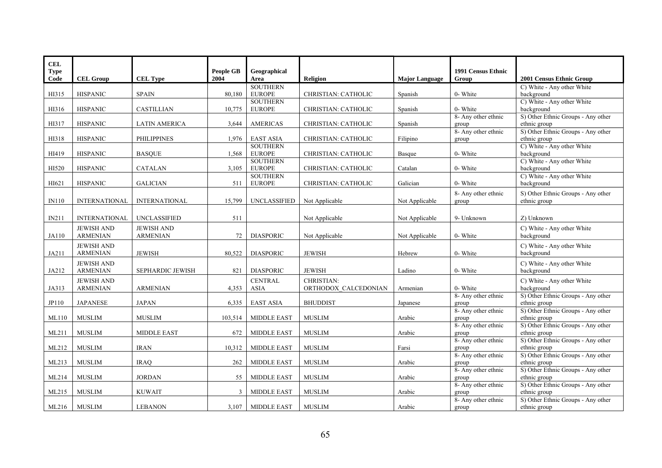| <b>CEL</b>   |                      |                         |                  |                     |                      |                       |                              |                                                    |
|--------------|----------------------|-------------------------|------------------|---------------------|----------------------|-----------------------|------------------------------|----------------------------------------------------|
| <b>Type</b>  |                      |                         | <b>People GB</b> | Geographical        |                      |                       | <b>1991 Census Ethnic</b>    |                                                    |
| Code         | <b>CEL Group</b>     | <b>CEL Type</b>         | 2004             | Area                | Religion             | <b>Major Language</b> | Group                        | 2001 Census Ethnic Group                           |
|              |                      |                         |                  | <b>SOUTHERN</b>     |                      |                       |                              | C) White - Any other White                         |
| HI315        | <b>HISPANIC</b>      | <b>SPAIN</b>            | 80,180           | <b>EUROPE</b>       | CHRISTIAN: CATHOLIC  | Spanish               | 0- White                     | background                                         |
|              |                      |                         |                  | <b>SOUTHERN</b>     |                      |                       |                              | C) White - Any other White                         |
| HI316        | <b>HISPANIC</b>      | <b>CASTILLIAN</b>       | 10,775           | <b>EUROPE</b>       | CHRISTIAN: CATHOLIC  | Spanish               | 0- White                     | background                                         |
| HI317        |                      |                         |                  | <b>AMERICAS</b>     |                      |                       | 8- Any other ethnic          | S) Other Ethnic Groups - Any other<br>ethnic group |
|              | <b>HISPANIC</b>      | <b>LATIN AMERICA</b>    | 3,644            |                     | CHRISTIAN: CATHOLIC  | Spanish               | group<br>8- Any other ethnic | S) Other Ethnic Groups - Any other                 |
| HI318        | <b>HISPANIC</b>      | <b>PHILIPPINES</b>      | 1,976            | <b>EAST ASIA</b>    | CHRISTIAN: CATHOLIC  | Filipino              | group                        | ethnic group                                       |
|              |                      |                         |                  | <b>SOUTHERN</b>     |                      |                       |                              | C) White - Any other White                         |
| HI419        | <b>HISPANIC</b>      | <b>BASQUE</b>           | 1,568            | <b>EUROPE</b>       | CHRISTIAN: CATHOLIC  | Basque                | 0- White                     | background                                         |
|              |                      |                         |                  | <b>SOUTHERN</b>     |                      |                       |                              | C) White - Any other White                         |
| HI520        | <b>HISPANIC</b>      | <b>CATALAN</b>          | 3,105            | <b>EUROPE</b>       | CHRISTIAN: CATHOLIC  | Catalan               | 0- White                     | background                                         |
|              |                      |                         |                  | <b>SOUTHERN</b>     |                      |                       |                              | C) White - Any other White                         |
| HI621        | <b>HISPANIC</b>      | <b>GALICIAN</b>         | 511              | <b>EUROPE</b>       | CHRISTIAN: CATHOLIC  | Galician              | 0- White                     | background                                         |
|              |                      |                         |                  |                     |                      |                       | 8- Any other ethnic          | S) Other Ethnic Groups - Any other                 |
| <b>IN110</b> | <b>INTERNATIONAL</b> | <b>INTERNATIONAL</b>    | 15,799           | <b>UNCLASSIFIED</b> | Not Applicable       | Not Applicable        | group                        | ethnic group                                       |
|              |                      |                         |                  |                     |                      |                       |                              |                                                    |
| IN211        | <b>INTERNATIONAL</b> | <b>UNCLASSIFIED</b>     | 511              |                     | Not Applicable       | Not Applicable        | 9- Unknown                   | Z) Unknown                                         |
|              | <b>JEWISH AND</b>    | <b>JEWISH AND</b>       |                  |                     |                      |                       |                              | C) White - Any other White                         |
| JA110        | <b>ARMENIAN</b>      | <b>ARMENIAN</b>         | 72               | <b>DIASPORIC</b>    | Not Applicable       | Not Applicable        | 0- White                     | background                                         |
|              | <b>JEWISH AND</b>    |                         |                  |                     |                      |                       |                              | C) White - Any other White                         |
| JA211        | <b>ARMENIAN</b>      | <b>JEWISH</b>           | 80,522           | <b>DIASPORIC</b>    | <b>JEWISH</b>        | Hebrew                | 0- White                     | background                                         |
|              |                      |                         |                  |                     |                      |                       |                              |                                                    |
|              | <b>JEWISH AND</b>    |                         |                  |                     |                      |                       |                              | C) White - Any other White                         |
| JA212        | <b>ARMENIAN</b>      | <b>SEPHARDIC JEWISH</b> | 821              | <b>DIASPORIC</b>    | <b>JEWISH</b>        | Ladino                | 0- White                     | background                                         |
|              | <b>JEWISH AND</b>    |                         |                  | <b>CENTRAL</b>      | CHRISTIAN:           |                       |                              | C) White - Any other White                         |
| JA313        | <b>ARMENIAN</b>      | <b>ARMENIAN</b>         | 4,353            | <b>ASIA</b>         | ORTHODOX CALCEDONIAN | Armenian              | 0- White                     | background                                         |
| JP110        | <b>JAPANESE</b>      | <b>JAPAN</b>            |                  |                     |                      |                       | 8- Any other ethnic          | S) Other Ethnic Groups - Any other                 |
|              |                      |                         | 6,335            | <b>EAST ASIA</b>    | <b>BHUDDIST</b>      | Japanese              | group<br>8- Any other ethnic | ethnic group<br>S) Other Ethnic Groups - Any other |
| ML110        | <b>MUSLIM</b>        | <b>MUSLIM</b>           | 103,514          | <b>MIDDLE EAST</b>  | <b>MUSLIM</b>        | Arabic                | group                        | ethnic group                                       |
|              |                      |                         |                  |                     |                      |                       | 8- Any other ethnic          | S) Other Ethnic Groups - Any other                 |
| ML211        | <b>MUSLIM</b>        | <b>MIDDLE EAST</b>      | 672              | <b>MIDDLE EAST</b>  | <b>MUSLIM</b>        | Arabic                | group                        | ethnic group                                       |
|              |                      |                         |                  |                     |                      |                       | 8- Any other ethnic          | S) Other Ethnic Groups - Any other                 |
| ML212        | <b>MUSLIM</b>        | <b>IRAN</b>             | 10,312           | <b>MIDDLE EAST</b>  | <b>MUSLIM</b>        | Farsi                 | group                        | ethnic group                                       |
|              |                      |                         |                  |                     |                      |                       | 8- Any other ethnic          | S) Other Ethnic Groups - Any other                 |
| ML213        | <b>MUSLIM</b>        | <b>IRAO</b>             | 262              | <b>MIDDLE EAST</b>  | <b>MUSLIM</b>        | Arabic                | group                        | ethnic group                                       |
|              |                      |                         |                  |                     |                      |                       | 8- Any other ethnic          | S) Other Ethnic Groups - Any other                 |
| ML214        | <b>MUSLIM</b>        | <b>JORDAN</b>           | 55               | <b>MIDDLE EAST</b>  | <b>MUSLIM</b>        | Arabic                | group                        | ethnic group                                       |
|              | ${\rm MUSLIM}$       |                         |                  |                     |                      |                       | 8- Any other ethnic          | S) Other Ethnic Groups - Any other<br>ethnic group |
| ML215        |                      | <b>KUWAIT</b>           | 3                | MIDDLE EAST         | <b>MUSLIM</b>        | Arabic                | group<br>8- Any other ethnic | S) Other Ethnic Groups - Any other                 |
| ML216        | <b>MUSLIM</b>        | <b>LEBANON</b>          | 3,107            | <b>MIDDLE EAST</b>  | <b>MUSLIM</b>        | Arabic                | group                        | ethnic group                                       |
|              |                      |                         |                  |                     |                      |                       |                              |                                                    |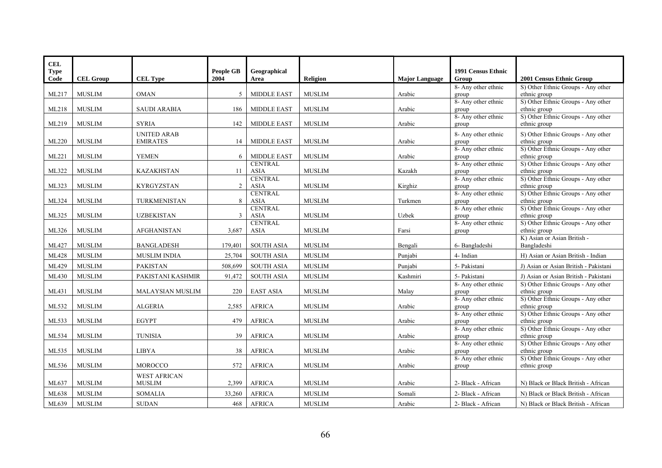| <b>CEL</b>  |                  |                     |                  |                               |                 |                       |                              |                                                    |
|-------------|------------------|---------------------|------------------|-------------------------------|-----------------|-----------------------|------------------------------|----------------------------------------------------|
| <b>Type</b> |                  |                     | <b>People GB</b> | Geographical                  |                 |                       | 1991 Census Ethnic           |                                                    |
| Code        | <b>CEL Group</b> | <b>CEL Type</b>     | 2004             | Area                          | <b>Religion</b> | <b>Major Language</b> | Group                        | 2001 Census Ethnic Group                           |
|             |                  |                     |                  |                               |                 |                       | 8- Any other ethnic          | S) Other Ethnic Groups - Any other                 |
| ML217       | <b>MUSLIM</b>    | <b>OMAN</b>         | 5                | <b>MIDDLE EAST</b>            | <b>MUSLIM</b>   | Arabic                | group                        | ethnic group                                       |
|             |                  |                     |                  |                               |                 |                       | 8- Any other ethnic          | S) Other Ethnic Groups - Any other                 |
| ML218       | <b>MUSLIM</b>    | <b>SAUDI ARABIA</b> | 186              | <b>MIDDLE EAST</b>            | <b>MUSLIM</b>   | Arabic                | group                        | ethnic group                                       |
|             |                  |                     |                  |                               |                 |                       | 8- Any other ethnic          | S) Other Ethnic Groups - Any other                 |
| ML219       | <b>MUSLIM</b>    | <b>SYRIA</b>        | 142              | <b>MIDDLE EAST</b>            | <b>MUSLIM</b>   | Arabic                | group                        | ethnic group                                       |
|             |                  | <b>UNITED ARAB</b>  |                  |                               |                 |                       | 8- Any other ethnic          | S) Other Ethnic Groups - Any other                 |
| ML220       | <b>MUSLIM</b>    | <b>EMIRATES</b>     | 14               | <b>MIDDLE EAST</b>            | <b>MUSLIM</b>   | Arabic                | group                        | ethnic group                                       |
|             |                  |                     |                  |                               |                 |                       | 8- Any other ethnic          | S) Other Ethnic Groups - Any other                 |
| ML221       | <b>MUSLIM</b>    | <b>YEMEN</b>        | 6                | <b>MIDDLE EAST</b>            | <b>MUSLIM</b>   | Arabic                | group                        | ethnic group                                       |
| ML322       | <b>MUSLIM</b>    | <b>KAZAKHSTAN</b>   | 11               | <b>CENTRAL</b><br><b>ASIA</b> | <b>MUSLIM</b>   | Kazakh                | 8- Any other ethnic<br>group | S) Other Ethnic Groups - Any other<br>ethnic group |
|             |                  |                     |                  | <b>CENTRAL</b>                |                 |                       | 8- Any other ethnic          | S) Other Ethnic Groups - Any other                 |
| ML323       | <b>MUSLIM</b>    | KYRGYZSTAN          | 2                | <b>ASIA</b>                   | <b>MUSLIM</b>   | Kirghiz               | group                        | ethnic group                                       |
|             |                  |                     |                  | <b>CENTRAL</b>                |                 |                       | 8- Any other ethnic          | S) Other Ethnic Groups - Any other                 |
| ML324       | <b>MUSLIM</b>    | <b>TURKMENISTAN</b> | 8                | <b>ASIA</b>                   | <b>MUSLIM</b>   | Turkmen               | group                        | ethnic group                                       |
|             |                  |                     |                  | <b>CENTRAL</b>                |                 |                       | 8- Any other ethnic          | S) Other Ethnic Groups - Any other                 |
| ML325       | <b>MUSLIM</b>    | <b>UZBEKISTAN</b>   | 3                | <b>ASIA</b>                   | <b>MUSLIM</b>   | Uzbek                 | group                        | ethnic group                                       |
|             |                  |                     |                  | <b>CENTRAL</b>                |                 |                       | 8- Any other ethnic          | S) Other Ethnic Groups - Any other                 |
| ML326       | <b>MUSLIM</b>    | <b>AFGHANISTAN</b>  | 3,687            | <b>ASIA</b>                   | <b>MUSLIM</b>   | Farsi                 | group                        | ethnic group                                       |
|             |                  |                     |                  |                               |                 |                       |                              | K) Asian or Asian British -                        |
| ML427       | <b>MUSLIM</b>    | <b>BANGLADESH</b>   | 179,401          | <b>SOUTH ASIA</b>             | <b>MUSLIM</b>   | Bengali               | 6-Bangladeshi                | Bangladeshi                                        |
| ML428       | <b>MUSLIM</b>    | <b>MUSLIM INDIA</b> | 25,704           | <b>SOUTH ASIA</b>             | <b>MUSLIM</b>   | Punjabi               | 4- Indian                    | H) Asian or Asian British - Indian                 |
| ML429       | <b>MUSLIM</b>    | <b>PAKISTAN</b>     | 508,699          | <b>SOUTH ASIA</b>             | <b>MUSLIM</b>   | Punjabi               | 5- Pakistani                 | J) Asian or Asian British - Pakistani              |
| ML430       | <b>MUSLIM</b>    | PAKISTANI KASHMIR   | 91,472           | <b>SOUTH ASIA</b>             | <b>MUSLIM</b>   | Kashmiri              | 5- Pakistani                 | J) Asian or Asian British - Pakistani              |
|             |                  |                     |                  |                               |                 |                       | 8- Any other ethnic          | S) Other Ethnic Groups - Any other                 |
| ML431       | <b>MUSLIM</b>    | MALAYSIAN MUSLIM    | 220              | <b>EAST ASIA</b>              | <b>MUSLIM</b>   | Malay                 | group                        | ethnic group                                       |
|             |                  |                     |                  |                               |                 |                       | 8- Any other ethnic          | S) Other Ethnic Groups - Any other                 |
| ML532       | <b>MUSLIM</b>    | <b>ALGERIA</b>      | 2,585            | <b>AFRICA</b>                 | <b>MUSLIM</b>   | Arabic                | group                        | ethnic group                                       |
|             |                  |                     |                  |                               |                 |                       | 8- Any other ethnic          | S) Other Ethnic Groups - Any other                 |
| ML533       | <b>MUSLIM</b>    | <b>EGYPT</b>        | 479              | <b>AFRICA</b>                 | <b>MUSLIM</b>   | Arabic                | group<br>8- Any other ethnic | ethnic group<br>S) Other Ethnic Groups - Any other |
| ML534       | <b>MUSLIM</b>    | <b>TUNISIA</b>      | 39               | <b>AFRICA</b>                 | <b>MUSLIM</b>   | Arabic                | group                        | ethnic group                                       |
|             |                  |                     |                  |                               |                 |                       | 8- Any other ethnic          | S) Other Ethnic Groups - Any other                 |
| ML535       | <b>MUSLIM</b>    | <b>LIBYA</b>        | 38               | <b>AFRICA</b>                 | <b>MUSLIM</b>   | Arabic                | group                        | ethnic group                                       |
|             |                  |                     |                  |                               |                 |                       | 8- Any other ethnic          | S) Other Ethnic Groups - Any other                 |
| ML536       | <b>MUSLIM</b>    | <b>MOROCCO</b>      | 572              | <b>AFRICA</b>                 | <b>MUSLIM</b>   | Arabic                | group                        | ethnic group                                       |
|             |                  | <b>WEST AFRICAN</b> |                  |                               |                 |                       |                              |                                                    |
| ML637       | <b>MUSLIM</b>    | <b>MUSLIM</b>       | 2,399            | <b>AFRICA</b>                 | <b>MUSLIM</b>   | Arabic                | 2- Black - African           | N) Black or Black British - African                |
| ML638       | <b>MUSLIM</b>    | <b>SOMALIA</b>      | 33,260           | <b>AFRICA</b>                 | <b>MUSLIM</b>   | Somali                | 2- Black - African           | N) Black or Black British - African                |
|             |                  |                     |                  |                               |                 |                       |                              |                                                    |
| ML639       | <b>MUSLIM</b>    | <b>SUDAN</b>        | 468              | <b>AFRICA</b>                 | <b>MUSLIM</b>   | Arabic                | 2- Black - African           | N) Black or Black British - African                |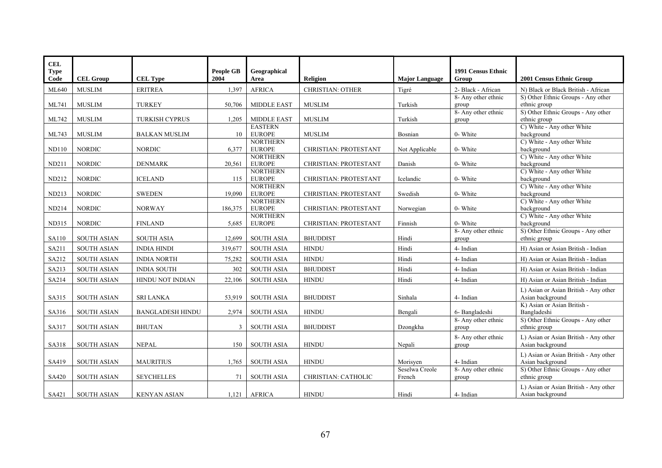| <b>CEL</b><br><b>Type</b> |                    |                         | People GB | Geographical                     |                         |                          | 1991 Census Ethnic           |                                                    |
|---------------------------|--------------------|-------------------------|-----------|----------------------------------|-------------------------|--------------------------|------------------------------|----------------------------------------------------|
| Code                      | <b>CEL Group</b>   | <b>CEL Type</b>         | 2004      | Area                             | <b>Religion</b>         | <b>Major Language</b>    | Group                        | 2001 Census Ethnic Group                           |
| ML640                     | <b>MUSLIM</b>      | <b>ERITREA</b>          | 1,397     | <b>AFRICA</b>                    | <b>CHRISTIAN: OTHER</b> | Tigré                    | 2- Black - African           | N) Black or Black British - African                |
|                           |                    |                         |           |                                  |                         | Turkish                  | 8- Any other ethnic          | S) Other Ethnic Groups - Any other<br>ethnic group |
| ML741                     | <b>MUSLIM</b>      | <b>TURKEY</b>           | 50,706    | <b>MIDDLE EAST</b>               | <b>MUSLIM</b>           |                          | group<br>8- Any other ethnic | S) Other Ethnic Groups - Any other                 |
| ML742                     | <b>MUSLIM</b>      | <b>TURKISH CYPRUS</b>   | 1,205     | <b>MIDDLE EAST</b>               | <b>MUSLIM</b>           | Turkish                  | group                        | ethnic group                                       |
|                           |                    |                         |           | <b>EASTERN</b>                   |                         |                          |                              | C) White - Any other White                         |
| ML743                     | <b>MUSLIM</b>      | <b>BALKAN MUSLIM</b>    | 10        | <b>EUROPE</b>                    | <b>MUSLIM</b>           | Bosnian                  | 0- White                     | background                                         |
|                           |                    |                         |           | <b>NORTHERN</b>                  |                         |                          |                              | C) White - Any other White<br>background           |
| <b>ND110</b>              | <b>NORDIC</b>      | <b>NORDIC</b>           | 6,377     | <b>EUROPE</b><br><b>NORTHERN</b> | CHRISTIAN: PROTESTANT   | Not Applicable           | 0- White                     | C) White - Any other White                         |
| ND211                     | <b>NORDIC</b>      | <b>DENMARK</b>          | 20,561    | <b>EUROPE</b>                    | CHRISTIAN: PROTESTANT   | Danish                   | 0- White                     | background                                         |
|                           |                    |                         |           | <b>NORTHERN</b>                  |                         |                          |                              | C) White - Any other White                         |
| ND212                     | <b>NORDIC</b>      | <b>ICELAND</b>          | 115       | <b>EUROPE</b>                    | CHRISTIAN: PROTESTANT   | Icelandic                | 0- White                     | background                                         |
|                           |                    |                         |           | <b>NORTHERN</b>                  |                         |                          |                              | C) White - Any other White                         |
| ND213                     | <b>NORDIC</b>      | <b>SWEDEN</b>           | 19,090    | <b>EUROPE</b>                    | CHRISTIAN: PROTESTANT   | Swedish                  | 0- White                     | background                                         |
| <b>ND214</b>              | <b>NORDIC</b>      | <b>NORWAY</b>           | 186,375   | <b>NORTHERN</b><br><b>EUROPE</b> | CHRISTIAN: PROTESTANT   | Norwegian                | 0- White                     | C) White - Any other White<br>background           |
|                           |                    |                         |           | <b>NORTHERN</b>                  |                         |                          |                              | C) White - Any other White                         |
| <b>ND315</b>              | <b>NORDIC</b>      | <b>FINLAND</b>          | 5,685     | <b>EUROPE</b>                    | CHRISTIAN: PROTESTANT   | Finnish                  | 0- White                     | background                                         |
|                           |                    |                         |           |                                  |                         |                          | 8- Any other ethnic          | S) Other Ethnic Groups - Any other                 |
| SA110                     | <b>SOUTH ASIAN</b> | <b>SOUTH ASIA</b>       | 12,699    | <b>SOUTH ASIA</b>                | <b>BHUDDIST</b>         | Hindi                    | group                        | ethnic group                                       |
| SA211                     | <b>SOUTH ASIAN</b> | <b>INDIA HINDI</b>      | 319,677   | <b>SOUTH ASIA</b>                | <b>HINDU</b>            | Hindi                    | 4- Indian                    | H) Asian or Asian British - Indian                 |
| SA212                     | <b>SOUTH ASIAN</b> | <b>INDIA NORTH</b>      | 75,282    | <b>SOUTH ASIA</b>                | <b>HINDU</b>            | Hindi                    | 4- Indian                    | H) Asian or Asian British - Indian                 |
| SA213                     | <b>SOUTH ASIAN</b> | <b>INDIA SOUTH</b>      | 302       | <b>SOUTH ASIA</b>                | <b>BHUDDIST</b>         | Hindi                    | 4- Indian                    | H) Asian or Asian British - Indian                 |
| SA214                     | <b>SOUTH ASIAN</b> | HINDU NOT INDIAN        | 22,106    | <b>SOUTH ASIA</b>                | <b>HINDU</b>            | Hindi                    | 4- Indian                    | H) Asian or Asian British - Indian                 |
|                           |                    |                         |           |                                  |                         |                          |                              | L) Asian or Asian British - Any other              |
| SA315                     | <b>SOUTH ASIAN</b> | <b>SRI LANKA</b>        | 53,919    | <b>SOUTH ASIA</b>                | <b>BHUDDIST</b>         | Sinhala                  | 4- Indian                    | Asian background                                   |
|                           |                    |                         |           |                                  |                         |                          |                              | K) Asian or Asian British -                        |
| SA316                     | <b>SOUTH ASIAN</b> | <b>BANGLADESH HINDU</b> | 2,974     | <b>SOUTH ASIA</b>                | <b>HINDU</b>            | Bengali                  | 6- Bangladeshi               | Bangladeshi                                        |
|                           |                    |                         |           |                                  |                         |                          | 8- Any other ethnic          | S) Other Ethnic Groups - Any other                 |
| SA317                     | <b>SOUTH ASIAN</b> | <b>BHUTAN</b>           | 3         | <b>SOUTH ASIA</b>                | <b>BHUDDIST</b>         | Dzongkha                 | group                        | ethnic group                                       |
|                           |                    |                         |           |                                  |                         |                          | 8- Any other ethnic          | L) Asian or Asian British - Any other              |
| SA318                     | <b>SOUTH ASIAN</b> | <b>NEPAL</b>            | 150       | <b>SOUTH ASIA</b>                | <b>HINDU</b>            | Nepali                   | group                        | Asian background                                   |
|                           |                    |                         |           |                                  |                         |                          |                              | L) Asian or Asian British - Any other              |
| SA419                     | <b>SOUTH ASIAN</b> | <b>MAURITIUS</b>        | 1,765     | <b>SOUTH ASIA</b>                | <b>HINDU</b>            | Morisven                 | 4- Indian                    | Asian background                                   |
| SA420                     | <b>SOUTH ASIAN</b> | <b>SEYCHELLES</b>       | 71        | <b>SOUTH ASIA</b>                | CHRISTIAN: CATHOLIC     | Seselwa Creole<br>French | 8- Any other ethnic<br>group | S) Other Ethnic Groups - Any other<br>ethnic group |
|                           |                    |                         |           |                                  |                         |                          |                              |                                                    |
|                           | <b>SOUTH ASIAN</b> | <b>KENYAN ASIAN</b>     | 1,121     | <b>AFRICA</b>                    | <b>HINDU</b>            | Hindi                    | 4- Indian                    | L) Asian or Asian British - Any other              |
| SA421                     |                    |                         |           |                                  |                         |                          |                              | Asian background                                   |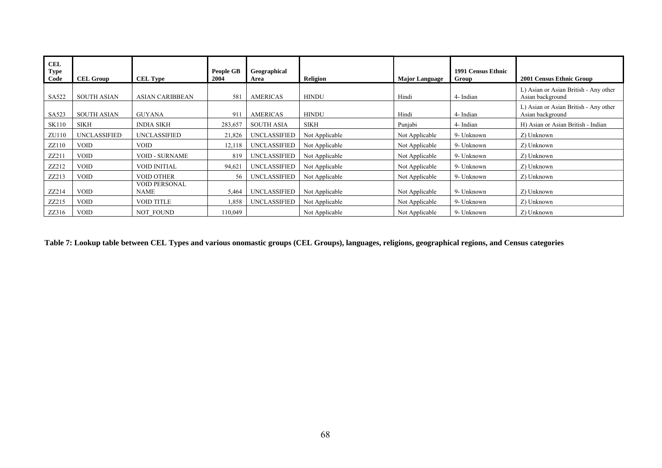| <b>CEL</b><br><b>Type</b><br>Code | <b>CEL Group</b>   | <b>CEL Type</b>              | <b>People GB</b><br>2004 | Geographical<br>Area | Religion       | <b>Major Language</b> | 1991 Census Ethnic<br>Group | 2001 Census Ethnic Group                                  |
|-----------------------------------|--------------------|------------------------------|--------------------------|----------------------|----------------|-----------------------|-----------------------------|-----------------------------------------------------------|
| SA522                             | <b>SOUTH ASIAN</b> | <b>ASIAN CARIBBEAN</b>       | 581                      | <b>AMERICAS</b>      | <b>HINDU</b>   | Hindi                 | 4- Indian                   | L) Asian or Asian British - Any other<br>Asian background |
| SA523                             | <b>SOUTH ASIAN</b> | <b>GUYANA</b>                | 911                      | <b>AMERICAS</b>      | <b>HINDU</b>   | Hindi                 | 4- Indian                   | L) Asian or Asian British - Any other<br>Asian background |
| <b>SK110</b>                      | <b>SIKH</b>        | <b>INDIA SIKH</b>            | 283,657                  | <b>SOUTH ASIA</b>    | <b>SIKH</b>    | Punjabi               | 4- Indian                   | H) Asian or Asian British - Indian                        |
| ZU110                             | UNCLASSIFIED       | <b>UNCLASSIFIED</b>          | 21,826                   | <b>UNCLASSIFIED</b>  | Not Applicable | Not Applicable        | 9- Unknown                  | Z) Unknown                                                |
| ZZ110                             | <b>VOID</b>        | <b>VOID</b>                  | 12,118                   | UNCLASSIFIED         | Not Applicable | Not Applicable        | 9- Unknown                  | Z) Unknown                                                |
| ZZ211                             | <b>VOID</b>        | <b>VOID - SURNAME</b>        | 819                      | <b>UNCLASSIFIED</b>  | Not Applicable | Not Applicable        | 9- Unknown                  | Z) Unknown                                                |
| ZZ212                             | <b>VOID</b>        | <b>VOID INITIAL</b>          | 94,621                   | <b>UNCLASSIFIED</b>  | Not Applicable | Not Applicable        | 9- Unknown                  | Z) Unknown                                                |
| ZZ213                             | <b>VOID</b>        | <b>VOID OTHER</b>            | 56                       | UNCLASSIFIED         | Not Applicable | Not Applicable        | 9- Unknown                  | Z) Unknown                                                |
| ZZ214                             | <b>VOID</b>        | <b>VOID PERSONAL</b><br>NAME | 5,464                    | UNCLASSIFIED         | Not Applicable | Not Applicable        | 9- Unknown                  | Z) Unknown                                                |
| ZZ215                             | <b>VOID</b>        | <b>VOID TITLE</b>            | 1,858                    | <b>UNCLASSIFIED</b>  | Not Applicable | Not Applicable        | 9- Unknown                  | Z) Unknown                                                |
| ZZ316                             | <b>VOID</b>        | <b>NOT FOUND</b>             | 110,049                  |                      | Not Applicable | Not Applicable        | 9- Unknown                  | Z) Unknown                                                |

**Table 7: Lookup table between CEL Types and various onomastic groups (CEL Groups), languages, religions, geographical regions, and Census categories**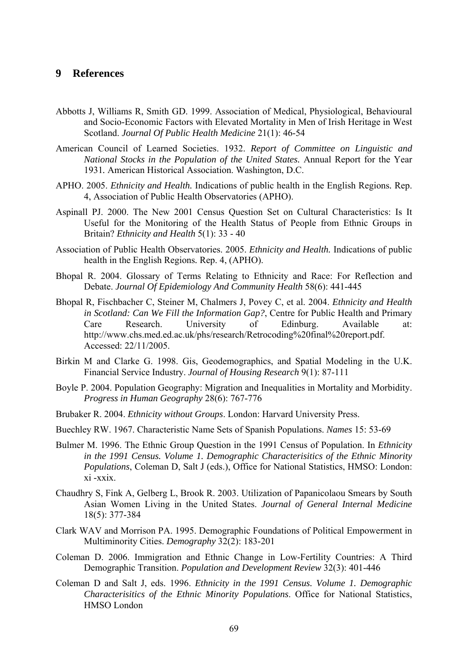# **9 References**

- Abbotts J, Williams R, Smith GD. 1999. Association of Medical, Physiological, Behavioural and Socio-Economic Factors with Elevated Mortality in Men of Irish Heritage in West Scotland. *Journal Of Public Health Medicine* 21(1): 46-54
- American Council of Learned Societies. 1932. *Report of Committee on Linguistic and National Stocks in the Population of the United States.* Annual Report for the Year 1931*.* American Historical Association. Washington, D.C.
- APHO. 2005. *Ethnicity and Health.* Indications of public health in the English Regions*.* Rep. 4, Association of Public Health Observatories (APHO).
- Aspinall PJ. 2000. The New 2001 Census Question Set on Cultural Characteristics: Is It Useful for the Monitoring of the Health Status of People from Ethnic Groups in Britain? *Ethnicity and Health* 5(1): 33 - 40
- Association of Public Health Observatories. 2005. *Ethnicity and Health.* Indications of public health in the English Regions*.* Rep. 4, (APHO).
- Bhopal R. 2004. Glossary of Terms Relating to Ethnicity and Race: For Reflection and Debate. *Journal Of Epidemiology And Community Health* 58(6): 441-445
- Bhopal R, Fischbacher C, Steiner M, Chalmers J, Povey C, et al. 2004. *Ethnicity and Health in Scotland: Can We Fill the Information Gap?*, Centre for Public Health and Primary Care Research. University of Edinburg. Available at: http://www.chs.med.ed.ac.uk/phs/research/Retrocoding%20final%20report.pdf. Accessed: 22/11/2005.
- Birkin M and Clarke G. 1998. Gis, Geodemographics, and Spatial Modeling in the U.K. Financial Service Industry. *Journal of Housing Research* 9(1): 87-111
- Boyle P. 2004. Population Geography: Migration and Inequalities in Mortality and Morbidity. *Progress in Human Geography* 28(6): 767-776
- Brubaker R. 2004. *Ethnicity without Groups*. London: Harvard University Press.
- Buechley RW. 1967. Characteristic Name Sets of Spanish Populations. *Names* 15: 53-69
- Bulmer M. 1996. The Ethnic Group Question in the 1991 Census of Population. In *Ethnicity in the 1991 Census. Volume 1. Demographic Characterisitics of the Ethnic Minority Populations*, Coleman D, Salt J (eds.), Office for National Statistics, HMSO: London: xi -xxix.
- Chaudhry S, Fink A, Gelberg L, Brook R. 2003. Utilization of Papanicolaou Smears by South Asian Women Living in the United States. *Journal of General Internal Medicine* 18(5): 377-384
- Clark WAV and Morrison PA. 1995. Demographic Foundations of Political Empowerment in Multiminority Cities. *Demography* 32(2): 183-201
- Coleman D. 2006. Immigration and Ethnic Change in Low-Fertility Countries: A Third Demographic Transition. *Population and Development Review* 32(3): 401-446
- Coleman D and Salt J, eds. 1996. *Ethnicity in the 1991 Census. Volume 1. Demographic Characterisitics of the Ethnic Minority Populations*. Office for National Statistics, HMSO London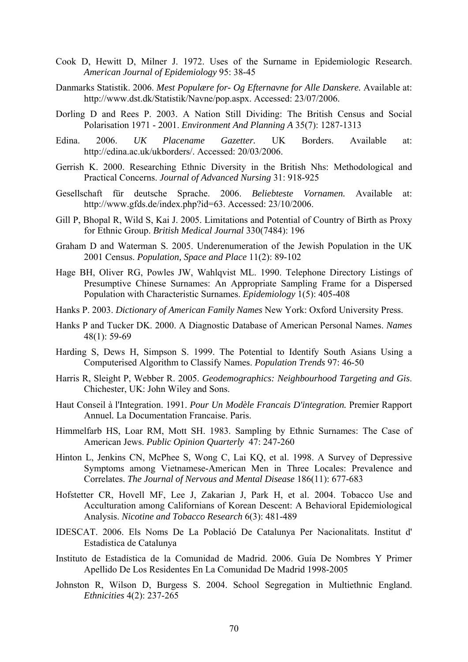- Cook D, Hewitt D, Milner J. 1972. Uses of the Surname in Epidemiologic Research. *American Journal of Epidemiology* 95: 38-45
- Danmarks Statistik. 2006. *Mest Populære for- Og Efternavne for Alle Danskere.* Available at: http://www.dst.dk/Statistik/Navne/pop.aspx. Accessed: 23/07/2006.
- Dorling D and Rees P. 2003. A Nation Still Dividing: The British Census and Social Polarisation 1971 - 2001. *Environment And Planning A* 35(7): 1287-1313
- Edina. 2006. *UK Placename Gazetter.* UK Borders. Available at: http://edina.ac.uk/ukborders/. Accessed: 20/03/2006.
- Gerrish K. 2000. Researching Ethnic Diversity in the British Nhs: Methodological and Practical Concerns. *Journal of Advanced Nursing* 31: 918-925
- Gesellschaft für deutsche Sprache. 2006. *Beliebteste Vornamen.* Available at: http://www.gfds.de/index.php?id=63. Accessed: 23/10/2006.
- Gill P, Bhopal R, Wild S, Kai J. 2005. Limitations and Potential of Country of Birth as Proxy for Ethnic Group. *British Medical Journal* 330(7484): 196
- Graham D and Waterman S. 2005. Underenumeration of the Jewish Population in the UK 2001 Census. *Population, Space and Place* 11(2): 89-102
- Hage BH, Oliver RG, Powles JW, Wahlqvist ML. 1990. Telephone Directory Listings of Presumptive Chinese Surnames: An Appropriate Sampling Frame for a Dispersed Population with Characteristic Surnames. *Epidemiology* 1(5): 405-408
- Hanks P. 2003. *Dictionary of American Family Names* New York: Oxford University Press.
- Hanks P and Tucker DK. 2000. A Diagnostic Database of American Personal Names. *Names* 48(1): 59-69
- Harding S, Dews H, Simpson S. 1999. The Potential to Identify South Asians Using a Computerised Algorithm to Classify Names. *Population Trends* 97: 46-50
- Harris R, Sleight P, Webber R. 2005. *Geodemographics: Neighbourhood Targeting and Gis*. Chichester, UK: John Wiley and Sons.
- Haut Conseil à l'Integration. 1991. *Pour Un Modèle Francais D'integration.* Premier Rapport Annuel*.* La Documentation Francaise. Paris.
- Himmelfarb HS, Loar RM, Mott SH. 1983. Sampling by Ethnic Surnames: The Case of American Jews. *Public Opinion Quarterly* 47: 247-260
- Hinton L, Jenkins CN, McPhee S, Wong C, Lai KQ, et al. 1998. A Survey of Depressive Symptoms among Vietnamese-American Men in Three Locales: Prevalence and Correlates. *The Journal of Nervous and Mental Disease* 186(11): 677-683
- Hofstetter CR, Hovell MF, Lee J, Zakarian J, Park H, et al. 2004. Tobacco Use and Acculturation among Californians of Korean Descent: A Behavioral Epidemiological Analysis. *Nicotine and Tobacco Research* 6(3): 481-489
- IDESCAT. 2006. Els Noms De La Població De Catalunya Per Nacionalitats. Institut d' Estadistica de Catalunya
- Instituto de Estadística de la Comunidad de Madrid. 2006. Guía De Nombres Y Primer Apellido De Los Residentes En La Comunidad De Madrid 1998-2005
- Johnston R, Wilson D, Burgess S. 2004. School Segregation in Multiethnic England. *Ethnicities* 4(2): 237-265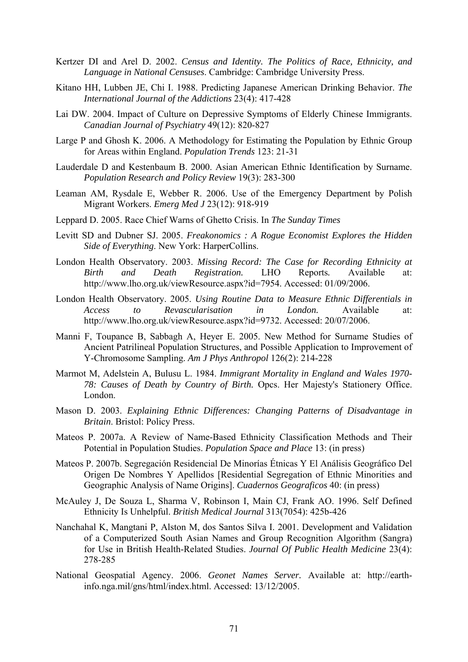- Kertzer DI and Arel D. 2002. *Census and Identity. The Politics of Race, Ethnicity, and Language in National Censuses*. Cambridge: Cambridge University Press.
- Kitano HH, Lubben JE, Chi I. 1988. Predicting Japanese American Drinking Behavior. *The International Journal of the Addictions* 23(4): 417-428
- Lai DW. 2004. Impact of Culture on Depressive Symptoms of Elderly Chinese Immigrants. *Canadian Journal of Psychiatry* 49(12): 820-827
- Large P and Ghosh K. 2006. A Methodology for Estimating the Population by Ethnic Group for Areas within England. *Population Trends* 123: 21-31
- Lauderdale D and Kestenbaum B. 2000. Asian American Ethnic Identification by Surname. *Population Research and Policy Review* 19(3): 283-300
- Leaman AM, Rysdale E, Webber R. 2006. Use of the Emergency Department by Polish Migrant Workers. *Emerg Med J* 23(12): 918-919
- Leppard D. 2005. Race Chief Warns of Ghetto Crisis. In *The Sunday Times*
- Levitt SD and Dubner SJ. 2005. *Freakonomics : A Rogue Economist Explores the Hidden Side of Everything*. New York: HarperCollins.
- London Health Observatory. 2003. *Missing Record: The Case for Recording Ethnicity at Birth and Death Registration.* LHO Reports*.* Available at: http://www.lho.org.uk/viewResource.aspx?id=7954. Accessed: 01/09/2006.
- London Health Observatory. 2005. *Using Routine Data to Measure Ethnic Differentials in Access to Revascularisation in London.* Available at: http://www.lho.org.uk/viewResource.aspx?id=9732. Accessed: 20/07/2006.
- Manni F, Toupance B, Sabbagh A, Heyer E. 2005. New Method for Surname Studies of Ancient Patrilineal Population Structures, and Possible Application to Improvement of Y-Chromosome Sampling. *Am J Phys Anthropol* 126(2): 214-228
- Marmot M, Adelstein A, Bulusu L. 1984. *Immigrant Mortality in England and Wales 1970- 78: Causes of Death by Country of Birth.* Opcs. Her Majesty's Stationery Office. London.
- Mason D. 2003. *Explaining Ethnic Differences: Changing Patterns of Disadvantage in Britain*. Bristol: Policy Press.
- Mateos P. 2007a. A Review of Name-Based Ethnicity Classification Methods and Their Potential in Population Studies. *Population Space and Place* 13: (in press)
- Mateos P. 2007b. Segregación Residencial De Minorías Étnicas Y El Análisis Geográfico Del Origen De Nombres Y Apellidos [Residential Segregation of Ethnic Minorities and Geographic Analysis of Name Origins]. *Cuadernos Geograficos* 40: (in press)
- McAuley J, De Souza L, Sharma V, Robinson I, Main CJ, Frank AO. 1996. Self Defined Ethnicity Is Unhelpful. *British Medical Journal* 313(7054): 425b-426
- Nanchahal K, Mangtani P, Alston M, dos Santos Silva I. 2001. Development and Validation of a Computerized South Asian Names and Group Recognition Algorithm (Sangra) for Use in British Health-Related Studies. *Journal Of Public Health Medicine* 23(4): 278-285
- National Geospatial Agency. 2006. *Geonet Names Server.* Available at: http://earthinfo.nga.mil/gns/html/index.html. Accessed: 13/12/2005.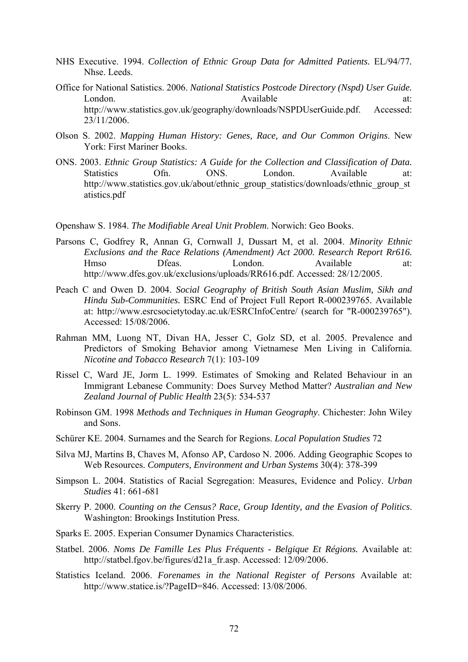- NHS Executive. 1994. *Collection of Ethnic Group Data for Admitted Patients.* EL/94/77*.* Nhse. Leeds.
- Office for National Satistics. 2006. *National Statistics Postcode Directory (Nspd) User Guide.* London. Available at: http://www.statistics.gov.uk/geography/downloads/NSPDUserGuide.pdf. Accessed: 23/11/2006.
- Olson S. 2002. *Mapping Human History: Genes, Race, and Our Common Origins*. New York: First Mariner Books.
- ONS. 2003. *Ethnic Group Statistics: A Guide for the Collection and Classification of Data.* Statistics Ofn. ONS. London. Available at: http://www.statistics.gov.uk/about/ethnic\_group\_statistics/downloads/ethnic\_group\_st atistics.pdf

Openshaw S. 1984. *The Modifiable Areal Unit Problem*. Norwich: Geo Books.

- Parsons C, Godfrey R, Annan G, Cornwall J, Dussart M, et al. 2004. *Minority Ethnic Exclusions and the Race Relations (Amendment) Act 2000. Research Report Rr616.* Hmso Dfeas. London. Available at: http://www.dfes.gov.uk/exclusions/uploads/RR616.pdf. Accessed: 28/12/2005.
- Peach C and Owen D. 2004. *Social Geography of British South Asian Muslim, Sikh and Hindu Sub-Communities.* ESRC End of Project Full Report R-000239765*.* Available at: http://www.esrcsocietytoday.ac.uk/ESRCInfoCentre/ (search for "R-000239765"). Accessed: 15/08/2006.
- Rahman MM, Luong NT, Divan HA, Jesser C, Golz SD, et al. 2005. Prevalence and Predictors of Smoking Behavior among Vietnamese Men Living in California. *Nicotine and Tobacco Research* 7(1): 103-109
- Rissel C, Ward JE, Jorm L. 1999. Estimates of Smoking and Related Behaviour in an Immigrant Lebanese Community: Does Survey Method Matter? *Australian and New Zealand Journal of Public Health* 23(5): 534-537
- Robinson GM. 1998 *Methods and Techniques in Human Geography*. Chichester: John Wiley and Sons.
- Schürer KE. 2004. Surnames and the Search for Regions. *Local Population Studies* 72
- Silva MJ, Martins B, Chaves M, Afonso AP, Cardoso N. 2006. Adding Geographic Scopes to Web Resources. *Computers, Environment and Urban Systems* 30(4): 378-399
- Simpson L. 2004. Statistics of Racial Segregation: Measures, Evidence and Policy. *Urban Studies* 41: 661-681
- Skerry P. 2000. *Counting on the Census? Race, Group Identity, and the Evasion of Politics*. Washington: Brookings Institution Press.
- Sparks E. 2005. Experian Consumer Dynamics Characteristics.
- Statbel. 2006. *Noms De Famille Les Plus Fréquents Belgique Et Régions.* Available at: http://statbel.fgov.be/figures/d21a\_fr.asp. Accessed: 12/09/2006.
- Statistics Iceland. 2006. *Forenames in the National Register of Persons* Available at: http://www.statice.is/?PageID=846. Accessed: 13/08/2006.